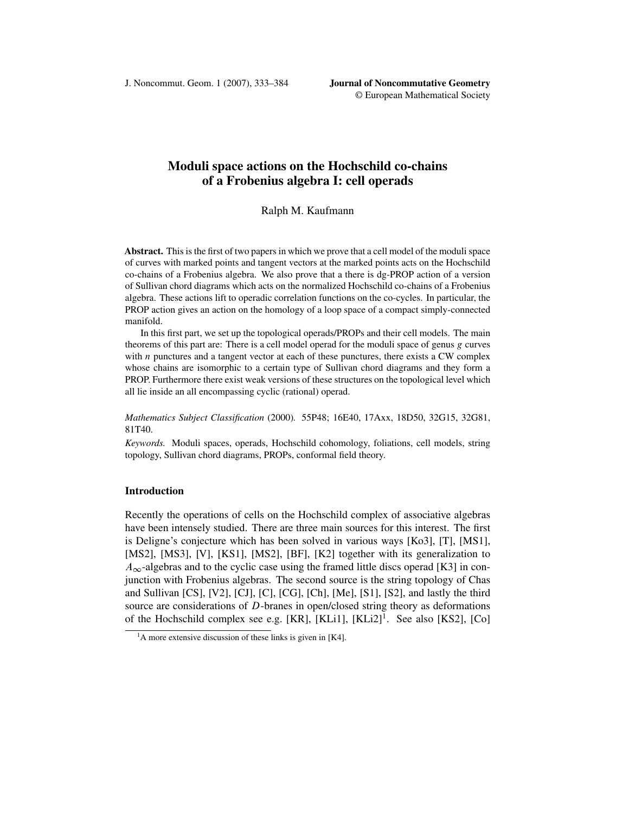J. Noncommut. Geom. 1 (2007), 333–384 **Journal of Noncommutative Geometry**

# **Moduli space actions on the Hochschild co-chains of a Frobenius algebra I: cell operads**

## Ralph M. Kaufmann

**Abstract.** This is the first of two papers in which we prove that a cell model of the moduli space of curves with marked points and tangent vectors at the marked points acts on the Hochschild co-chains of a Frobenius algebra. We also prove that a there is dg-PROP action of a version of Sullivan chord diagrams which acts on the normalized Hochschild co-chains of a Frobenius algebra. These actions lift to operadic correlation functions on the co-cycles. In particular, the PROP action gives an action on the homology of a loop space of a compact simply-connected manifold.

In this first part, we set up the topological operads/PROPs and their cell models. The main theorems of this part are: There is a cell model operad for the moduli space of genus  $g$  curves with  $n$  punctures and a tangent vector at each of these punctures, there exists a CW complex whose chains are isomorphic to a certain type of Sullivan chord diagrams and they form a PROP. Furthermore there exist weak versions of these structures on the topological level which all lie inside an all encompassing cyclic (rational) operad.

*Mathematics Subject Classification* (2000)*.* 55P48; 16E40, 17Axx, 18D50, 32G15, 32G81, 81T40.

*Keywords.* Moduli spaces, operads, Hochschild cohomology, foliations, cell models, string topology, Sullivan chord diagrams, PROPs, conformal field theory.

## **Introduction**

Recently the operations of cells on the Hochschild complex of associative algebras have been intensely studied. There are three main sources for this interest. The first is Deligne's conjecture which has been solved in various ways [\[Ko3\]](#page-50-0), [\[T\]](#page-51-0), [\[MS1\]](#page-50-0), [\[MS2\]](#page-50-0), [\[MS3\]](#page-50-0), [\[V\]](#page-51-0), [\[KS1\]](#page-50-0), [MS2], [\[BF\]](#page-49-0), [\[K2\]](#page-50-0) together with its generalization to  $A_{\infty}$ -algebras and to the cyclic case using the framed little discs operad [\[K3\]](#page-50-0) in conjunction with Frobenius algebras. The second source is the string topology of Chas and Sullivan [\[CS\]](#page-49-0), [\[V2\]](#page-51-0), [\[CJ\]](#page-49-0), [\[C\]](#page-49-0), [\[CG\]](#page-49-0), [\[Ch\]](#page-49-0), [\[Me\]](#page-50-0), [\[S1\]](#page-51-0), [\[S2\]](#page-51-0), and lastly the third source are considerations of D-branes in open/closed string theory as deformations of the Hochschild complex see e.g. [\[KR\]](#page-50-0), [\[KLi1\]](#page-50-0),  $[KLi2]$ <sup>1</sup>. See also [\[KS2\]](#page-50-0), [\[Co\]](#page-49-0)

 $<sup>1</sup>A$  more extensive discussion of these links is given in [\[K4\]](#page-50-0).</sup>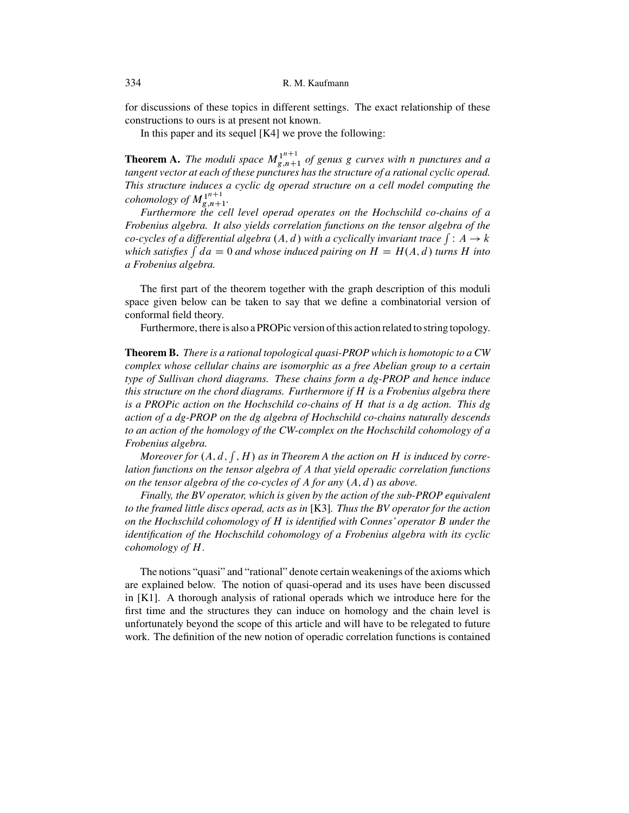for discussions of these topics in different settings. The exact relationship of these constructions to ours is at present not known.

In this paper and its sequel [\[K4\]](#page-50-0) we prove the following:

**Theorem A.** The moduli space  $M_{g,n+1}^{1^{n+1}}$  of genus g curves with n punctures and a<br>tangent vector at each of these punctures has the structure of a rational cyclic operad *tangent vector at each of these punctures has the structure of a rational cyclic operad. This structure induces a cyclic dg operad structure on a cell model computing the*  $\frac{1}{g}$  *cohomology of*  $M_{g,n+1}^{1^{n+1}}$ .<br>Furthermore the cell

*Furthermore the cell level operad operates on the Hochschild co-chains of a Frobenius algebra. It also yields correlation functions on the tensor algebra of the co-cycles of a differential algebra*  $(A, d)$  with a cyclically invariant trace  $\int : A \to k$ <br>which satisfies  $\int da = 0$  and whose induced pairing on  $H = H(A, d)$  turns H into *which satisfies*  $\int da = 0$  *and whose induced pairing on*  $H = H(A, d)$  *turns* H *into a Frobenius algebra.*

The first part of the theorem together with the graph description of this moduli space given below can be taken to say that we define a combinatorial version of conformal field theory.

Furthermore, there is also a PROPic version of this action related to string topology.

**Theorem B.** *There is a rational topological quasi-PROP which is homotopic to a CW complex whose cellular chains are isomorphic as a free Abelian group to a certain type of Sullivan chord diagrams. These chains form a dg-PROP and hence induce this structure on the chord diagrams. Furthermore if* H *is a Frobenius algebra there is a PROPic action on the Hochschild co-chains of* H *that is a dg action. This dg action of a dg-PROP on the dg algebra of Hochschild co-chains naturally descends to an action of the homology of the CW-complex on the Hochschild cohomology of a Frobenius algebra.*

*Moreover for*  $(A, d, \int, H)$  as in Theorem A the action on H is induced by corre*lation functions on the tensor algebra of* A *that yield operadic correlation functions on the tensor algebra of the co-cycles of A for any*  $(A, d)$  *as above.* 

*Finally, the BV operator, which is given by the action of the sub-PROP equivalent to the framed little discs operad, acts as in* [\[K3\]](#page-50-0)*. Thus the BV operator for the action on the Hochschild cohomology of* H *is identified with Connes' operator* B *under the identification of the Hochschild cohomology of a Frobenius algebra with its cyclic cohomology of* H*.*

The notions "quasi" and "rational" denote certain weakenings of the axioms which are explained below. The notion of quasi-operad and its uses have been discussed in [\[K1\]](#page-50-0). A thorough analysis of rational operads which we introduce here for the first time and the structures they can induce on homology and the chain level is unfortunately beyond the scope of this article and will have to be relegated to future work. The definition of the new notion of operadic correlation functions is contained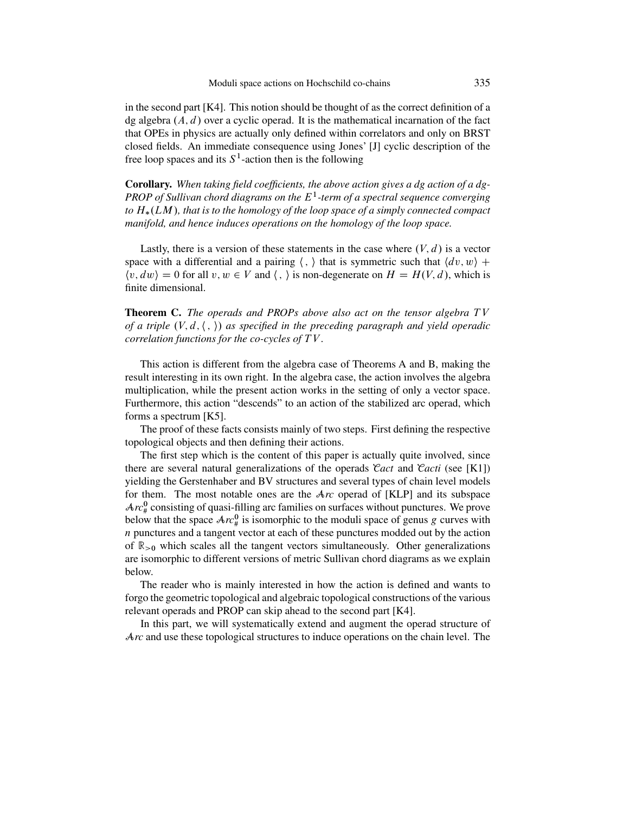in the second part  $[K4]$ . This notion should be thought of as the correct definition of a dg algebra  $(A, d)$  over a cyclic operad. It is the mathematical incarnation of the fact that OPEs in physics are actually only defined within correlators and only on BRST closed fields. An immediate consequence using Jones' [\[J\]](#page-49-0) cyclic description of the free loop spaces and its  $S<sup>1</sup>$ -action then is the following

**Corollary.** *When taking field coefficients, the above action gives a dg action of a dg-PROP of Sullivan chord diagrams on the* E1*-term of a spectral sequence converging to* H-.LM /*, that is to the homology of the loop space of a simply connected compact manifold, and hence induces operations on the homology of the loop space.*

Lastly, there is a version of these statements in the case where  $(V, d)$  is a vector space with a differential and a pairing  $\langle , \rangle$  that is symmetric such that  $\langle dv, w \rangle$  +  $\langle v, dw \rangle = 0$  for all  $v, w \in V$  and  $\langle , \rangle$  is non-degenerate on  $H = H(V, d)$ , which is finite dimensional.

**Theorem C.** *The operads and PROPs above also act on the tensor algebra TV of a triple*  $(V, d, \langle , \rangle)$  *as specified in the preceding paragraph and yield operadic correlation functions for the co-cycles of* T V *.*

This action is different from the algebra case of Theorems A and B, making the result interesting in its own right. In the algebra case, the action involves the algebra multiplication, while the present action works in the setting of only a vector space. Furthermore, this action "descends" to an action of the stabilized arc operad, which forms a spectrum [\[K5\]](#page-50-0).

The proof of these facts consists mainly of two steps. First defining the respective topological objects and then defining their actions.

The first step which is the content of this paper is actually quite involved, since there are several natural generalizations of the operads C*act* and C*acti* (see [\[K1\]](#page-50-0)) yielding the Gerstenhaber and BV structures and several types of chain level models for them. The most notable ones are the A*rc* operad of [\[KLP\]](#page-50-0) and its subspace  $Arc_{\#}^{0}$  consisting of quasi-filling arc families on surfaces without punctures. We prove below that the space  $Ar_{\#}^0$  is isomorphic to the moduli space of genus g curves with  $n$  punctures and a tangent vector at each of these punctures modded out by the action of  $\mathbb{R}_{>0}$  which scales all the tangent vectors simultaneously. Other generalizations are isomorphic to different versions of metric Sullivan chord diagrams as we explain below.

The reader who is mainly interested in how the action is defined and wants to forgo the geometric topological and algebraic topological constructions of the various relevant operads and PROP can skip ahead to the second part [\[K4\]](#page-50-0).

In this part, we will systematically extend and augment the operad structure of Arc and use these topological structures to induce operations on the chain level. The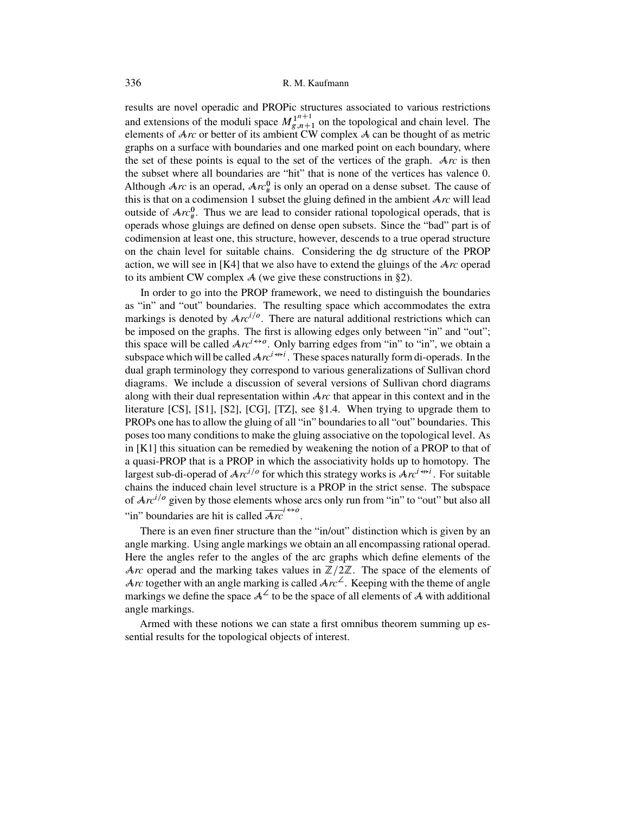results are novel operadic and PROPic structures associated to various restrictions and extensions of the moduli space  $M_{g,n+1}^{1^{n+1}}$  on the topological and chain level. The elements of  $Ar$  or better of its ambient CW complex  $\mathcal A$  can be thought of as metric elements of A*rc* or better of its ambient CW complex A can be thought of as metric graphs on a surface with boundaries and one marked point on each boundary, where the set of these points is equal to the set of the vertices of the graph. A*rc* is then the subset where all boundaries are "hit" that is none of the vertices has valence 0. Although  $Arc$  is an operad,  $Arc^0_{\#}$  is only an operad on a dense subset. The cause of this is that on a codimension 1 subset the gluing defined in the ambient A*rc* will lead outside of  $Arc_{\#}^{0}$ . Thus we are lead to consider rational topological operads, that is operads whose gluings are defined on dense open subsets. Since the "bad" part is of codimension at least one, this structure, however, descends to a true operad structure on the chain level for suitable chains. Considering the dg structure of the PROP action, we will see in [\[K4\]](#page-50-0) that we also have to extend the gluings of the A*rc* operad to its ambient CW complex  $A$  (we give these constructions in [§2\)](#page-12-0).

In order to go into the PROP framework, we need to distinguish the boundaries as "in" and "out" boundaries. The resulting space which accommodates the extra markings is denoted by  $Arc^{i/\rho}$ . There are natural additional restrictions which can be imposed on the graphs. The first is allowing edges only between "in" and "out"; this space will be called  $Ar^{i\leftrightarrow o}$ . Only barring edges from "in" to "in", we obtain a subspace which will be called  $Ar^{i \leftrightarrow i}$ . These spaces naturally form di-operads. In the dual graph terminology they correspond to various generalizations of Sullivan chord diagrams. We include a discussion of several versions of Sullivan chord diagrams along with their dual representation within A*rc* that appear in this context and in the literature  $[CS]$ ,  $[S1]$ ,  $[S2]$ ,  $[CG]$ ,  $[TZ]$ , see [§1.4.](#page-10-0) When trying to upgrade them to PROPs one has to allow the gluing of all "in" boundaries to all "out" boundaries. This poses too many conditions to make the gluing associative on the topological level. As in [\[K1\]](#page-50-0) this situation can be remedied by weakening the notion of a PROP to that of a quasi-PROP that is a PROP in which the associativity holds up to homotopy. The largest sub-di-operad of  $\text{Arc}^{i/o}$  for which this strategy works is  $\text{Arc}^{i\leftrightarrow i}$ . For suitable chains the induced chain level structure is a PROP in the strict sense. The subspace of  $Arc^{i/o}$  given by those elements whose arcs only run from "in" to "out" but also all "in" boundaries are hit is called  $\overline{Ar}^{l\leftrightarrow o}$ .

There is an even finer structure than the "in/out" distinction which is given by an angle marking. Using angle markings we obtain an all encompassing rational operad. Here the angles refer to the angles of the arc graphs which define elements of the Arc operad and the marking takes values in  $\mathbb{Z}/2\mathbb{Z}$ . The space of the elements of Arc together with an angle marking is called  $Arc^2$ . Keeping with the theme of angle markings we define the space  $A^2$  to be the space of all elements of A with additional angle markings.

Armed with these notions we can state a first omnibus theorem summing up essential results for the topological objects of interest.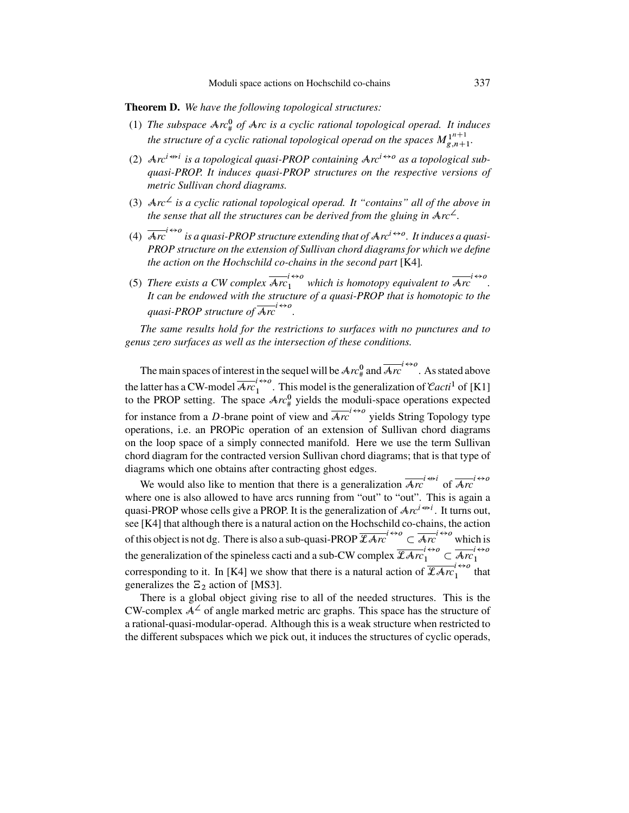**Theorem D.** *We have the following topological structures:*

- (1) The subspace  $\text{Ar}^0_{\#}$  of  $\text{Ar}c$  is a cyclic rational topological operad. It induces *the structure of a cyclic rational topological operad on the spaces*  $M_{g,n+1}^{1^{n+1}}$ .
- (2)  $Ar^{i \leftrightarrow i}$  *is a topological quasi-PROP containing*  $Ar^{i \leftrightarrow o}$  *as a topological subquasi-PROP. It induces quasi-PROP structures on the respective versions of metric Sullivan chord diagrams.*
- (3)  $Arc<sup>2</sup>$  *is a cyclic rational topological operad. It "contains" all of the above in the sense that all the structures can be derived from the gluing in*  $Arc^2$ .
- (4)  $\overline{Arc}^{1\leftrightarrow o}$  is a quasi-PROP structure extending that of  $Arc^{i\leftrightarrow o}$ . It induces a quasi-*PROP structure on the extension of Sullivan chord diagrams for which we define the action on the Hochschild co-chains in the second part* [\[K4\]](#page-50-0)*.*
- (5) There exists a CW complex  $\overline{Arc}_1^{1\leftrightarrow o}$  which is homotopy equivalent to  $\overline{Arc}^{1\leftrightarrow o}$ .<br>It can be endowed with the structure of a quasi-PROP that is homotopic to the *It can be endowed with the structure of a quasi-PROP that is homotopic to the* quasi-PROP structure of  $\overline{Arc}^{l\leftrightarrow o}$ .

*The same results hold for the restrictions to surfaces with no punctures and to genus zero surfaces as well as the intersection of these conditions.*

The main spaces of interest in the sequel will be  $Arc_{\#}^0$  and  $\overline{Arc}^{1\leftrightarrow o}$ . As stated above the latter has a CW-model  $\overline{Arc}_1^{1\leftrightarrow o}$ . This model is the generalization of *Cacti*<sup>1</sup> of [\[K1\]](#page-50-0) to the PROP setting. The space  $Arc_{\#}^{0}$  yields the moduli-space operations expected for instance from a D-brane point of view and  $\overline{Ar}$ <sup>1</sup>  $\leftrightarrow$ <sup>0</sup> yields String Topology type operations, i.e. an PROPic operation of an extension of Sullivan chord diagrams on the loop space of a simply connected manifold. Here we use the term Sullivan chord diagram for the contracted version Sullivan chord diagrams; that is that type of diagrams which one obtains after contracting ghost edges.

We would also like to mention that there is a generalization  $\overline{Arc}^{i \leftrightarrow i}$  of  $\overline{Arc}^{i \leftrightarrow o}$ where one is also allowed to have arcs running from "out" to "out". This is again a quasi-PROP whose cells give a PROP. It is the generalization of  $Ar^{i\leftrightarrow i}$ . It turns out, see [\[K4\]](#page-50-0) that although there is a natural action on the Hochschild co-chains, the action of this object is not dg. There is also a sub-quasi-PROP  $\overline{\mathcal{L}Ar}^{1\leftrightarrow o} \subset \overline{\mathcal{A}rc}^{1\leftrightarrow o}$  which is the generalization of the spineless cacti and a sub-CW complex  $\overline{\mathcal{Z}Arc}_1^{1\leftrightarrow o} \subset \overline{Arc}_1^{1\leftrightarrow o}$ corresponding to it. In [\[K4\]](#page-50-0) we show that there is a natural action of  $\overline{\mathcal{L}Arc}_1^{i\leftrightarrow o}$  that generalizes the  $\Xi_2$  action of [\[MS3\]](#page-50-0).

There is a global object giving rise to all of the needed structures. This is the CW-complex  $A^2$  of angle marked metric arc graphs. This space has the structure of a rational-quasi-modular-operad. Although this is a weak structure when restricted to the different subspaces which we pick out, it induces the structures of cyclic operads,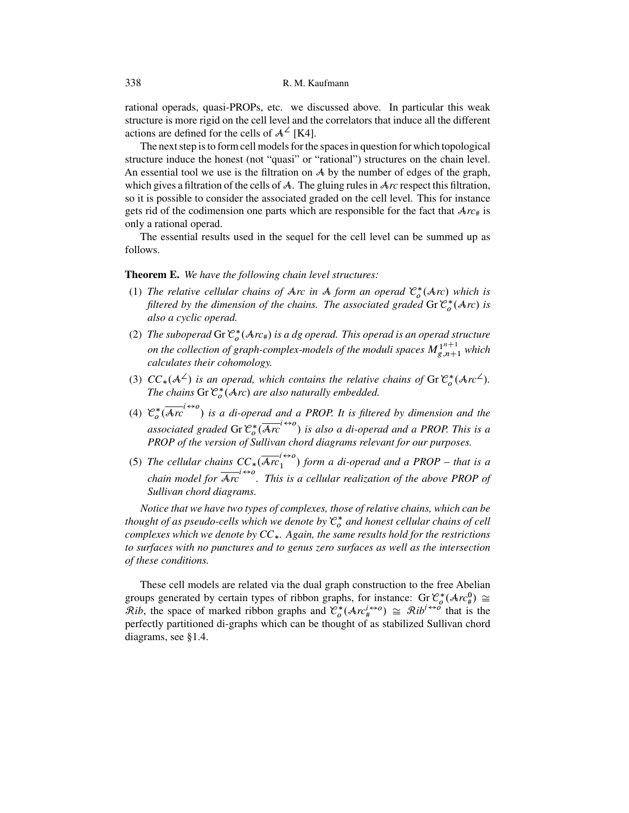rational operads, quasi-PROPs, etc. we discussed above. In particular this weak structure is more rigid on the cell level and the correlators that induce all the different actions are defined for the cells of  $A^{\angle}$  [\[K4\]](#page-50-0).

The next step is to form cell models for the spaces in question for which topological structure induce the honest (not "quasi" or "rational") structures on the chain level. An essential tool we use is the filtration on  $\mathcal A$  by the number of edges of the graph, which gives a filtration of the cells of A. The gluing rules in A*rc* respect this filtration, so it is possible to consider the associated graded on the cell level. This for instance gets rid of the codimension one parts which are responsible for the fact that  $Arc_{\#}$  is only a rational operad.

The essential results used in the sequel for the cell level can be summed up as follows.

#### **Theorem E.** *We have the following chain level structures:*

- (1) The relative cellular chains of A*rc* in A form an operad  $\mathcal{C}_o^*(\mathcal{A}r)$  which is<br>filtered by the dimension of the chains. The associated graded Gr  $\mathcal{C}^*(\mathcal{A}r)$  is *filtered by the dimension of the chains. The associated graded* Gr  $C_o^*(Arc)$  *is* also a cyclic onerad *also a cyclic operad.*
- (2) *The suboperad* Gr  $C_o^*(Arc_{\#})$  *is a dg operad. This operad is an operad structure*<br>or the sollection of events counter weakle of the weaklignesses  $M_1^{n+1}$ , which *on the collection of graph-complex-models of the moduli spaces*  $M^{1^n+1}_{g,n+1}$  which calculates their cohomology *calculates their cohomology.*
- (3)  $CC_*(\mathcal{A}^{\angle})$  is an operad, which contains the relative chains of Gr  $\mathcal{C}_o^*(Arc^{\angle})$ .<br>The chains Gr  $\mathcal{C}^*(Ar)$  are also naturally emhedded. *The chains* Gr  $\mathcal{C}_o^*(\mathcal{A}rc)$  are also naturally embedded.
- (4)  $\mathcal{C}_o^* (\overline{Arc'}^{t\leftrightarrow o})$  is a di-operad and a PROP. It is filtered by dimension and the associated graded Gr  $\mathcal{C}_o^*(\overline{Arc}^{1\leftrightarrow o})$  is also a di-operad and a PROP. This is a associated graded Gr  $C_o^*(Arc^{\cdots})$  is also a di-operad and a PROP. This<br>PROP of the version of Sullivan chord diagrams relevant for our purposes.
- (5) *The cellular chains*  $CC_* (\overline{Arc'}_1^{\leftrightarrow o})$  *form a di-operad and a PROP that is a chain model for*  $\overline{Arc}^{t\leftrightarrow o}$ . This is a cellular realization of the above PROP of *Sullivan chord diagrams.*

*Notice that we have two types of complexes, those of relative chains, which can be thought of as pseudo-cells which we denote by*  $C_o^*$  *and honest cellular chains of cell*<br>complexes which we denote by  $CC - A_a$  agin, the same results hold for the restrictions *complexes which we denote by CC*-*. Again, the same results hold for the restrictions to surfaces with no punctures and to genus zero surfaces as well as the intersection of these conditions.*

These cell models are related via the dual graph construction to the free Abelian groups generated by certain types of ribbon graphs, for instance: Gr  $\mathcal{C}_o^*(\mathcal{A}r c_{\theta}^{\mathcal{A}})$ <br>  $\mathcal{R}$ *ib* the space of marked ribbon graphs and  $\mathcal{C}^*(\mathcal{A}r c^{(\mathcal{A} \times \mathcal{O})}) \sim \mathcal{R}i b^{(\mathcal{A} \times \mathcal{O})}$  that is groups generated by certain types of ribbon graphs, for instance:  $Gr C_o^*(Arc_{\#}^0) \cong$ <br>  $\mathcal{R}ib$ , the space of marked ribbon graphs and  $C_o^*(\mathcal{Ar}_i^{\leftrightarrow o}) \cong \mathcal{R}ib^{i \leftrightarrow o}$  that is the<br>
nerfectly partitioned di-graphs which perfectly partitioned di-graphs which can be thought of as stabilized Sullivan chord diagrams, see [§1.4.](#page-10-0)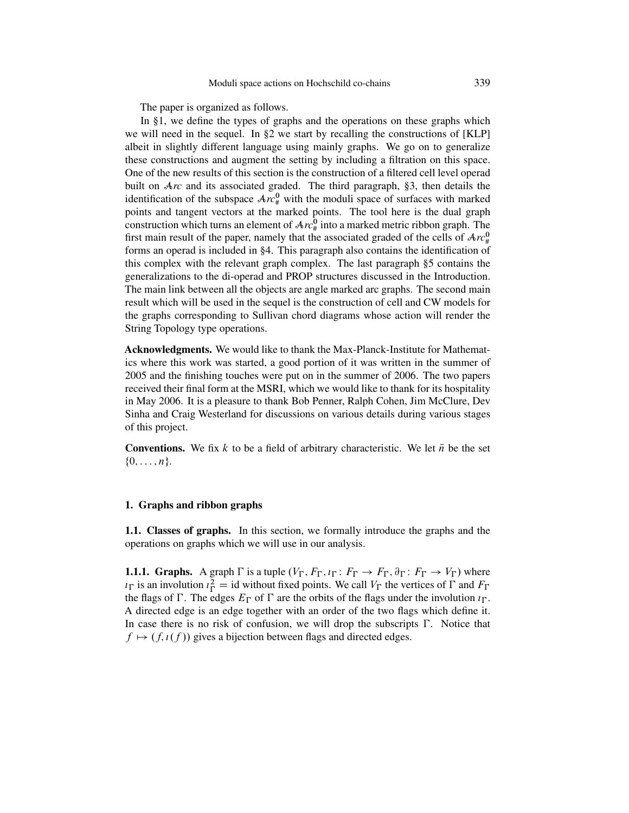The paper is organized as follows.

In §1, we define the types of graphs and the operations on these graphs which we will need in the sequel. In  $\S2$  we start by recalling the constructions of [\[KLP\]](#page-50-0) albeit in slightly different language using mainly graphs. We go on to generalize these constructions and augment the setting by including a filtration on this space. One of the new results of this section is the construction of a filtered cell level operad built on A*rc* and its associated graded. The third paragraph, §3, then details the identification of the subspace  $Arc_{\#}^{0}$  with the moduli space of surfaces with marked points and tangent vectors at the marked points. The tool here is the dual graph construction which turns an element of  $Arc_{\#}^{0}$  into a marked metric ribbon graph. The first main result of the paper, namely that the associated graded of the cells of  $Arc_{\#}^0$ forms an operad is included in §4. This paragraph also contains the identification of this complex with the relevant graph complex. The last paragraph §5 contains the generalizations to the di-operad and PROP structures discussed in the Introduction. The main link between all the objects are angle marked arc graphs. The second main result which will be used in the sequel is the construction of cell and CW models for the graphs corresponding to Sullivan chord diagrams whose action will render the String Topology type operations.

**Acknowledgments.** We would like to thank the Max-Planck-Institute for Mathematics where this work was started, a good portion of it was written in the summer of 2005 and the finishing touches were put on in the summer of 2006. The two papers received their final form at the MSRI, which we would like to thank for its hospitality in May 2006. It is a pleasure to thank Bob Penner, Ralph Cohen, Jim McClure, Dev Sinha and Craig Westerland for discussions on various details during various stages of this project.

**Conventions.** We fix k to be a field of arbitrary characteristic. We let  $\bar{n}$  be the set  $\{0,\ldots,n\}.$ 

#### **1. Graphs and ribbon graphs**

**1.1. Classes of graphs.** In this section, we formally introduce the graphs and the operations on graphs which we will use in our analysis.

**1.1.1. Graphs.** A graph  $\Gamma$  is a tuple  $(V_{\Gamma}, F_{\Gamma}, I_{\Gamma} : F_{\Gamma} \to F_{\Gamma}, \partial_{\Gamma} : F_{\Gamma} \to V_{\Gamma})$  where  $u_{\Gamma}$  is an involution  $u_{\Gamma}^2 = id$  without fixed points. We call  $V_{\Gamma}$  the vertices of  $\Gamma$  and  $F_{\Gamma}$ <br>the flags of  $\Gamma$ . The edges  $F_{\Gamma}$  of  $\Gamma$  are the orbits of the flags under the involution  $u_{\Gamma}$ the flags of  $\Gamma$ . The edges  $E_{\Gamma}$  of  $\Gamma$  are the orbits of the flags under the involution  $i_{\Gamma}$ . A directed edge is an edge together with an order of the two flags which define it. In case there is no risk of confusion, we will drop the subscripts  $\Gamma$ . Notice that  $f \mapsto (f, \iota(f))$  gives a bijection between flags and directed edges.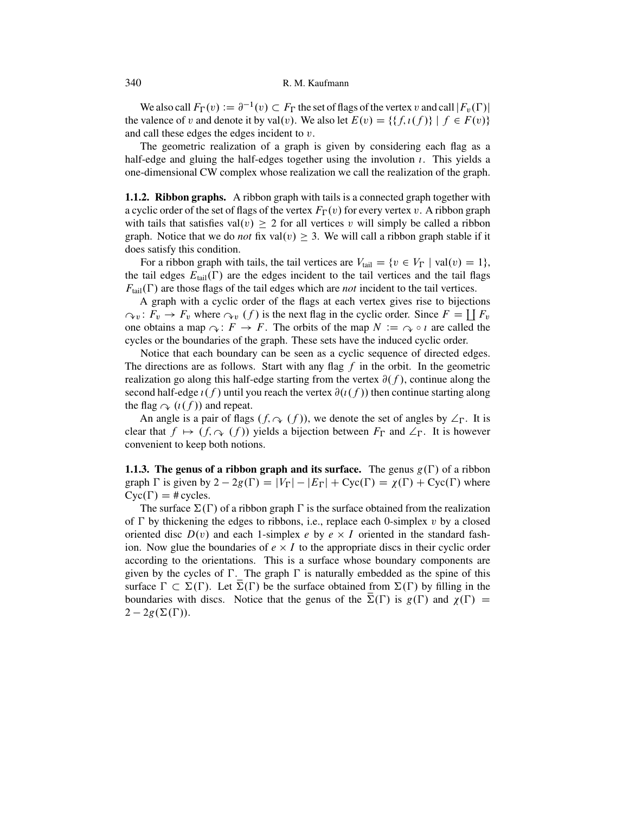We also call  $F_{\Gamma}(v) := \partial^{-1}(v) \subset F_{\Gamma}$  the set of flags of the vertex v and call  $|F_v(\Gamma)|$ <br>valence of v and denote it by val(v). We also let  $F(v) = \{f_t(f)\} | f \in F(v)\}$ the valence of v and denote it by val(v). We also let  $E(v) = \{ \{ f, \iota(f) \} \mid f \in F(v) \}$ and call these edges the edges incident to v.

The geometric realization of a graph is given by considering each flag as a half-edge and gluing the half-edges together using the involution  $\iota$ . This yields a one-dimensional CW complex whose realization we call the realization of the graph.

**1.1.2. Ribbon graphs.** A ribbon graph with tails is a connected graph together with a cyclic order of the set of flags of the vertex  $F_{\Gamma}(v)$  for every vertex v. A ribbon graph<br>with tails that satisfies  $val(v) > 2$  for all vertices v will simply be called a ribbon with tails that satisfies val $(v) \geq 2$  for all vertices v will simply be called a ribbon graph. Notice that we do *not* fix val $(v) \geq 3$ . We will call a ribbon graph stable if it does satisfy this condition.

For a ribbon graph with tails, the tail vertices are  $V_{\text{tail}} = \{v \in V_{\Gamma} \mid \text{val}(v) = 1\}$ , tail edges  $F_{\text{cut}}(\Gamma)$  are the edges incident to the tail vertices and the tail flags the tail edges  $E_{\text{tail}}(\Gamma)$  are the edges incident to the tail vertices and the tail flags  $F_{tail}(\Gamma)$  are those flags of the tail edges which are *not* incident to the tail vertices.

A graph with a cyclic order of the flags at each vertex gives rise to bijections  $\partial_{\mathbf{v}} \colon F_v \to F_v$  where  $\partial_{\mathbf{v}} (f)$  is the next flag in the cyclic order. Since  $F = \prod F_v$ one obtains a map  $\gamma$ :  $F \to F$ . The orbits of the map  $N := \gamma \circ \iota$  are called the cycles or the boundaries of the graph. These sets have the induced cyclic order.

Notice that each boundary can be seen as a cyclic sequence of directed edges. The directions are as follows. Start with any flag  $f$  in the orbit. In the geometric realization go along this half-edge starting from the vertex  $\partial(f)$ , continue along the second half-edge  $\iota(f)$  until you reach the vertex  $\partial(\iota(f))$  then continue starting along the flag  $\varphi$   $(\iota(f))$  and repeat.

An angle is a pair of flags  $(f, \neg (f))$ , we denote the set of angles by  $\angle_{\Gamma}$ . It is not that  $f \mapsto (f \cap (f))$  yields a bijection between  $F_{\Gamma}$  and  $\angle_{\Gamma}$ . It is however clear that  $f \mapsto (f, \varphi(f))$  yields a bijection between  $F_{\Gamma}$  and  $\angle_{\Gamma}$ . It is however convenient to keep both notions convenient to keep both notions.

**1.1.3. The genus of a ribbon graph and its surface.** The genus  $g(\Gamma)$  of a ribbon graph  $\Gamma$  is given by  $2 - 2g(\Gamma) = |V_{\Gamma}| - |E_{\Gamma}| + \text{Cyc}(\Gamma) = \chi(\Gamma) + \text{Cyc}(\Gamma)$  where<br>Cyc( $\Gamma$ ) = # cycles  $Cyc(\Gamma) = # cycles.$ <br>The surface  $\Sigma(\Gamma)$ 

The surface  $\Sigma(\Gamma)$  of a ribbon graph  $\Gamma$  is the surface obtained from the realization of  $\Gamma$  by thickening the edges to ribbons, i.e., replace each 0-simplex  $v$  by a closed oriented disc  $D(v)$  and each 1-simplex e by  $e \times I$  oriented in the standard fashion. Now glue the boundaries of  $e \times I$  to the appropriate discs in their cyclic order according to the orientations. This is a surface whose boundary components are given by the cycles of  $\Gamma$ . The graph  $\Gamma$  is naturally embedded as the spine of this surface  $\Gamma \subset \Sigma(\Gamma)$ . Let  $\Sigma(\Gamma)$  be the surface obtained from  $\Sigma(\Gamma)$  by filling in the boundaries with discs. Notice that the genus of the  $\overline{\Sigma}(\Gamma)$  is  $g(\Gamma)$  and  $\chi(\Gamma) = 2 - 2g(\Sigma(\Gamma))$ .  $2-2g(\Sigma(\Gamma)).$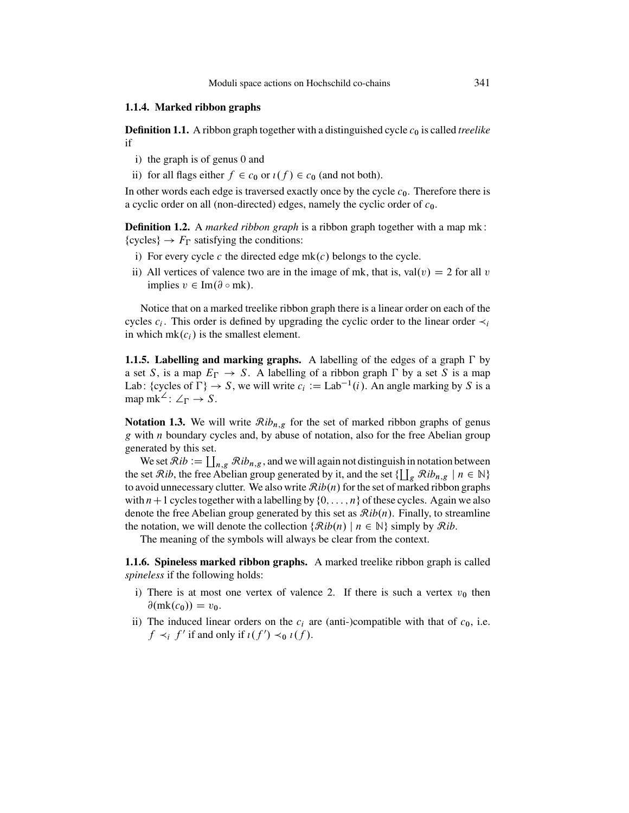#### <span id="page-8-0"></span>**1.1.4. Marked ribbon graphs**

**Definition 1.1.** A ribbon graph together with a distinguished cycle  $c_0$  is called *treelike* if

- i) the graph is of genus 0 and
- ii) for all flags either  $f \in c_0$  or  $\iota(f) \in c_0$  (and not both).

In other words each edge is traversed exactly once by the cycle  $c_0$ . Therefore there is a cyclic order on all (non-directed) edges, namely the cyclic order of  $c_0$ .

**Definition 1.2.** A *marked ribbon graph* is a ribbon graph together with a map mk: {cycles}  $\rightarrow$   $F_{\Gamma}$  satisfying the conditions:

- i) For every cycle c the directed edge  $mk(c)$  belongs to the cycle.
- ii) All vertices of valence two are in the image of mk, that is, val(v) = 2 for all v implies  $v \in \text{Im}(\partial \circ \text{mk}).$

Notice that on a marked treelike ribbon graph there is a linear order on each of the cycles  $c_i$ . This order is defined by upgrading the cyclic order to the linear order  $\prec_i$ in which  $mk(c_i)$  is the smallest element.

**1.1.5. Labelling and marking graphs.** A labelling of the edges of a graph  $\Gamma$  by a set S, is a map  $E_{\Gamma} \to S$ . A labelling of a ribbon graph  $\Gamma$  by a set S is a map<br>Lab: foucles of  $\Gamma$ )  $\rightarrow$  S, we will write  $a := L \text{ ab}^{-1}(i)$ . An angle marking by S is a  $\Gamma \rightarrow S$ . A labelling of a ribbon graph  $\Gamma$ <br> $\rightarrow$  S we will write  $c_i := I$  ab<sup>-1</sup>(i) An an Lab: {cycles of  $\Gamma$ <br>man mk<sup>2</sup>:  $\angle$ r  $\rightarrow$  $g \} \rightarrow S$ , we will write  $c_i := \text{Lab}^{-1}(i)$ . An angle marking by S is a map mk<sup>2</sup>:  $\angle$ <sub>F</sub>  $\rightarrow$  *S*.

**Notation 1.3.** We will write  $\mathcal{R}ib_{n,g}$  for the set of marked ribbon graphs of genus  $g$  with *n* boundary cycles and, by abuse of notation, also for the free Abelian group generated by this set.

We set  $\mathcal{R}ib := \coprod_{n,g} \mathcal{R}ib_{n,g}$ , and we will again not distinguish in notation between<br>set  $\mathcal{R}ib$ , the free Abelian group generated by it, and the set  $\{I\}$ ,  $\mathcal{R}ib$ ,  $\vdash n \in \mathbb{N}\}$ the set  $\mathcal{R}ib$ , the free Abelian group generated by it, and the set  $\{ \prod_g \mathcal{R}ib_{n,g} \mid n \in \mathbb{N} \}$ <br>to avoid unnecessary clutter. We also write  $\mathcal{R}ib(n)$  for the set of marked ribbon graphs to avoid unnecessary clutter. We also write  $\mathcal{R}ib(n)$  for the set of marked ribbon graphs with  $n+1$  cycles together with a labelling by  $\{0, \ldots, n\}$  of these cycles. Again we also denote the free Abelian group generated by this set as  $\mathcal{R}ib(n)$ . Finally, to streamline the notation, we will denote the collection  $\{\mathcal{R}ib(n) \mid n \in \mathbb{N}\}\$  simply by  $\mathcal{R}ib$ .

The meaning of the symbols will always be clear from the context.

**1.1.6. Spineless marked ribbon graphs.** A marked treelike ribbon graph is called *spineless* if the following holds:

- i) There is at most one vertex of valence 2. If there is such a vertex  $v_0$  then  $\partial(mk(c_0)) = v_0.$
- ii) The induced linear orders on the  $c_i$  are (anti-)compatible with that of  $c_0$ , i.e.  $f \prec_i f'$  if and only if  $\iota(f') \prec_0 \iota(f)$ .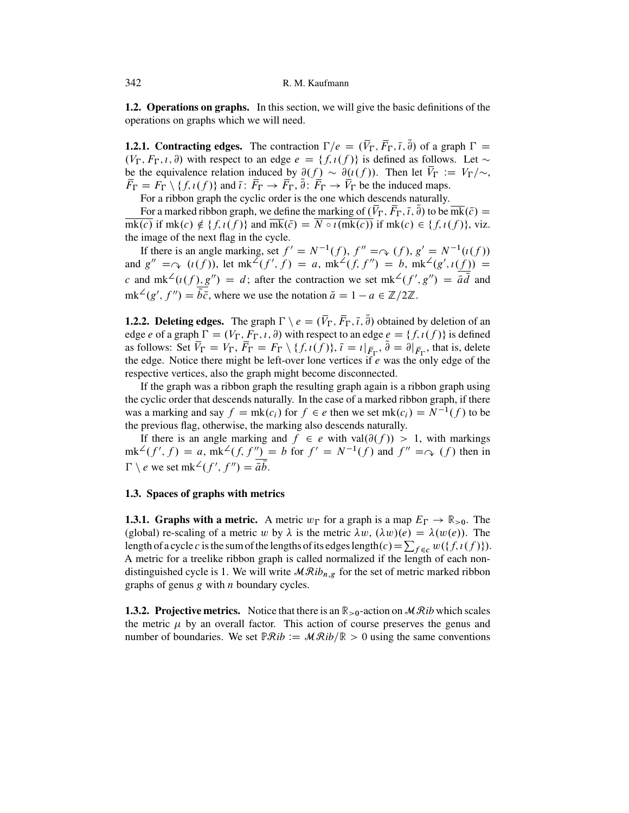<span id="page-9-0"></span>**1.2. Operations on graphs.** In this section, we will give the basic definitions of the operations on graphs which we will need.

**1.2.1. Contracting edges.** The contraction  $\Gamma/e = (V_{\Gamma}, F_{\Gamma}, \bar{i}, \partial)$  of a graph  $\Gamma$ <br> $(V_{\Gamma}, F_{\Gamma}, i, \partial)$  with respect to an edge  $e = (f_1(f))$  is defined as follows. Let **1.2.1. Contracting edges.** The contraction  $\Gamma/e = (V_{\Gamma}, F_{\Gamma}, \bar{\imath}, \partial)$  of a graph  $\Gamma = (V_{\Gamma}, F_{\Gamma}, \bar{\imath}, \partial)$  with respect to an edge  $e = \{f, \bar{\imath}(f)\}$  is defined as follows. Let  $\sim$  be the equivalence relation induced by be the equivalence relation induced by  $\partial(f) \sim \partial(i(f))$ . Then let  $V_{\Gamma} := V_{\Gamma}/\sim$ ,<br>  $\overline{F}_{\Gamma} = F_{\Gamma} \setminus \{f_i(f)\}$  and  $\overline{i} \colon \overline{F}_{\Gamma} \to \overline{F}_{\Gamma}$   $\overline{\partial} \colon \overline{F}_{\Gamma} \to \overline{V}_{\Gamma}$  be the induced mans  $F_{\Gamma} = F_{\Gamma} \setminus \{f, \iota(f)\}$  and  $\overline{\iota} : F_{\Gamma} \to F_{\Gamma}, \partial : F_{\Gamma} \to V_{\Gamma}$  be the induced maps.<br>For a ribbon graph the evolve order is the one which descends naturally

For a ribbon graph the cyclic order is the one which descends naturally.

For a marked ribbon graph, we define the marking of  $(V_{\Gamma}, F_{\Gamma}, \bar{\iota}, \partial)$  to be mk $(\bar{c}) =$ <br> $\overline{(c)}$  if mk(c)  $\notin \{f \cdot \iota(f)\}$  and  $\overline{mk}(\bar{c}) = \overline{N \circ \iota(mk(c))}$  if mk(c)  $\in \{f \cdot \iota(f)\}$  viz  $\overline{mk(c)}$  if mk(c)  $\notin \{f, \iota(f)\}\$  and  $\overline{mk}(\overline{c}) = \overline{N \circ \iota(mk(c))}$  if mk(c)  $\in \{f, \iota(f)\}\$ , viz. the image of the next flag in the cycle.

If there is an angle marking, set  $f' = N^{-1}(f)$ ,  $f'' = \varphi(f)$ ,  $g' = N^{-1}(t(f))$ <br> $g'' = \varphi(t(f))$  let  $mk^2(f' \ f) = g$ ,  $mk^2(f' \ f'') = h$ ,  $mk^2(g', t(f)) =$ and  $g'' = \bigcirc (i(f))$ , let  $mk^2(f', f) = a$ ,  $mk^2(f, f'') = b$ ,  $mk^2(g', i(f)) =$ c and mk<sup>2</sup>( $i(f), g''$ ) = d; after the contraction we set mk<sup>2</sup>( $f'', g''$ ) =  $\bar{a}d$  and  $mk^2(g', f'') = b\bar{c}$ , where we use the notation  $\bar{a} = 1 - a \in \mathbb{Z}/2\mathbb{Z}$ .

**1.2.2. Deleting edges.** The graph  $\Gamma \setminus e = (V_{\Gamma}, F_{\Gamma}, \overline{t}, \overline{\theta})$  obtained by deletion of an order a of a graph  $\Gamma = (V_{\Gamma}, F_{\Gamma}, \overline{t}, \overline{\theta})$  with respect to an order  $e = (f_1(f_1))$  is defined **1.2.2. Deleting edges.** The graph  $\Gamma \setminus e = (V_{\Gamma}, F_{\Gamma}, \bar{\imath}, \partial)$  obtained by deletion of an edge  $e$  of a graph  $\Gamma = (V_{\Gamma}, F_{\Gamma}, \bar{\imath}, \partial)$  with respect to an edge  $e = \{f, \bar{\imath}(f)\}$  is defined as follows: Set  $\overline{V}_{\Gamma} = V_{\$ as follows: Set  $V_{\Gamma} = V_{\Gamma}$ ,  $F_{\Gamma} = F_{\Gamma} \setminus \{f, \iota(f)\}, \overline{\iota} = \iota|_{\overline{F}_{\Gamma}}, \partial = \partial|_{\overline{F}_{\Gamma}}$ , that is, delete the edge. Notice there might be left-over lone vertices if e was the only edge of the edge. Notice there might be left-over lone vertices if e was the only edge of the respective vertices, also the graph might become disconnected.

If the graph was a ribbon graph the resulting graph again is a ribbon graph using the cyclic order that descends naturally. In the case of a marked ribbon graph, if there was a marking and say  $f = mk(c_i)$  for  $f \in e$  then we set  $mk(c_i) = N^{-1}(f)$  to be the previous flag, otherwise, the marking also descends naturally.

If there is an angle marking and  $f \in e$  with val $(\partial(f)) > 1$ , with markings  $\text{imk}^{\angle}(f', f) = a$ ,  $\text{imk}^{\angle}(f, f'') = b$  for  $f' = N^{-1}(f)$  and  $f'' = \varphi(f)$  then in  $\Gamma \setminus e$  we set mk<sup>2</sup> $(f', f'') = \bar{a}b$ .

#### **1.3. Spaces of graphs with metrics**

**1.3.1. Graphs with a metric.** A metric  $w_{\Gamma}$  for a graph is a map  $E_{\Gamma} \to \mathbb{R}_{>0}$ . The (global) re-scaling of a metric w by  $\lambda$  is the metric  $\lambda w_{\Gamma}( \lambda w)(e) = \lambda (w(e))$ . The (global) re-scaling of a metric w by  $\lambda$  is the metric  $\lambda w$ ,  $(\lambda w)(e) = \lambda (w(e))$ . The length of a cycle c is the sum of the lengths of its edges length  $(c) = \sum_{f \in c} w({f, \iota(f)})$ . A metric for a treelike ribbon graph is called normalized if the length of each nondistinguished cycle is 1. We will write  $\mathcal{MR}ib_{n,g}$  for the set of metric marked ribbon graphs of genus  $g$  with  $n$  boundary cycles.

**1.3.2. Projective metrics.** Notice that there is an  $\mathbb{R}_{\geq 0}$ -action on  $\mathcal{MR}$  which scales the metric  $\mu$  by an overall factor. This action of course preserves the genus and number of boundaries. We set  $\mathbb{P} \mathcal{R}$ *ib* :=  $\mathcal{M} \mathcal{R}$ *ib*/ $\mathbb{R} > 0$  using the same conventions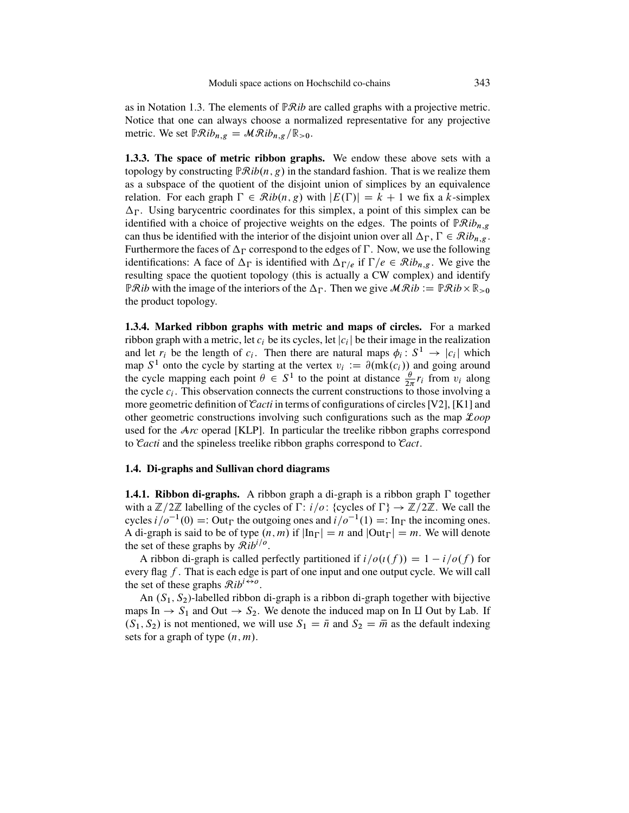<span id="page-10-0"></span>as in Notation [1.3.](#page-8-0) The elements of PR*ib* are called graphs with a projective metric. Notice that one can always choose a normalized representative for any projective metric. We set  $\mathbb{P} \mathcal{R}ib_{n,g} = \mathcal{M} \mathcal{R}ib_{n,g}/\mathbb{R}_{>0}$ .

**1.3.3. The space of metric ribbon graphs.** We endow these above sets with a topology by constructing  $\mathbb{R}$ *Rib* $(n, g)$  in the standard fashion. That is we realize them as a subspace of the quotient of the disjoint union of simplices by an equivalence relation. For each graph  $\Gamma \in \mathcal{R}ib(n, g)$  with  $|E(\Gamma)| = k + 1$  we fix a k-simplex<br>A<sub>E</sub> Hsing barycentric coordinates for this simplex a point of this simplex can be  $\Delta_{\Gamma}$ . Using barycentric coordinates for this simplex, a point of this simplex can be identified with a choice of projective weights on the edges. The points of  $\mathbb{R}^{\mathcal{D}}$  is identified with a choice of projective weights on the edges. The points of  $\mathbb{P} \mathcal{R}ib_{n,g}$ can thus be identified with the interior of the disjoint union over all  $\Delta_{\Gamma}$ ,  $\Gamma \in \mathcal{R}ib_{n,g}$ .<br>Furthermore the faces of  $\Delta_{\Gamma}$  correspond to the edges of  $\Gamma$ . Now, we use the following Furthermore the faces of  $\Delta_{\Gamma}$  correspond to the edges of  $\Gamma$ . Now, we use the following<br>identified to the independent of  $\Delta_{\Gamma}$  is identified with  $\Delta_{\Gamma}$ , if  $\Gamma/c \subset \mathcal{P}$  is  $\Gamma$ . We give the identifications: A face of  $\Delta_{\Gamma}$  is identified with  $\Delta_{\Gamma/e}$  if  $\Gamma/e \in Rib_{n,g}$ . We give the cup is interest topology (this is actually a CW complex) and identify resulting space the quotient topology (this is actually a CW complex) and identify  $\mathbb{P}Rib$  with the image of the interiors of the  $\Delta_{\Gamma}$ . Then we give  $\mathcal{MR}ib := \mathbb{P}Rib \times \mathbb{R}_{\geq 0}$ <br>the product topology the product topology.

**1.3.4. Marked ribbon graphs with metric and maps of circles.** For a marked ribbon graph with a metric, let  $c_i$  be its cycles, let  $|c_i|$  be their image in the realization<br>and let  $r_i$  be the length of  $c_i$ . Then there are natural maps  $\phi_i : S^1 \to |c_i|$  which and let  $r_i$  be the length of  $c_i$ . Then there are natural maps  $\phi_i : S^1 \to |c_i|$  which<br>map  $S^1$  onto the cycle by starting at the vertex  $v_i := \partial (mk(c_i))$  and going around map  $S^1$  onto the cycle by starting at the vertex  $v_i := \partial(mk(c_i))$  and going around the cycle mapping each point  $\theta \in S^1$  to the point at distance  $\frac{\theta}{2\pi}r_i$  from  $v_i$  along the cycle  $c_i$ . This observation connects the current constructions to those involving a the cycle  $c_i$ . This observation connects the current constructions to those involving a more geometric definition of C*acti* in terms of configurations of circles [\[V2\]](#page-51-0), [\[K1\]](#page-50-0) and other geometric constructions involving such configurations such as the map L*oop* used for the A*rc* operad [\[KLP\]](#page-50-0). In particular the treelike ribbon graphs correspond to C*acti* and the spineless treelike ribbon graphs correspond to C*act*.

#### **1.4. Di-graphs and Sullivan chord diagrams**

**1.4.1. Ribbon di-graphs.** A ribbon graph a di-graph is a ribbon graph  $\Gamma$  together with a  $\mathbb{Z}/2\mathbb{Z}$  labelling of the cycles of  $\Gamma: i/o: \{\text{cycles of } \Gamma\} \to \mathbb{Z}/2\mathbb{Z}$ . We call the cycles  $i/o^{-1}(0) - \text{Out}_{\Gamma}$  the outgoing ones and  $i/o^{-1}(1) - \text{In}_{\Gamma}$  the incoming ones cycles  $i/\sigma^{-1}(0) =:$  Out<sub>F</sub> the outgoing ones and  $i/\sigma^{-1}(1) =: \text{In}_{\Gamma}$  the incoming ones.<br>A di-graph is said to be of type  $(n, m)$  if  $|\text{In}_{\Gamma}| = n$  and  $|\text{Out}_{\Gamma}| = m$ . We will denote A di-graph is said to be of type  $(n, m)$  if  $|\text{In}_{\Gamma}| = n$  and  $|\text{Out}_{\Gamma}| = m$ . We will denote the set of these graphs by  $\mathcal{R}ih^{i/o}$ the set of these graphs by  $\mathcal{R}ib^{i/o}$ .

A ribbon di-graph is called perfectly partitioned if  $i/o(t(f)) = 1 - i/o(f)$  for every flag  $f$ . That is each edge is part of one input and one output cycle. We will call the set of these graphs  $\mathcal{R}ib^{i\leftrightarrow o}$ .

An  $(S_1, S_2)$ -labelled ribbon di-graph is a ribbon di-graph together with bijective maps In  $\rightarrow$  S<sub>1</sub> and Out  $\rightarrow$  S<sub>2</sub>. We denote the induced map on In II Out by Lab. If  $(S_1, S_2)$  is not mentioned, we will use  $S_1 = \bar{n}$  and  $S_2 = \bar{m}$  as the default indexing sets for a graph of type  $(n, m)$ .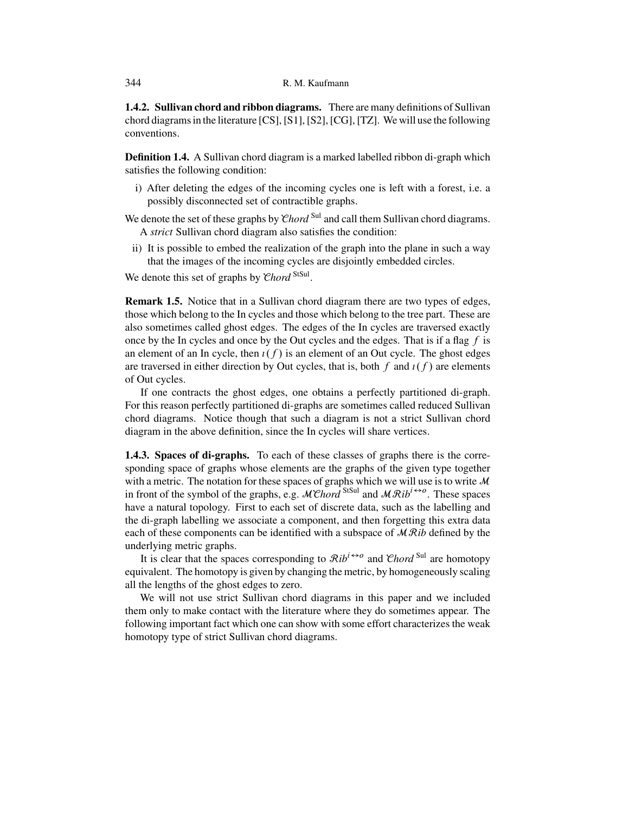<span id="page-11-0"></span>**1.4.2. Sullivan chord and ribbon diagrams.** There are many definitions of Sullivan chord diagrams in the literature [\[CS\]](#page-49-0), [\[S1\]](#page-51-0), [\[S2\]](#page-51-0), [\[CG\]](#page-49-0), [\[TZ\]](#page-51-0). We will use the following conventions.

**Definition 1.4.** A Sullivan chord diagram is a marked labelled ribbon di-graph which satisfies the following condition:

i) After deleting the edges of the incoming cycles one is left with a forest, i.e. a possibly disconnected set of contractible graphs.

We denote the set of these graphs by *Chord*<sup>Sul</sup> and call them Sullivan chord diagrams. A *strict* Sullivan chord diagram also satisfies the condition:

ii) It is possible to embed the realization of the graph into the plane in such a way that the images of the incoming cycles are disjointly embedded circles.

We denote this set of graphs by *Chord* StSul.

**Remark 1.5.** Notice that in a Sullivan chord diagram there are two types of edges, those which belong to the In cycles and those which belong to the tree part. These are also sometimes called ghost edges. The edges of the In cycles are traversed exactly once by the In cycles and once by the Out cycles and the edges. That is if a flag  $f$  is an element of an In cycle, then  $\iota(f)$  is an element of an Out cycle. The ghost edges are traversed in either direction by Out cycles, that is, both f and  $\iota(f)$  are elements of Out cycles.

If one contracts the ghost edges, one obtains a perfectly partitioned di-graph. For this reason perfectly partitioned di-graphs are sometimes called reduced Sullivan chord diagrams. Notice though that such a diagram is not a strict Sullivan chord diagram in the above definition, since the In cycles will share vertices.

**1.4.3. Spaces of di-graphs.** To each of these classes of graphs there is the corresponding space of graphs whose elements are the graphs of the given type together with a metric. The notation for these spaces of graphs which we will use is to write  $\mathcal M$ in front of the symbol of the graphs, e.g.  $\mathcal{M}\mathcal{C}$ *hord*<sup>StSul</sup> and  $\mathcal{M}\mathcal{R}$ *ib*<sup>*i* $\leftrightarrow$ o. These spaces</sup> have a natural topology. First to each set of discrete data, such as the labelling and the di-graph labelling we associate a component, and then forgetting this extra data each of these components can be identified with a subspace of MR*ib* defined by the underlying metric graphs.

It is clear that the spaces corresponding to  $\mathcal{R}ib^{i\leftrightarrow o}$  and Chord<sup>Sul</sup> are homotopy equivalent. The homotopy is given by changing the metric, by homogeneously scaling all the lengths of the ghost edges to zero.

We will not use strict Sullivan chord diagrams in this paper and we included them only to make contact with the literature where they do sometimes appear. The following important fact which one can show with some effort characterizes the weak homotopy type of strict Sullivan chord diagrams.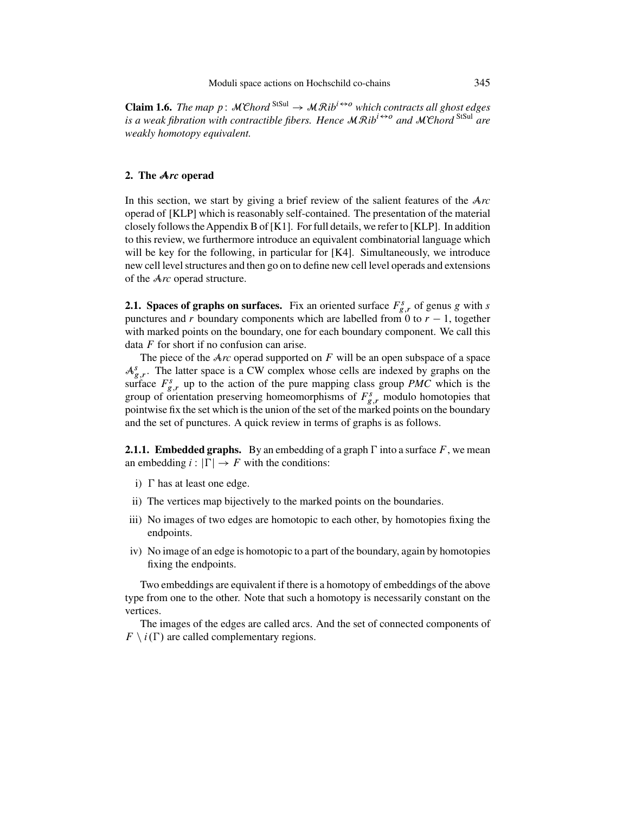<span id="page-12-0"></span>**Claim 1.6.** *The map p*:  $\mathcal{M}\mathcal{C}$ *hord*  $\mathcal{S}^{tSul} \rightarrow \mathcal{M}\mathcal{R}$ *ib*<sup>*i* $\leftrightarrow$ o</sup> *which contracts all ghost edges is a weak fibration with contractible fibers. Hence*  $MRib^{i\leftrightarrow o}$  *and*  $MChord^{StSul}$  *are weakly homotopy equivalent.*

#### **2. The** A*rc* **operad**

In this section, we start by giving a brief review of the salient features of the A*rc* operad of [\[KLP\]](#page-50-0) which is reasonably self-contained. The presentation of the material closely follows the Appendix B of [\[K1\]](#page-50-0). For full details, we refer to [\[KLP\]](#page-50-0). In addition to this review, we furthermore introduce an equivalent combinatorial language which will be key for the following, in particular for [\[K4\]](#page-50-0). Simultaneously, we introduce new cell level structures and then go on to define new cell level operads and extensions of the A*rc* operad structure.

**2.1. Spaces of graphs on surfaces.** Fix an oriented surface  $F_{g,r}^s$  of genus g with s<br>punctures and r boundary components which are labelled from 0 to  $r = 1$ , together punctures and r boundary components which are labelled from 0 to  $r - 1$ , together with marked points on the boundary, one for each boundary component. We call this data  $F$  for short if no confusion can arise.

The piece of the A*rc* operad supported on F will be an open subspace of a space  $A_{g,r}^{s}$ . The latter space is a CW complex whose cells are indexed by graphs on the surface  $F^{s}$  up to the action of the pure manning class group *PMC* which is the surface  $F_{g,r}$  up to the action of the pure mapping class group *PMC* which is the group of orientation preserving homeomorphisms of  $F^s$  modulo homotopies that group of orientation preserving homeomorphisms of  $F_{g,r}^s$  modulo homotopies that pointwise fix the set which is the union of the set of the marked points on the boundary pointwise fix the set which is the union of the set of the marked points on the boundary and the set of punctures. A quick review in terms of graphs is as follows.

**2.1.1. Embedded graphs.** By an embedding of a graph  $\Gamma$  into a surface  $F$ , we mean an embedding  $i : |\Gamma| \to F$  with the conditions:

- i)  $\Gamma$  has at least one edge.
- ii) The vertices map bijectively to the marked points on the boundaries.
- iii) No images of two edges are homotopic to each other, by homotopies fixing the endpoints.
- iv) No image of an edge is homotopic to a part of the boundary, again by homotopies fixing the endpoints.

Two embeddings are equivalent if there is a homotopy of embeddings of the above type from one to the other. Note that such a homotopy is necessarily constant on the vertices.

The images of the edges are called arcs. And the set of connected components of  $F \setminus i(\Gamma)$  are called complementary regions.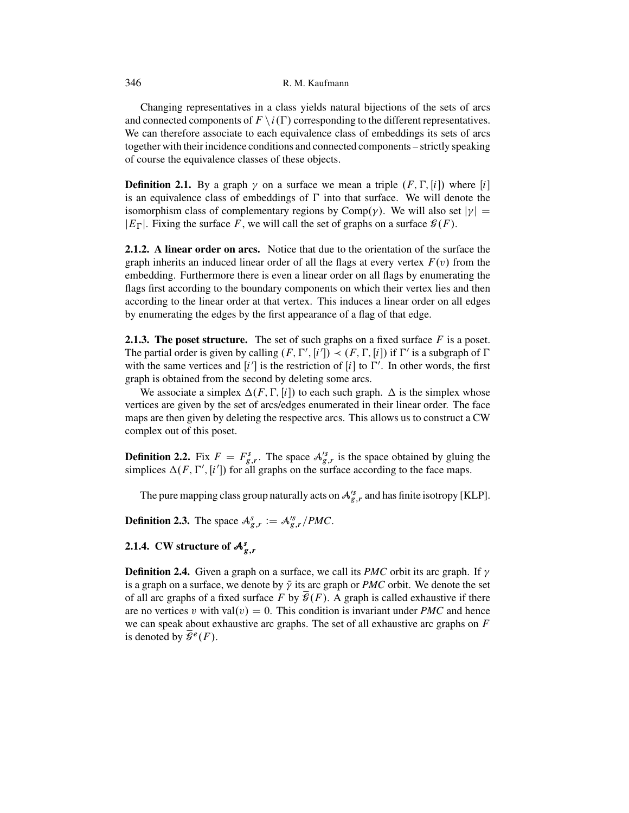#### 346 R. M. Kaufmann

Changing representatives in a class yields natural bijections of the sets of arcs and connected components of  $F \setminus i(\Gamma)$  corresponding to the different representatives.<br>We can therefore associate to each equivalence class of embeddings its sets of arcs We can therefore associate to each equivalence class of embeddings its sets of arcs together with their incidence conditions and connected components – strictly speaking of course the equivalence classes of these objects.

**Definition 2.1.** By a graph  $\gamma$  on a surface we mean a triple  $(F, \Gamma, [i])$  where  $[i]$ is an equivalence class of embeddings of  $\Gamma$  into that surface. We will denote the isomorphism class of complementary regions by Comp $(y)$ . We will also set  $|y| =$ | $E_{\Gamma}$ |. Fixing the surface F, we will call the set of graphs on a surface  $\mathcal{G}(F)$ .

**2.1.2. A linear order on arcs.** Notice that due to the orientation of the surface the graph inherits an induced linear order of all the flags at every vertex  $F(v)$  from the embedding. Furthermore there is even a linear order on all flags by enumerating the flags first according to the boundary components on which their vertex lies and then according to the linear order at that vertex. This induces a linear order on all edges by enumerating the edges by the first appearance of a flag of that edge.

**2.1.3. The poset structure.** The set of such graphs on a fixed surface  $F$  is a poset. The partial order is given by calling  $(F, \Gamma', [i']) \prec (F, \Gamma, [i])$  if  $\Gamma'$  is a subgraph of  $\Gamma$  with the same vertices and  $[i']$  is the restriction of  $[i]$  to  $\Gamma'$ . In other words, the first with the same vertices and  $[i']$  is the restriction of  $[i]$  to  $\Gamma'$ . In other words, the first graph is obtained from the second by deleting some arcs.

We associate a simplex  $\Delta(F, \Gamma, [i])$  to each such graph.  $\Delta$  is the simplex whose vertices are given by the set of arcs/edges enumerated in their linear order. The face maps are then given by deleting the respective arcs. This allows us to construct a CW complex out of this poset.

**Definition 2.2.** Fix  $F = F_{g,r}^s$ . The space  $\mathcal{A}_{g,r}^k$  is the space obtained by gluing the simplices  $\Delta(F, \Gamma')$  i'll for all graphs on the surface according to the face mans simplices  $\Delta(F, \Gamma', [i'])$  for all graphs on the surface according to the face maps.

The pure mapping class group naturally acts on  $\mathcal{A}_{g,r}^{s}$  and has finite isotropy [\[KLP\]](#page-50-0).

**Definition 2.3.** The space  $A_{g,r}^s := A_{g,r}^s / PMC$ .

 $\ddot{\phantom{0}}$ 

## **2.1.4.** CW structure of  $A_{p,r}^s$

**Definition 2.4.** Given a graph on a surface, we call its *PMC* orbit its arc graph. If  $\gamma$ is a graph on a surface, we denote by  $\bar{\gamma}$  its arc graph or *PMC* orbit. We denote the set of all arc graphs of a fixed surface F by  $\overline{\mathcal{G}}(F)$ . A graph is called exhaustive if there are no vertices v with val $(v) = 0$ . This condition is invariant under *PMC* and hence we can speak about exhaustive arc graphs. The set of all exhaustive arc graphs on  $F$ is denoted by  $\overline{\mathscr{G}}^e(F)$ .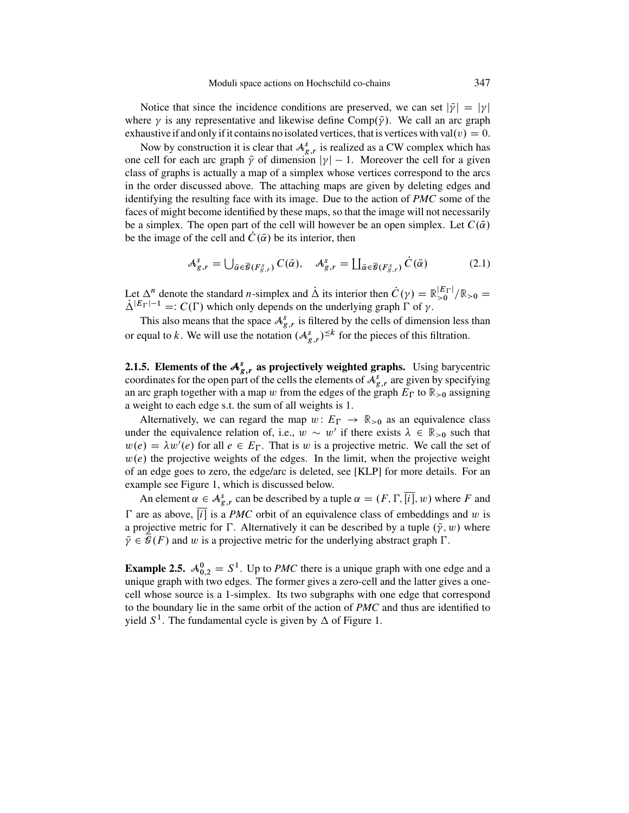Notice that since the incidence conditions are preserved, we can set  $|\bar{y}| = |y|$ where  $\gamma$  is any representative and likewise define Comp( $\bar{\gamma}$ ). We call an arc graph exhaustive if and only if it contains no isolated vertices, that is vertices with val $(v) = 0$ .

Now by construction it is clear that  $A_{g,r}^s$  is realized as a CW complex which has one cell for each arc graph  $\bar{\gamma}$  of dimension  $|\gamma| - 1$ . Moreover the cell for a given class of graphs is actually a map of a simplex whose vertices correspond to the arcs in the order discussed above. The attaching maps are given by deleting edges and identifying the resulting face with its image. Due to the action of *PMC* some of the faces of might become identified by these maps, so that the image will not necessarily be a simplex. The open part of the cell will however be an open simplex. Let  $C(\bar{\alpha})$ be the image of the cell and  $C(\bar{\alpha})$  be its interior, then

$$
\mathcal{A}_{g,r}^s = \bigcup_{\bar{\alpha} \in \bar{\mathcal{B}}(F_{g,r}^s)} C(\bar{\alpha}), \quad \mathcal{A}_{g,r}^s = \coprod_{\bar{\alpha} \in \bar{\mathcal{B}}(F_{g,r}^s)} \dot{C}(\bar{\alpha}) \tag{2.1}
$$

Let  $\Delta^n$  denote the standard *n*-simplex and  $\Delta$  its interior then  $\hat{C}(\gamma) = \mathbb{R}^{|E| \cap |\gamma|} \times 0 = \lambda^{|E| \cap |\gamma|} \rightarrow C(\Gamma)$  which only depends on the underlying graph  $\Gamma$  of  $\gamma$  $\Delta^{|E_{\Gamma}|-1}$  =:  $C(\Gamma)$  which only depends on the underlying graph  $\Gamma$  of  $\gamma$ .<br>This also means that the space  $A^s$  is filtered by the calls of dimensional

This also means that the space  $A_{g,r}^s$  is filtered by the cells of dimension less than or equal to k. We will use the notation  $(A_{g,r}^s)^{\leq k}$  for the pieces of this filtration.

**2.1.5. Elements of the**  $A_{s,r}^s$  **as projectively weighted graphs.** Using barycentric coordinates for the open part of the cells the elements of  $A_s^s$  are given by specifying coordinates for the open part of the cells the elements of  $A_{g,r}^s$  are given by specifying<br>an arc graph together with a map  $w$  from the edges of the graph  $F_{\rm D}$  to  $\mathbb{R}_{\geq 0}$  assigning an arc graph together with a map w from the edges of the graph  $E_{\Gamma}$  to  $\mathbb{R}_{>0}$  assigning a weight to each edge s.t. the sum of all weights is 1.

Alternatively, we can regard the map  $w: E_{\Gamma} \to \mathbb{R}_{>0}$  as an equivalence class let the equivalence relation of i.e.  $w \sim w'$  if there exists  $\lambda \in \mathbb{R}_{\geq 0}$  such that under the equivalence relation of, i.e.,  $w \sim w'$  if there exists  $\lambda \in \mathbb{R}_{>0}$  such that  $w(e) = \lambda w'(e)$  for all  $e \in E_{\Gamma}$ . That is w is a projective metric. We call the set of  $w(e)$  the projective weights of the edges. In the limit, when the projective weight  $w(e)$  the projective weights of the edges. In the limit, when the projective weight of an edge goes to zero, the edge/arc is deleted, see [\[KLP\]](#page-50-0) for more details. For an example see Figure [1,](#page-15-0) which is discussed below.

An element  $\alpha \in A_{g,r}^s$  can be described by a tuple  $\alpha = (F, \Gamma, [i], w)$  where F and  $\Gamma$  are as above, [i] is a *PMC* orbit of an equivalence class of embeddings and w is a projective metric for  $\Gamma$ . Alternatively it can be described by a tuple  $(\bar{y}, w)$  where  $\bar{y} \in \bar{\mathcal{L}}(F)$  and w is a projective metric for the underlying abstract graph  $\Gamma$  $\bar{\gamma} \in \mathcal{G}(F)$  and w is a projective metric for the underlying abstract graph  $\Gamma$ .

**Example 2.5.**  $A_{0,2}^0 = S^1$ . Up to *PMC* there is a unique graph with one edge and a unique graph with two edges. The former gives a zero-cell and the latter gives a oneunique graph with two edges. The former gives a zero-cell and the latter gives a onecell whose source is a 1-simplex. Its two subgraphs with one edge that correspond to the boundary lie in the same orbit of the action of *PMC* and thus are identified to yield  $S^1$ . The fundamental cycle is given by  $\Delta$  of Figure [1.](#page-15-0)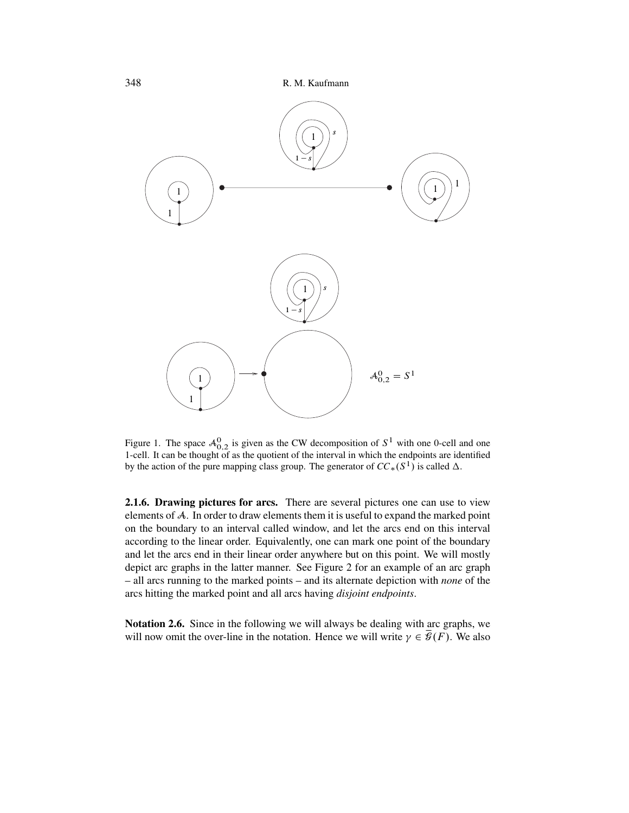<span id="page-15-0"></span>

Figure 1. The space  $\mathcal{A}_{0,2}^0$  is given as the CW decomposition of  $S^1$  with one 0-cell and one<br>1-cell. It can be thought of as the quotient of the interval in which the endpoints are identified 1-cell. It can be thought of as the quotient of the interval in which the endpoints are identified by the action of the pure mapping class group. The generator of  $CC_*(S^1)$  is called  $\Delta$ .

**2.1.6. Drawing pictures for arcs.** There are several pictures one can use to view elements of A. In order to draw elements them it is useful to expand the marked point on the boundary to an interval called window, and let the arcs end on this interval according to the linear order. Equivalently, one can mark one point of the boundary and let the arcs end in their linear order anywhere but on this point. We will mostly depict arc graphs in the latter manner. See Figure [2](#page-16-0) for an example of an arc graph – all arcs running to the marked points – and its alternate depiction with *none* of the arcs hitting the marked point and all arcs having *disjoint endpoints*.

**Notation 2.6.** Since in the following we will always be dealing with arc graphs, we will now omit the over-line in the notation. Hence we will write  $\gamma \in \overline{\mathcal{G}}(F)$ . We also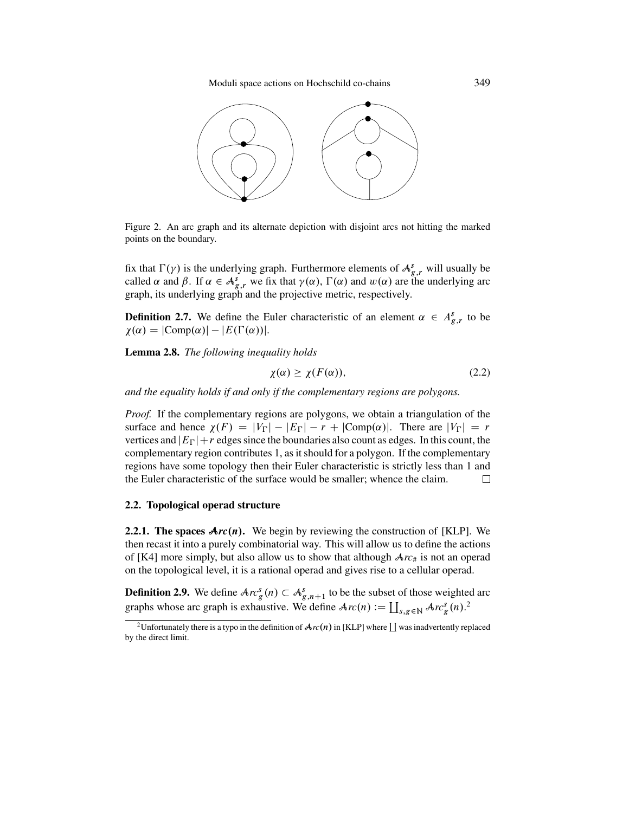Moduli space actions on Hochschild co-chains 349

<span id="page-16-0"></span>

Figure 2. An arc graph and its alternate depiction with disjoint arcs not hitting the marked points on the boundary.

fix that  $\Gamma(\gamma)$  is the underlying graph. Furthermore elements of  $A_{g,r}^s$  will usually be<br>called  $\alpha$  and  $\beta$ . If  $\alpha \in A^s$ , we fix that  $\nu(\alpha)$ ,  $\Gamma(\alpha)$  and  $\nu(\alpha)$  are the underlying arc called  $\alpha$  and  $\beta$ . If  $\alpha \in A_{g,r}^s$  we fix that  $\gamma(\alpha)$ ,  $\Gamma(\alpha)$  and  $w(\alpha)$  are the underlying arc oranh its underlying graph and the projective metric respectively graph, its underlying graph and the projective metric, respectively.

**Definition 2.7.** We define the Euler characteristic of an element  $\alpha \in A_{g,r}^s$  to be  $\chi(\alpha) = |C(\text{omp}(\alpha)| - |F(\Gamma(\alpha))||$  $\chi(\alpha) = |\text{Comp}(\alpha)| - |E(\Gamma(\alpha))|.$ 

**Lemma 2.8.** *The following inequality holds*

$$
\chi(\alpha) \ge \chi(F(\alpha)),\tag{2.2}
$$

*and the equality holds if and only if the complementary regions are polygons.*

*Proof.* If the complementary regions are polygons, we obtain a triangulation of the surface and hence  $\chi(F) = |V_{\Gamma}| - |E_{\Gamma}| - r + |\text{Comp}(\alpha)|$ . There are  $|V_{\Gamma}| = r$ <br>vertices and  $|F_{\Gamma}| + r$  edges since the boundaries also count as edges. In this count, the vertices and  $|E_{\Gamma}| + r$  edges since the boundaries also count as edges. In this count, the complementary region contributes 1, as it should for a polygon. If the complementary complementary region contributes 1, as it should for a polygon. If the complementary regions have some topology then their Euler characteristic is strictly less than 1 and the Euler characteristic of the surface would be smaller; whence the claim.  $\Box$ 

#### **2.2. Topological operad structure**

**2.2.1. The spaces**  $\text{Arc}(n)$ **.** We begin by reviewing the construction of [\[KLP\]](#page-50-0). We then recast it into a purely combinatorial way. This will allow us to define the actions of [\[K4\]](#page-50-0) more simply, but also allow us to show that although  $Arc_{\#}$  is not an operad on the topological level, it is a rational operad and gives rise to a cellular operad.

**Definition 2.9.** We define  $Ar^s_g(n) \subset A^g_{g,n+1}$  to be the subset of those weighted arc<br>graphs whose are graph is exhaustive. We define  $A_{g}(n) := \prod_{p \mid g} (A_{g}(n))^2$ graphs whose arc graph is exhaustive. We define  $Arc(n) := \coprod_{s,g \in \mathbb{N}} Arc_g^s(n)$ .<sup>2</sup>

<sup>&</sup>lt;sup>2</sup>Unfortunately there is a typo in the definition of  $\mathcal{A}_{rc}(n)$  in [\[KLP\]](#page-50-0) where  $\coprod$  was inadvertently replaced by the direct limit.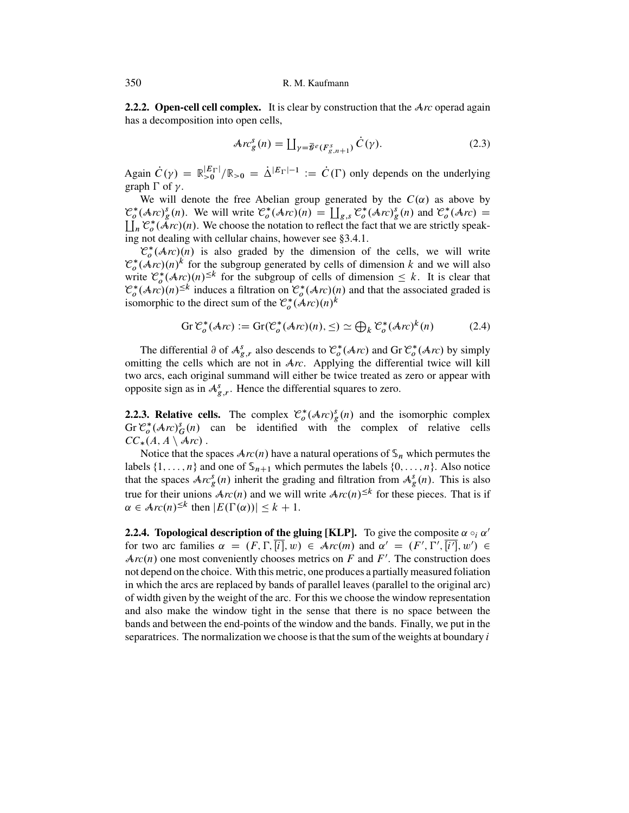**2.2.2. Open-cell cell complex.** It is clear by construction that the A<sub>*rc*</sub> operad again has a decomposition into open cells,

$$
\mathcal{A}rc_g^s(n) = \coprod_{\gamma = \overline{\mathcal{G}}^e(F_{g,n+1}^s)} \dot{C}(\gamma).
$$
 (2.3)

Again  $\hat{C}(\gamma) = \mathbb{R}_{>0}^{|E_{\Gamma}|}/\mathbb{R}_{>0} = \hat{\Delta}^{|E_{\Gamma}|-1} := \hat{C}(\Gamma)$  only depends on the underlying graph  $\Gamma$  of  $\gamma$ graph  $\Gamma$  of  $\gamma$ .

We will denote the free Abelian group generated by the  $C(\alpha)$  as above by  $\mathcal{C}^*_o(\mathcal{A}rc)^s_g(n)$ . We will write  $\mathcal{C}^*_o(\mathcal{A}rc)(n) = \coprod_{g,s} \mathcal{C}^*_o(\mathcal{A}rc)^g_g(n)$  and  $\mathcal{C}^*_o(\mathcal{A}rc) =$ <br>Let  $\mathcal{C}^*(\mathcal{A}rc)(n)$ . We choose the notation to reflect the fact that we are strictly speak- $\prod_n \mathcal{C}^*_o(\mathcal{A}rc)(n)$ . We choose the notation to reflect the fact that we are strictly speak-<br>ing not dealing with cellular chains, however see 83.4.1 ing not dealing with cellular chains, however see [§3.4.1.](#page-33-0)

 $\mathcal{C}^*_o$  $\mathcal{C}^*_\rho(\mathcal{A}rc)(n)$  is also graded by the dimension of the cells, we will write  $\mathcal{C}^*_\rho(\mathcal{A}rc)(n)^k$  for the subgroup generated by cells of dimension k and we will also write  $\mathcal{C}^*_\rho(\mathcal{A}rc)(n)^{\leq k}$  for the subg isomorphic to the direct sum of the  $\mathcal{C}_o^*(\mathcal{A}_{rc})(n)^k$ 

$$
\operatorname{Gr} \mathcal{C}_o^*(\mathcal{A}r c) := \operatorname{Gr}(\mathcal{C}_o^*(\mathcal{A}r c)(n), \leq) \simeq \bigoplus_k \mathcal{C}_o^*(\mathcal{A}r c)^k(n) \tag{2.4}
$$

The differential  $\partial$  of  $A_{g,r}^s$  also descends to  $C_o^*(Arc)$  and Gr  $C_o^*(Arc)$  by simply itting the cells which are not in  $Arc$ . Applying the differential twice will kill omitting the cells which are not in A*rc*. Applying the differential twice will kill two arcs, each original summand will either be twice treated as zero or appear with opposite sign as in  $\mathcal{A}_{g,r}^s$ . Hence the differential squares to zero.

**2.2.3. Relative cells.** The complex  $C_o^*(Arc)_{g}^s(n)$  and the isomorphic complex  $Gr \mathcal{C}^*(Arc)^s(n)$  can be identified with the complex of relative cells Gr  $\mathcal{C}_o^*(\mathcal{A}_{rc})_G^s(n)$  can be identified with the complex of relative cells  $CC_1(A \land \mathcal{A}_{rc})$  $CC_*(A, A \setminus Arc)$ .<br>Notice that the s

Notice that the spaces  $Arc(n)$  have a natural operations of  $\mathcal{S}_n$  which permutes the labels  $\{1, \ldots, n\}$  and one of  $\mathcal{S}_{n+1}$  which permutes the labels  $\{0, \ldots, n\}$ . Also notice that the spaces  $Arc_g^s(n)$  inherit the grading and filtration from  $A_g^s(n)$ . This is also true for their unions  $Arc(n)$  and we will write  $Arc(n)^{\leq k}$  for these pieces. That is if  $\alpha \in \text{Arc}(n)^{\leq k}$  then  $|E(\Gamma(\alpha))| \leq k+1$ .

**2.2.4. Topological description of the gluing [\[KLP\]](#page-50-0).** To give the composite  $\alpha \circ_i \alpha'$ for two arc families  $\alpha = (F, \Gamma, [i], w) \in \mathcal{A}rc(m)$  and  $\alpha' = (F', \Gamma', [i'], w') \in \mathcal{A}rc(n)$  one most conveniently chooses metrics on F and F'. The construction does  $Arc(n)$  one most conveniently chooses metrics on F and F'. The construction does not depend on the choice. With this metric, one produces a partially measured foliation in which the arcs are replaced by bands of parallel leaves (parallel to the original arc) of width given by the weight of the arc. For this we choose the window representation and also make the window tight in the sense that there is no space between the bands and between the end-points of the window and the bands. Finally, we put in the separatrices. The normalization we choose is that the sum of the weights at boundary  $i$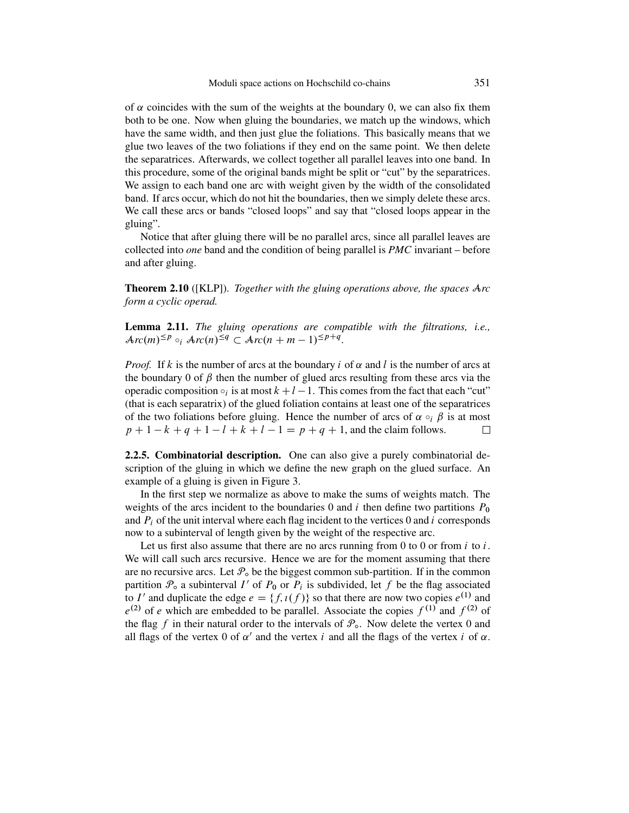<span id="page-18-0"></span>of  $\alpha$  coincides with the sum of the weights at the boundary 0, we can also fix them both to be one. Now when gluing the boundaries, we match up the windows, which have the same width, and then just glue the foliations. This basically means that we glue two leaves of the two foliations if they end on the same point. We then delete the separatrices. Afterwards, we collect together all parallel leaves into one band. In this procedure, some of the original bands might be split or "cut" by the separatrices. We assign to each band one arc with weight given by the width of the consolidated band. If arcs occur, which do not hit the boundaries, then we simply delete these arcs. We call these arcs or bands "closed loops" and say that "closed loops appear in the gluing".

Notice that after gluing there will be no parallel arcs, since all parallel leaves are collected into *one* band and the condition of being parallel is *PMC* invariant – before and after gluing.

**Theorem 2.10** ([\[KLP\]](#page-50-0)). *Together with the gluing operations above, the spaces* A*rc form a cyclic operad.*

**Lemma 2.11.** *The gluing operations are compatible with the filtrations, i.e.,*  $Arc(m)^{\leq p} \circ_i Arc(n)^{\leq q} \subset Arc(n+m-1)^{\leq p+q}.$ 

*Proof.* If k is the number of arcs at the boundary i of  $\alpha$  and l is the number of arcs at the boundary 0 of  $\beta$  then the number of glued arcs resulting from these arcs via the operadic composition  $\circ_i$  is at most  $k+l-1$ . This comes from the fact that each "cut" (that is each separatrix) of the glued foliation contains at least one of the separatrices of the two foliations before gluing. Hence the number of arcs of  $\alpha \circ_i \beta$  is at most  $p + 1 - k + a + 1 - l + k + l - 1 = p + a + 1$ , and the claim follows.  $p + 1 - k + q + 1 - l + k + l - 1 = p + q + 1$ , and the claim follows.

**2.2.5. Combinatorial description.** One can also give a purely combinatorial description of the gluing in which we define the new graph on the glued surface. An example of a gluing is given in Figure [3.](#page-19-0)

In the first step we normalize as above to make the sums of weights match. The weights of the arcs incident to the boundaries 0 and i then define two partitions  $P_0$ and  $P_i$  of the unit interval where each flag incident to the vertices 0 and i corresponds now to a subinterval of length given by the weight of the respective arc.

Let us first also assume that there are no arcs running from 0 to 0 or from  $i$  to  $i$ . We will call such arcs recursive. Hence we are for the moment assuming that there are no recursive arcs. Let  $\mathcal{P}_{o}$  be the biggest common sub-partition. If in the common partition  $\mathcal{P}_0$  a subinterval I' of  $P_0$  or  $P_i$  is subdivided, let f be the flag associated to I' and duplicate the edge  $e = \{f, i(f)\}\$ so that there are now two copies  $e^{(1)}$  and  $e^{(2)}$  of e which are embedded to be parallel. Associate the copies  $f^{(1)}$  and  $f^{(2)}$  of the flag f in their natural order to the intervals of  $\mathcal{P}_{o}$ . Now delete the vertex 0 and all flags of the vertex 0 of  $\alpha'$  and the vertex i and all the flags of the vertex i of  $\alpha$ .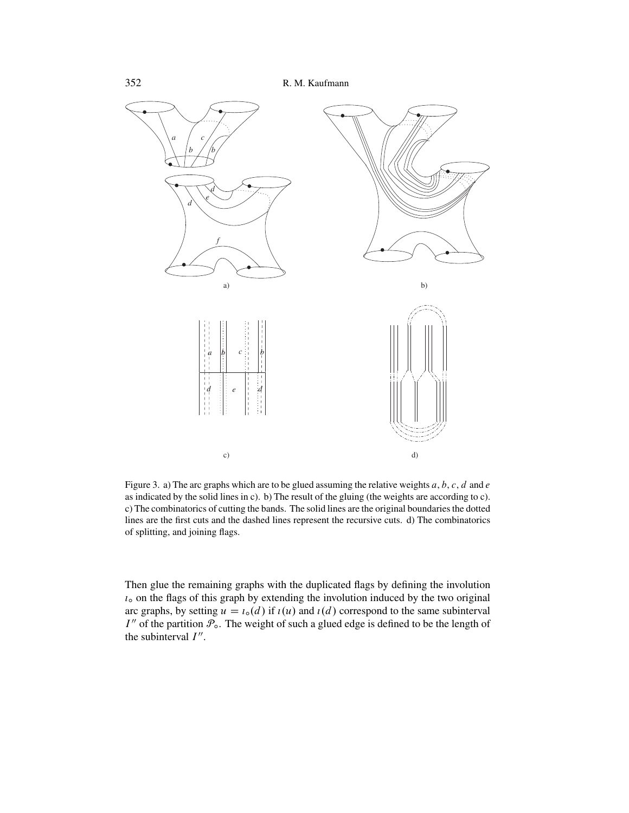<span id="page-19-0"></span>

Figure 3. a) The arc graphs which are to be glued assuming the relative weights a, b, c, d and e as indicated by the solid lines in c). b) The result of the gluing (the weights are according to c). c) The combinatorics of cutting the bands. The solid lines are the original boundaries the dotted lines are the first cuts and the dashed lines represent the recursive cuts. d) The combinatorics of splitting, and joining flags.

Then glue the remaining graphs with the duplicated flags by defining the involution  $i<sub>o</sub>$  on the flags of this graph by extending the involution induced by the two original arc graphs, by setting  $u = \iota_o(d)$  if  $\iota(u)$  and  $\iota(d)$  correspond to the same subinterval  $I''$  of the partition  $\mathcal{P}_{\text{o}}$ . The weight of such a glued edge is defined to be the length of the subinterval  $I''$ .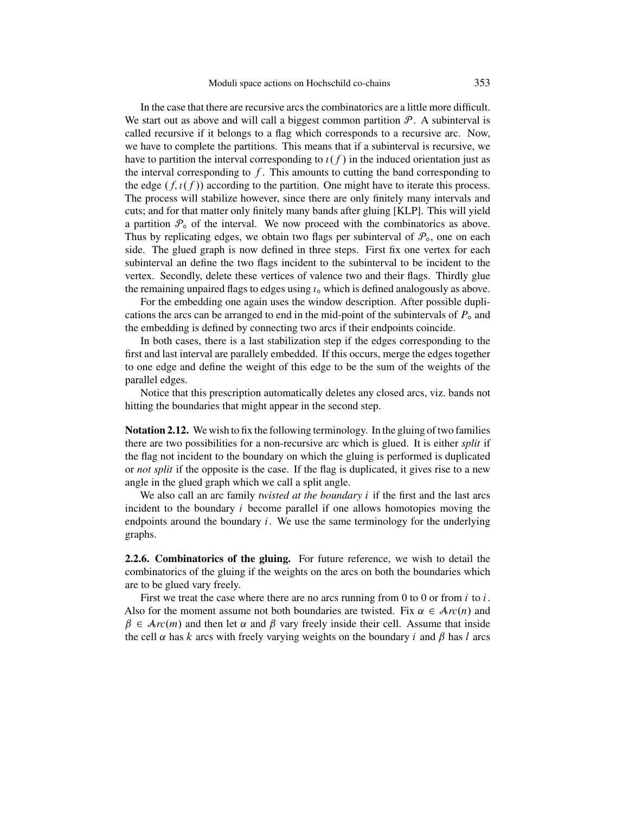<span id="page-20-0"></span>In the case that there are recursive arcs the combinatorics are a little more difficult. We start out as above and will call a biggest common partition  $P$ . A subinterval is called recursive if it belongs to a flag which corresponds to a recursive arc. Now, we have to complete the partitions. This means that if a subinterval is recursive, we have to partition the interval corresponding to  $\iota(f)$  in the induced orientation just as the interval corresponding to  $f$ . This amounts to cutting the band corresponding to the edge  $(f, \iota(f))$  according to the partition. One might have to iterate this process. The process will stabilize however, since there are only finitely many intervals and cuts; and for that matter only finitely many bands after gluing [\[KLP\]](#page-50-0). This will yield a partition  $\mathcal{P}_0$  of the interval. We now proceed with the combinatorics as above. Thus by replicating edges, we obtain two flags per subinterval of  $\mathcal{P}_{\text{o}}$ , one on each side. The glued graph is now defined in three steps. First fix one vertex for each subinterval an define the two flags incident to the subinterval to be incident to the vertex. Secondly, delete these vertices of valence two and their flags. Thirdly glue the remaining unpaired flags to edges using  $\iota_{\infty}$  which is defined analogously as above.

For the embedding one again uses the window description. After possible duplications the arcs can be arranged to end in the mid-point of the subintervals of  $P<sub>o</sub>$  and the embedding is defined by connecting two arcs if their endpoints coincide.

In both cases, there is a last stabilization step if the edges corresponding to the first and last interval are parallely embedded. If this occurs, merge the edges together to one edge and define the weight of this edge to be the sum of the weights of the parallel edges.

Notice that this prescription automatically deletes any closed arcs, viz. bands not hitting the boundaries that might appear in the second step.

**Notation 2.12.** We wish to fix the following terminology. In the gluing of two families there are two possibilities for a non-recursive arc which is glued. It is either *split* if the flag not incident to the boundary on which the gluing is performed is duplicated or *not split* if the opposite is the case. If the flag is duplicated, it gives rise to a new angle in the glued graph which we call a split angle.

We also call an arc family *twisted at the boundary* i if the first and the last arcs incident to the boundary i become parallel if one allows homotopies moving the endpoints around the boundary  $i$ . We use the same terminology for the underlying graphs.

**2.2.6. Combinatorics of the gluing.** For future reference, we wish to detail the combinatorics of the gluing if the weights on the arcs on both the boundaries which are to be glued vary freely.

First we treat the case where there are no arcs running from 0 to 0 or from  $i$  to  $i$ . Also for the moment assume not both boundaries are twisted. Fix  $\alpha \in \mathcal{A}_{TC}(n)$  and  $\beta \in Arc(m)$  and then let  $\alpha$  and  $\beta$  vary freely inside their cell. Assume that inside the cell  $\alpha$  has k arcs with freely varying weights on the boundary i and  $\beta$  has l arcs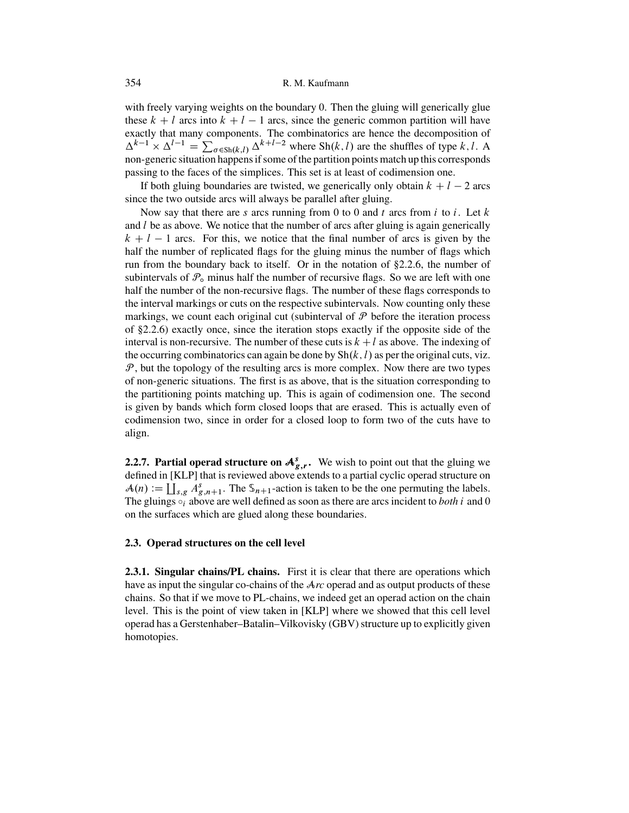#### <span id="page-21-0"></span>354 R. M. Kaufmann

with freely varying weights on the boundary 0. Then the gluing will generically glue these  $k + l$  arcs into  $k + l - 1$  arcs, since the generic common partition will have exactly that many components. The combinatorics are hence the decomposition of  $\Delta^{k-1} \times \Delta^{l-1} = \sum_{\sigma \in Sh(k,l)} \Delta^{k+l-2}$  where Sh $(k,l)$  are the shuffles of type k, l. A<br>non-generic situation happens if some of the partition points match up this corresponds non-generic situation happens if some of the partition points match up this corresponds passing to the faces of the simplices. This set is at least of codimension one.

If both gluing boundaries are twisted, we generically only obtain  $k + l - 2$  arcs since the two outside arcs will always be parallel after gluing.

Now say that there are s arcs running from 0 to 0 and t arcs from i to i. Let  $k$ and  $l$  be as above. We notice that the number of arcs after gluing is again generically  $k + l - 1$  arcs. For this, we notice that the final number of arcs is given by the half the number of replicated flags for the gluing minus the number of flags which run from the boundary back to itself. Or in the notation of [§2.2.6,](#page-20-0) the number of subintervals of  $P_0$  minus half the number of recursive flags. So we are left with one half the number of the non-recursive flags. The number of these flags corresponds to the interval markings or cuts on the respective subintervals. Now counting only these markings, we count each original cut (subinterval of  $P$  before the iteration process of [§2.2.6\)](#page-20-0) exactly once, since the iteration stops exactly if the opposite side of the interval is non-recursive. The number of these cuts is  $k + l$  as above. The indexing of the occurring combinatorics can again be done by  $\text{Sh}(k, l)$  as per the original cuts, viz.  $P$ , but the topology of the resulting arcs is more complex. Now there are two types of non-generic situations. The first is as above, that is the situation corresponding to the partitioning points matching up. This is again of codimension one. The second is given by bands which form closed loops that are erased. This is actually even of codimension two, since in order for a closed loop to form two of the cuts have to align.

**2.2.7. Partial operad structure on**  $A_{g,r}^s$ **.** We wish to point out that the gluing we defined in [KI P] that is reviewed above extends to a partial cyclic operad structure on defined in [\[KLP\]](#page-50-0) that is reviewed above extends to a partial cyclic operad structure on  $\mathcal{A}(n) := \coprod_{s,g} A_{g,n+1}^s$ . The  $\mathcal{S}_{n+1}$ -action is taken to be the one permuting the labels.<br>The gluings of above are well defined as soon as there are arcs incident to both i and 0 The gluings  $\delta_i$  above are well defined as soon as there are arcs incident to *both* i and 0 on the surfaces which are glued along these boundaries.

#### **2.3. Operad structures on the cell level**

**2.3.1. Singular chains/PL chains.** First it is clear that there are operations which have as input the singular co-chains of the A*rc* operad and as output products of these chains. So that if we move to PL-chains, we indeed get an operad action on the chain level. This is the point of view taken in [\[KLP\]](#page-50-0) where we showed that this cell level operad has a Gerstenhaber–Batalin–Vilkovisky (GBV) structure up to explicitly given homotopies.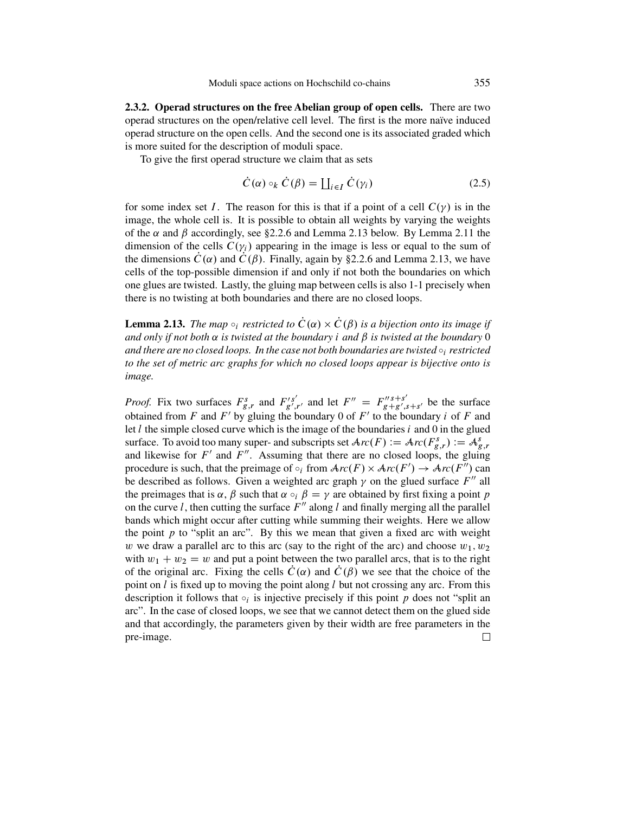<span id="page-22-0"></span>**2.3.2. Operad structures on the free Abelian group of open cells.** There are two operad structures on the open/relative cell level. The first is the more naïve induced operad structure on the open cells. And the second one is its associated graded which is more suited for the description of moduli space.

To give the first operad structure we claim that as sets

$$
\dot{C}(\alpha) \circ_k \dot{C}(\beta) = \coprod_{i \in I} \dot{C}(\gamma_i)
$$
 (2.5)

for some index set I. The reason for this is that if a point of a cell  $C(\gamma)$  is in the image, the whole cell is. It is possible to obtain all weights by varying the weights of the  $\alpha$  and  $\beta$  accordingly, see [§2.2.6](#page-20-0) and Lemma 2.13 below. By Lemma [2.11](#page-18-0) the dimension of the cells  $C(\gamma_i)$  appearing in the image is less or equal to the sum of the dimensions  $\dot{C}(\alpha)$  and  $C(\beta)$ . Finally, again by [§2.2.6](#page-20-0) and Lemma 2.13, we have cells of the top-possible dimension if and only if not both the boundaries on which one glues are twisted. Lastly, the gluing map between cells is also 1-1 precisely when there is no twisting at both boundaries and there are no closed loops.

**Lemma 2.13.** *The map*  $\circ_i$  *restricted to*  $\dot{C}(\alpha) \times \dot{C}(\beta)$  *is a bijection onto its image if and only if not both*  $\alpha$  *is twisted at the boundary i and*  $\beta$  *is twisted at the boundary* 0 *and there are no closed loops. In the case not both boundaries are twisted*  $\circ$ *<sub>i</sub> restricted to the set of metric arc graphs for which no closed loops appear is bijective onto is image.*

*Proof.* Fix two surfaces  $F_{g,r}^s$  and  $F_{g',r'}^{'s'}$  and let  $F'' = F_{g+g',s+s'}^{"s'+s'}$  be the surface obtained from *F* and *F'* by gluing the boundary 0 of *F'* to the boundary *i* of *F* and obtained from  $F$  and  $F'$  by gluing the boundary 0 of  $F'$  to the boundary i of  $F$  and let  $l$  the simple closed curve which is the image of the boundaries  $i$  and  $0$  in the glued surface. To avoid too many super- and subscripts set  $Arc(F) := Arc(F_{g,r}^s) := A_g^s$ <br>and likewise for  $F'$  and  $F''$ . Assuming that there are no closed loops, the gluin and likewise for F' and F''. Assuming that there are no closed loops, the gluing procedure is such, that the preimage of  $\circ_i$  from  $Arc(F) \times Arc(F') \rightarrow Arc(F'')$  can<br>be described as follows. Given a weighted arc graph  $\nu$  on the glued surface  $F''$  all be described as follows. Given a weighted arc graph  $\gamma$  on the glued surface  $F''$  all the preimages that is  $\alpha$ ,  $\beta$  such that  $\alpha \circ_i \beta = \gamma$  are obtained by first fixing a point p on the curve l, then cutting the surface  $F''$  along l and finally merging all the parallel bands which might occur after cutting while summing their weights. Here we allow the point  $p$  to "split an arc". By this we mean that given a fixed arc with weight w we draw a parallel arc to this arc (say to the right of the arc) and choose  $w_1, w_2$ with  $w_1 + w_2 = w$  and put a point between the two parallel arcs, that is to the right of the original arc. Fixing the cells  $\hat{C}(\alpha)$  and  $\hat{C}(\beta)$  we see that the choice of the point on l is fixed up to moving the point along l but not crossing any arc. From this description it follows that  $\circ_i$  is injective precisely if this point p does not "split an arc". In the case of closed loops, we see that we cannot detect them on the glued side and that accordingly, the parameters given by their width are free parameters in the pre-image. $\Box$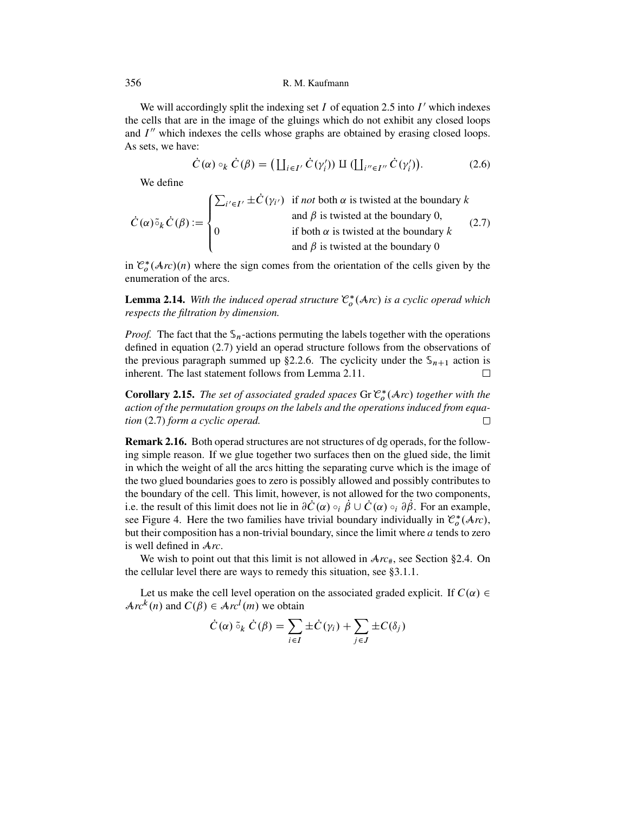We will accordingly split the indexing set  $I$  of equation [2.5](#page-22-0) into  $I'$  which indexes the cells that are in the image of the gluings which do not exhibit any closed loops and  $I''$  which indexes the cells whose graphs are obtained by erasing closed loops. As sets, we have:

$$
\dot{C}(\alpha) \circ_k \dot{C}(\beta) = \left( \coprod_{i \in I'} \dot{C}(\gamma'_i) \right) \amalg \left( \coprod_{i'' \in I''} \dot{C}(\gamma'_i) \right). \tag{2.6}
$$

We define

 $C(\alpha) \tilde{\circ}_k C(\beta) :=$  $\sqrt{2}$  $\int$  $\overline{\mathcal{L}}$  $\sum_{i' \in I'} \pm C(\gamma_{i'})$  if *not* both  $\alpha$  is twisted at the boundary  $k$  and  $\beta$  is twisted at the boundary 0, 0 if both  $\alpha$  is twisted at the boundary k and  $\beta$  is twisted at the boundary 0  $(2.7)$ 

in  $\mathcal{C}_o^*(\mathcal{A}_{rc})(n)$  where the sign comes from the orientation of the cells given by the enumeration of the arcs enumeration of the arcs.

**Lemma 2.14.** With the induced operad structure  $\mathcal{C}_o^*(\mathcal{A}rc)$  is a cyclic operad which respects the filtration by dimension *respects the filtration by dimension.*

*Proof.* The fact that the  $\mathcal{S}_n$ -actions permuting the labels together with the operations defined in equation (2.7) yield an operad structure follows from the observations of the previous paragraph summed up [§2.2.6.](#page-20-0) The cyclicity under the  $\mathbb{S}_{n+1}$  action is inherent. The last statement follows from Lemma 2.11. inherent. The last statement follows from Lemma [2.11.](#page-18-0)

**Corollary 2.15.** *The set of associated graded spaces* Gr  $\mathcal{C}_o^*(\mathcal{A}rc)$  together with the action of the permutation groups on the labels and the operations induced from equa*action of the permutation groups on the labels and the operations induced from equation* (2.7) *form a cyclic operad.*  $\Box$ 

**Remark 2.16.** Both operad structures are not structures of dg operads, for the following simple reason. If we glue together two surfaces then on the glued side, the limit in which the weight of all the arcs hitting the separating curve which is the image of the two glued boundaries goes to zero is possibly allowed and possibly contributes to the boundary of the cell. This limit, however, is not allowed for the two components, i.e. the result of this limit does not lie in  $\partial \dot{C}(\alpha) \circ_i \dot{\beta} \cup \dot{C}(\alpha) \circ_i \partial \dot{\beta}$ . For an example, see Figure [4.](#page-24-0) Here the two families have trivial boundary individually in  $\mathcal{C}_0^*(\mathcal{A}rc)$ ,<br>but their composition has a non-trivial boundary, since the limit where *a* tends to zero but their composition has a non-trivial boundary, since the limit where  $a$  tends to zero is well defined in A*rc*.

We wish to point out that this limit is not allowed in  $Arc_{\#}$ , see Section [§2.4.](#page-24-0) On the cellular level there are ways to remedy this situation, see [§3.1.1.](#page-27-0)

Let us make the cell level operation on the associated graded explicit. If  $C(\alpha) \in$  $Arc^{k}(n)$  and  $C(\beta) \in Arc^{l}(m)$  we obtain

$$
\dot{C}(\alpha) \tilde{\circ}_k \dot{C}(\beta) = \sum_{i \in I} \pm \dot{C}(\gamma_i) + \sum_{j \in J} \pm C(\delta_j)
$$

<span id="page-23-0"></span>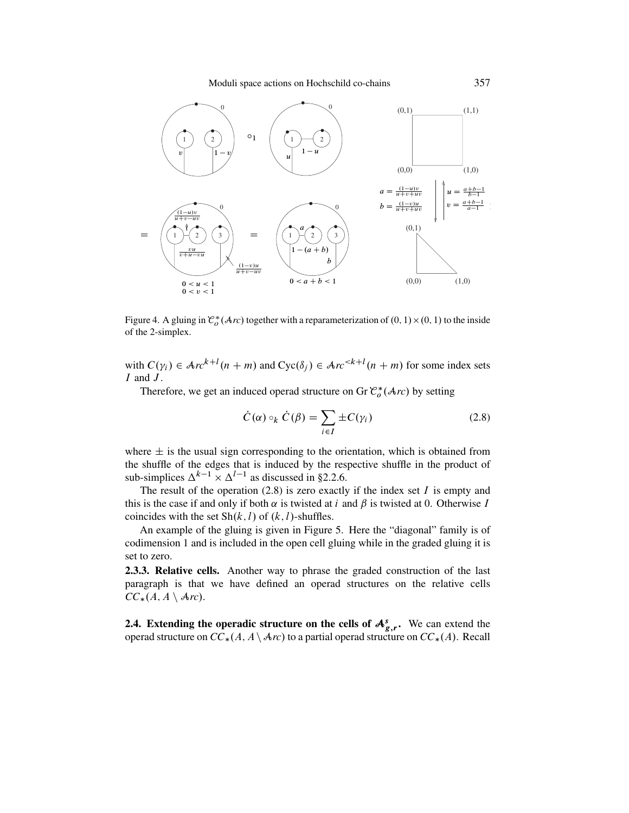Moduli space actions on Hochschild co-chains 357

<span id="page-24-0"></span>

Figure 4. A gluing in  $\mathcal{C}_o^*(\mathcal{A}rc)$  together with a reparameterization of  $(0, 1) \times (0, 1)$  to the inside of the 2-simplex of the 2-simplex.

with  $C(\gamma_i) \in \mathcal{A}r c^{k+1}(n+m)$  and  $Cyc(\delta_j) \in \mathcal{A}r c^{k+1}(n+m)$  for some index sets <br>*L* and *L*  $I$  and  $J$ .

Therefore, we get an induced operad structure on Gr  $\mathcal{C}^*_{o}(\mathcal{A}_{\mathit{TC}})$  by setting

$$
\dot{C}(\alpha) \circ_k \dot{C}(\beta) = \sum_{i \in I} \pm C(\gamma_i)
$$
 (2.8)

where  $\pm$  is the usual sign corresponding to the orientation, which is obtained from the shuffle of the edges that is induced by the respective shuffle in the product of sub-simplices  $\Delta^{k-1} \times \Delta^{l-1}$  as discussed in [§2.2.6.](#page-20-0)

The result of the operation  $(2.8)$  is zero exactly if the index set I is empty and this is the case if and only if both  $\alpha$  is twisted at i and  $\beta$  is twisted at 0. Otherwise I coincides with the set  $\text{Sh}(k, l)$  of  $(k, l)$ -shuffles.

An example of the gluing is given in Figure [5.](#page-25-0) Here the "diagonal" family is of codimension 1 and is included in the open cell gluing while in the graded gluing it is set to zero.

**2.3.3. Relative cells.** Another way to phrase the graded construction of the last paragraph is that we have defined an operad structures on the relative cells  $CC_*(A, A \setminus \text{Arc}).$ 

**2.4. Extending the operadic structure on the cells of**  $A_{g,r}^s$ **.** We can extend the operad structure on  $CC_1(A)A \times C_2$  to a partial operad structure on  $CC_1(A)$  Recall operad structure on  $CC_*(A, A \setminus \mathcal{A}r)$  to a partial operad structure on  $CC_*(A)$ . Recall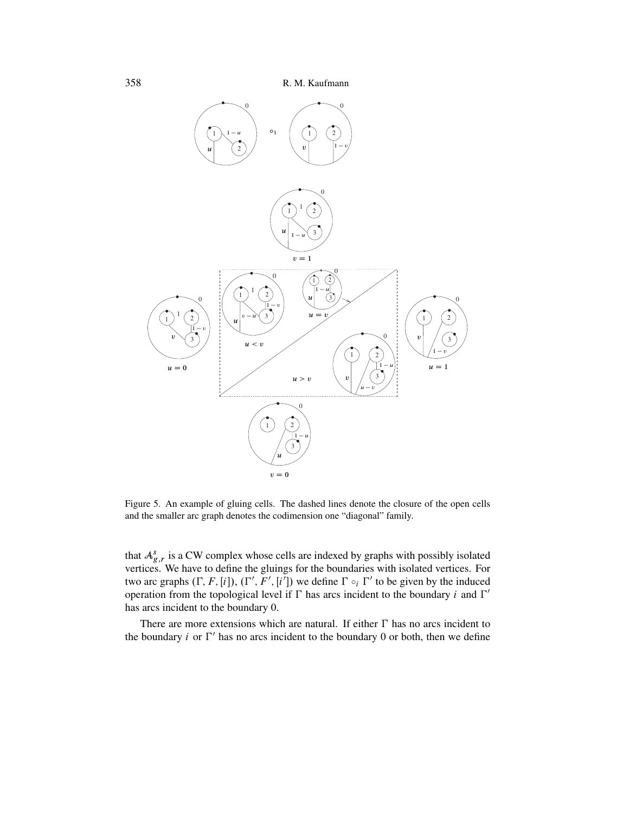<span id="page-25-0"></span>

Figure 5. An example of gluing cells. The dashed lines denote the closure of the open cells and the smaller arc graph denotes the codimension one "diagonal" family.

that  $A_{g,r}^s$  is a CW complex whose cells are indexed by graphs with possibly isolated vertices. We have to define the gluings for the boundaries with isolated vertices. For vertices. We have to define the gluings for the boundaries with isolated vertices. For two arc graphs  $(\Gamma, F, [i]), (\Gamma', F', [i'])$  we define  $\Gamma \circ_i \Gamma'$  to be given by the induced<br>operation from the topological level if  $\Gamma$  has arcs incident to the boundary *i* and  $\Gamma'$ operation from the topological level if  $\Gamma$  has arcs incident to the boundary i and  $\Gamma'$ has arcs incident to the boundary 0.

There are more extensions which are natural. If either  $\Gamma$  has no arcs incident to the boundary *i* or  $\Gamma'$  has no arcs incident to the boundary 0 or both, then we define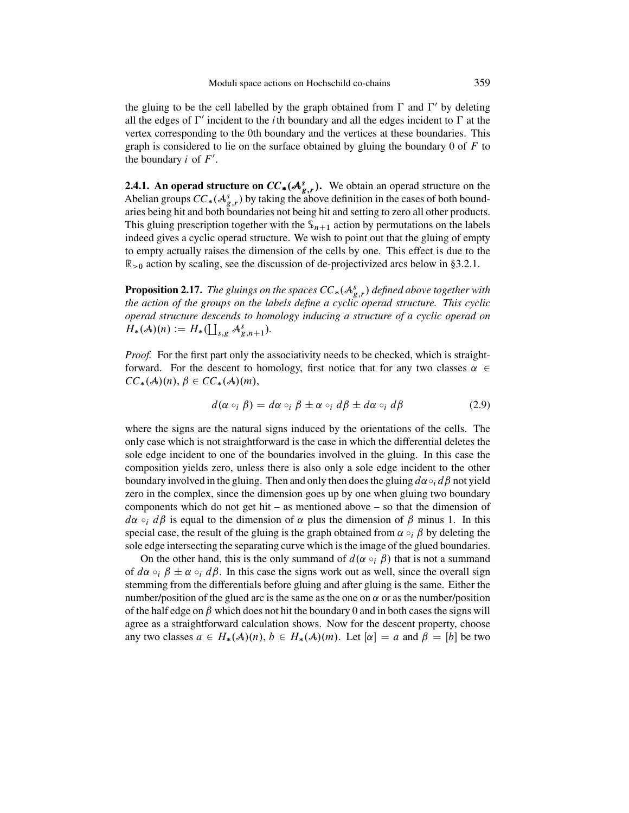<span id="page-26-0"></span>the gluing to be the cell labelled by the graph obtained from  $\Gamma$  and  $\Gamma'$  by deleting all the edges of  $\Gamma'$  incident to the *i*th boundary and all the edges incident to  $\Gamma$  at the vertex corresponding to the 0th boundary and the vertices at these boundaries. This graph is considered to lie on the surface obtained by gluing the boundary  $0$  of  $F$  to the boundary  $i$  of  $F'$ .

**2.4.1. An operad structure on**  $CC_*(A_{s,r}^s)$ **.** We obtain an operad structure on the Abelian groups  $CC_*(A_{s,r}^s)$  by taking the above definition in the cases of both bound-Abelian groups  $CC_*({\cal A}_{g,r}^s)$  by taking the above definition in the cases of both bound-<br>aries being hit and both boundaries not being hit and setting to zero all other products aries being hit and both boundaries not being hit and setting to zero all other products. This gluing prescription together with the  $\mathcal{S}_{n+1}$  action by permutations on the labels indeed gives a cyclic operad structure. We wish to point out that the gluing of empty to empty actually raises the dimension of the cells by one. This effect is due to the  $\mathbb{R}_{>0}$  action by scaling, see the discussion of de-projectivized arcs below in [§3.2.1.](#page-29-0)

**Proposition 2.17.** The gluings on the spaces  $CC_*(A_{g,r}^s)$  defined above together with<br>the action of the groups on the labels define a cyclic operad structure. This cyclic *the action of the groups on the labels define a cyclic operad structure. This cyclic operad structure descends to homology inducing a structure of a cyclic operad on*  $H_*(A)(n) := H_*(\coprod_{s,g} A_{g,n+1}^s).$ 

*Proof.* For the first part only the associativity needs to be checked, which is straightforward. For the descent to homology, first notice that for any two classes  $\alpha \in$  $CC_*({\cal A})(n), \beta \in CC_*({\cal A})(m),$ 

$$
d(\alpha \circ_i \beta) = d\alpha \circ_i \beta \pm \alpha \circ_i d\beta \pm d\alpha \circ_i d\beta \tag{2.9}
$$

where the signs are the natural signs induced by the orientations of the cells. The only case which is not straightforward is the case in which the differential deletes the sole edge incident to one of the boundaries involved in the gluing. In this case the composition yields zero, unless there is also only a sole edge incident to the other boundary involved in the gluing. Then and only then does the gluing  $d\alpha \circ_i d\beta$  not yield zero in the complex, since the dimension goes up by one when gluing two boundary components which do not get hit – as mentioned above – so that the dimension of  $d\alpha \circ_i d\beta$  is equal to the dimension of  $\alpha$  plus the dimension of  $\beta$  minus 1. In this special case, the result of the gluing is the graph obtained from  $\alpha \circ_i \beta$  by deleting the sole edge intersecting the separating curve which is the image of the glued boundaries.

On the other hand, this is the only summand of  $d(\alpha \circ_i \beta)$  that is not a summand of  $d\alpha \circ_{i} \beta \pm \alpha \circ_{i} d\beta$ . In this case the signs work out as well, since the overall sign stemming from the differentials before gluing and after gluing is the same. Either the number/position of the glued arc is the same as the one on  $\alpha$  or as the number/position of the half edge on  $\beta$  which does not hit the boundary 0 and in both cases the signs will agree as a straightforward calculation shows. Now for the descent property, choose any two classes  $a \in H_*(A)(n)$ ,  $b \in H_*(A)(m)$ . Let  $[\alpha] = a$  and  $\beta = [b]$  be two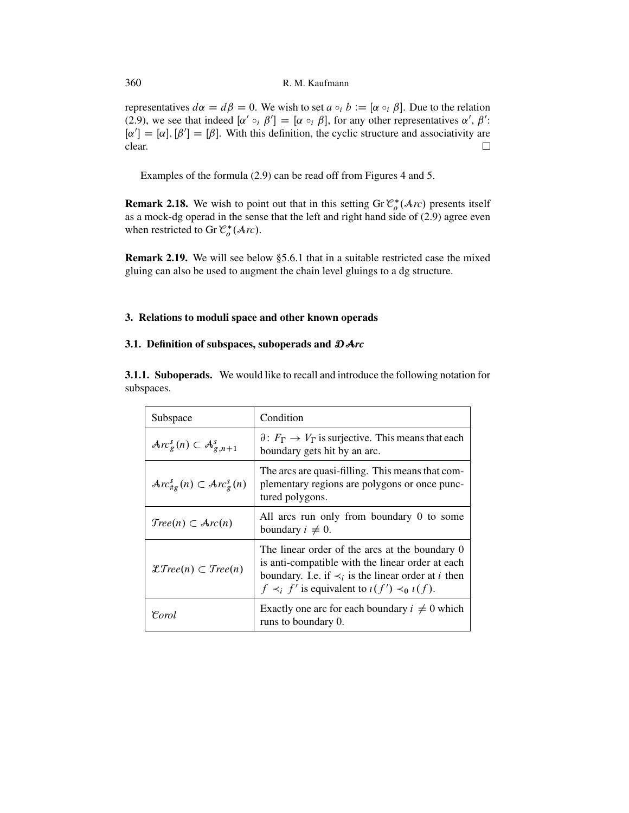representatives  $d\alpha = d\beta = 0$ . We wish to set  $a \circ_i b := [\alpha \circ_i \beta]$ . Due to the relation (2.9), we see that indeed  $[\alpha] \circ_i \beta' = [\alpha \circ_i \beta]$  for any other representatives  $\alpha' \beta'$ . [\(2.9\)](#page-26-0), we see that indeed  $[\alpha' \circ_i \beta'] = [\alpha \circ_i \beta]$ , for any other representatives  $\alpha', \beta'$ :<br> $[\alpha'] = [\alpha] [\beta'] = [\beta]$ . With this definition the evolic structure and associativity are  $[\alpha'] = [\alpha], [\beta'] = [\beta]$ . With this definition, the cyclic structure and associativity are clear clear.  $\Box$ 

Examples of the formula [\(2.9\)](#page-26-0) can be read off from Figures [4](#page-24-0) and [5.](#page-25-0)

**Remark 2.18.** We wish to point out that in this setting  $\text{Gr } \mathcal{C}_o^*(\mathcal{A}_{TC})$  presents itself as a mock-do-operad in the sense that the left and right hand side of (2.9) agree even as a mock-dg operad in the sense that the left and right hand side of [\(2.9\)](#page-26-0) agree even when restricted to Gr  $\mathcal{C}_o^*(\mathcal{A}r_c)$ .

**Remark 2.19.** We will see below [§5.6.1](#page-47-0) that in a suitable restricted case the mixed gluing can also be used to augment the chain level gluings to a dg structure.

# **3. Relations to moduli space and other known operads**

# **3.1. Definition of subspaces, suboperads and** DA*rc*

**3.1.1. Suboperads.** We would like to recall and introduce the following notation for subspaces.

| Subspace                                                      | Condition                                                                                                                                                                                                                                |
|---------------------------------------------------------------|------------------------------------------------------------------------------------------------------------------------------------------------------------------------------------------------------------------------------------------|
| $Arc_g^s(n) \subset \mathcal{A}_{g,n+1}^s$                    | $\partial: F_{\Gamma} \to V_{\Gamma}$ is surjective. This means that each<br>boundary gets hit by an arc.                                                                                                                                |
| $\mathcal{A}rc_{\#g}^{s}(n) \subset \mathcal{A}rc_{g}^{s}(n)$ | The arcs are quasi-filling. This means that com-<br>plementary regions are polygons or once punc-<br>tured polygons.                                                                                                                     |
| $Tree(n) \subset Arc(n)$                                      | All arcs run only from boundary 0 to some<br>boundary $i \neq 0$ .                                                                                                                                                                       |
| $\mathcal{L}Tree(n) \subset Tree(n)$                          | The linear order of the arcs at the boundary 0<br>is anti-compatible with the linear order at each<br>boundary. I.e. if $\prec_i$ is the linear order at <i>i</i> then<br>$f \prec_i f'$ is equivalent to $\iota(f') \prec_0 \iota(f)$ . |
| Corol                                                         | Exactly one arc for each boundary $i \neq 0$ which<br>runs to boundary 0.                                                                                                                                                                |

<span id="page-27-0"></span>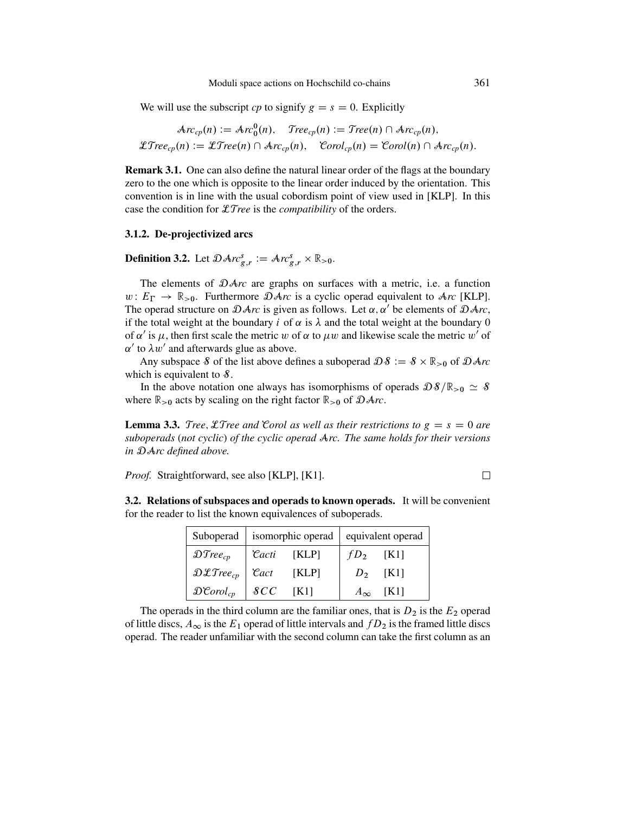We will use the subscript *cp* to signify  $g = s = 0$ . Explicitly

$$
\mathcal{A}rc_{cp}(n) := \mathcal{A}rc_0^0(n), \quad \mathcal{T}ree_{cp}(n) := \mathcal{T}ree(n) \cap \mathcal{A}rc_{cp}(n),
$$
  

$$
\mathcal{L}Tree_{cp}(n) := \mathcal{L}Tree(n) \cap \mathcal{A}rc_{cp}(n), \quad \mathcal{C}orol_{cp}(n) = \mathcal{C}orol(n) \cap \mathcal{A}rc_{cp}(n).
$$

**Remark 3.1.** One can also define the natural linear order of the flags at the boundary zero to the one which is opposite to the linear order induced by the orientation. This convention is in line with the usual cobordism point of view used in [\[KLP\]](#page-50-0). In this case the condition for LT*ree* is the *compatibility* of the orders.

#### **3.1.2. De-projectivized arcs**

**Definition 3.2.** Let  $\mathcal{D}Arc_{g,r}^{s} := Arc_{g,r}^{s} \times \mathbb{R}_{>0}$ .

The elements of DA*rc* are graphs on surfaces with a metric, i.e. a function  $w: E_{\Gamma} \to \mathbb{R}_{>0}$ . Furthermore  $\mathcal{D}Arc$  is a cyclic operad equivalent to  $Arc$  [\[KLP\]](#page-50-0).<br>The operad structure on  $\Omega Arc$  is given as follows. Let  $\alpha, \alpha'$  be elements of  $\Omega Arc$ . The operad structure on  $\mathcal{D}Arc$  is given as follows. Let  $\alpha, \alpha'$  be elements of  $\mathcal{D}Arc$ , if the total weight at the boundary i of  $\alpha$  is  $\lambda$  and the total weight at the boundary 0 of  $\alpha'$  is  $\mu$ , then first scale the metric w of  $\alpha$  to  $\mu w$  and likewise scale the metric w' of  $\alpha'$  to  $\lambda w'$  and afterwards glue as above.

Any subspace S of the list above defines a suboperad  $\mathcal{DS} := \mathcal{S} \times \mathbb{R}_{>0}$  of  $\mathcal{D}Arc$ which is equivalent to  $\delta$ .

In the above notation one always has isomorphisms of operads  $\mathcal{D}\delta/\mathbb{R}_{>0} \simeq \delta$ where  $\mathbb{R}_{>0}$  acts by scaling on the right factor  $\mathbb{R}_{>0}$  of  $\mathcal{D}Arc$ .

**Lemma 3.3.** Tree, Let Tree and Corol as well as their restrictions to  $g = s = 0$  are *suboperads* (*not cyclic*) *of the cyclic operad* A*rc. The same holds for their versions in* DA*rc defined above.*

*Proof.* Straightforward, see also [\[KLP\]](#page-50-0), [\[K1\]](#page-50-0).

**3.2. Relations of subspaces and operads to known operads.** It will be convenient for the reader to list the known equivalences of suboperads.

| Suboperad   isomorphic operad   equivalent operad                 |                    |                       |              |      |
|-------------------------------------------------------------------|--------------------|-----------------------|--------------|------|
| $\mathfrak{DTree}_{cp}$                                           | $\mathcal{C}$ acti | $\lfloor KLP \rfloor$ | $fD_2$       | [K1] |
| $\mathfrak{D}\mathfrak{L}$ Tree <sub>cp</sub> $\mathfrak{L}$ Cact |                    | [KLP]                 | $D_2$        | [K1] |
| $\mathfrak{D}$ Corol <sub>cp</sub>                                | $\cal{S}CC$        | TK11                  | $A_{\infty}$ | [K1] |

The operads in the third column are the familiar ones, that is  $D_2$  is the  $E_2$  operad of little discs,  $A_{\infty}$  is the  $E_1$  operad of little intervals and  $fD_2$  is the framed little discs operad. The reader unfamiliar with the second column can take the first column as an

 $\Box$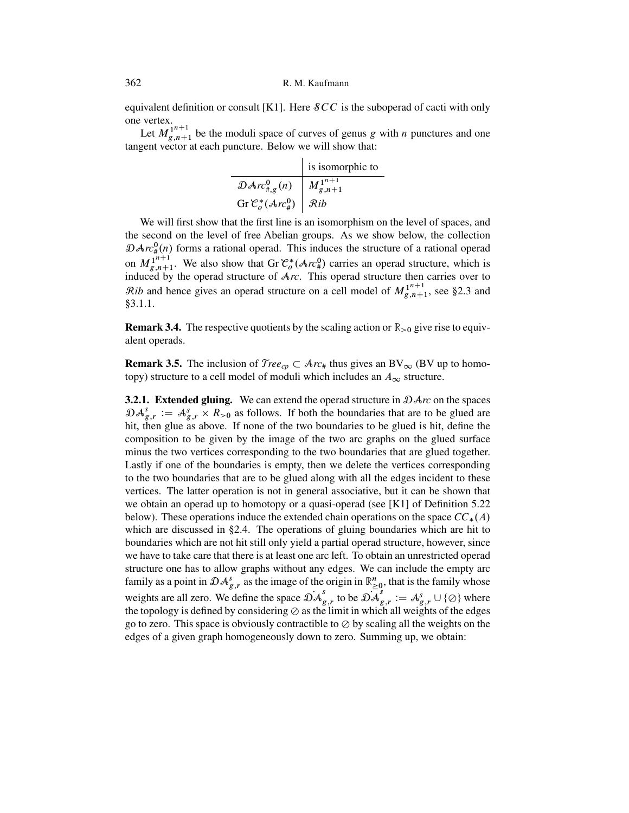<span id="page-29-0"></span>equivalent definition or consult [\[K1\]](#page-50-0). Here  $\mathcal{S}CC$  is the suboperad of cacti with only one vertex.

Let  $M_{g,n+1}^{1^{n+1}}$  be the moduli space of curves of genus g with *n* punctures and one<br>gent vector at each puncture. Below we will show that: tangent vector at each puncture. Below we will show that:

|                                                              | is isomorphic to      |
|--------------------------------------------------------------|-----------------------|
| $\mathfrak{D}Arr_{\sharp,g}^0(n)$                            | $M_{g,n+1}^{1^{n+1}}$ |
| Gr $\mathcal{C}_o^*(\mathcal{A}rc^0_{\#})$   $\mathcal{R}ib$ |                       |
|                                                              |                       |

We will first show that the first line is an isomorphism on the level of spaces, and the second on the level of free Abelian groups. As we show below, the collection  $\mathcal{D}Av^0_{\#}(n)$  forms a rational operad. This induces the structure of a rational operad on  $M_{g,n+1}^{1^{n+1}}$ . We also show that Gr  $\mathcal{C}^*_{o}(\mathcal{A}r c^0_{\#})$  carries an operad structure, which is induced by the operad structure of  $\mathcal{A}r c$ . This operad structure then carries over to induced by the operad structure of A*rc*. This operad structure then carries over to  $\mathcal{R}ib$  and hence gives an operad structure on a cell model of  $M_{g,n+1}^{1^{n+1}}$ , see [§2.3](#page-21-0) and §3.1.1 [§3.1.1.](#page-27-0)

**Remark 3.4.** The respective quotients by the scaling action or  $\mathbb{R}_{>0}$  give rise to equivalent operads.

**Remark 3.5.** The inclusion of  $Tree_{cp} \subset \mathcal{A}rc_{\#}$  thus gives an BV<sub> $\infty$ </sub> (BV up to homo-<br>topy) structure to a cell model of moduli which includes an  $A_{cr}$  structure topy) structure to a cell model of moduli which includes an  $A_{\infty}$  structure.

**3.2.1. Extended gluing.** We can extend the operad structure in DA*rc* on the spaces  $\mathcal{D}A_{g,r}^s := A_{g,r}^s \times R_{>0}$  as follows. If both the boundaries that are to be glued are bit define the state of the two boundaries to be glued is hit define the hit, then glue as above. If none of the two boundaries to be glued is hit, define the composition to be given by the image of the two arc graphs on the glued surface minus the two vertices corresponding to the two boundaries that are glued together. Lastly if one of the boundaries is empty, then we delete the vertices corresponding to the two boundaries that are to be glued along with all the edges incident to these vertices. The latter operation is not in general associative, but it can be shown that we obtain an operad up to homotopy or a quasi-operad (see [\[K1\]](#page-50-0) of Definition [5.22](#page-44-0) below). These operations induce the extended chain operations on the space  $CC_*(A)$ which are discussed in [§2.4.](#page-24-0) The operations of gluing boundaries which are hit to boundaries which are not hit still only yield a partial operad structure, however, since we have to take care that there is at least one arc left. To obtain an unrestricted operad structure one has to allow graphs without any edges. We can include the empty arc family as a point in  $\mathcal{D}A_{g,r}^{s}$  as the image of the origin in  $\mathbb{R}_{\geq 0}^{n}$ , that is the family whose weights are all zero. We define the space  $\mathcal{DA}_{g,r}^{\dagger}$  to be  $\mathcal{DA}_{g,r}^{\dagger} := \mathcal{A}_{g,r}^{\dagger} \cup \{\emptyset\}$  where the topology is defined by considering  $\oslash$  as the limit in which all weights of the edges go to zero. This space is obviously contractible to  $\oslash$  by scaling all the weights on the edges of a given graph homogeneously down to zero. Summing up, we obtain: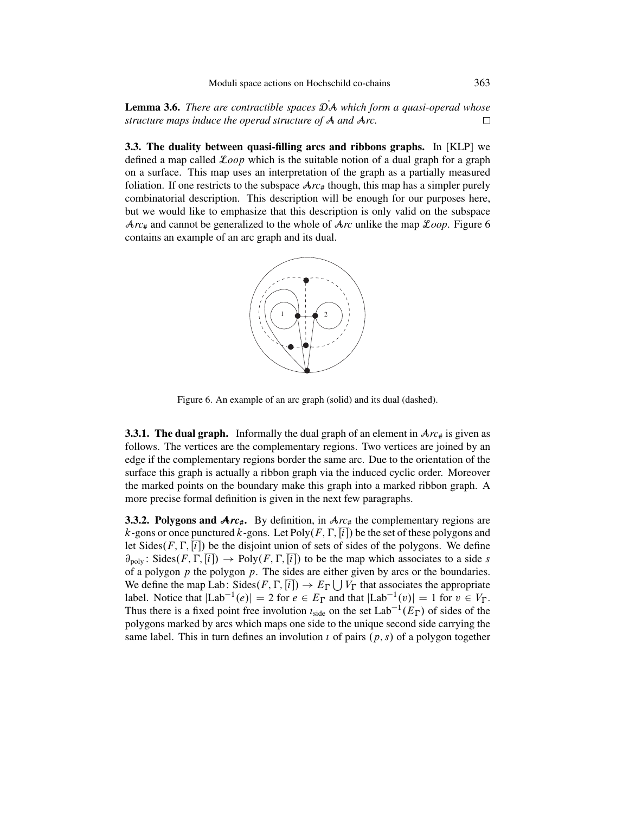**Lemma 3.6.** *There are contractible spaces*  $\mathcal{D}A$  *which form a quasi-operad whose structure maps induce the operad structure of*  $A$  *and*  $\text{Arc.}$ *structure maps induce the operad structure of* A *and* A*rc.*

**3.3. The duality between quasi-filling arcs and ribbons graphs.** In [\[KLP\]](#page-50-0) we defined a map called  $\mathcal{L}oop$  which is the suitable notion of a dual graph for a graph on a surface. This map uses an interpretation of the graph as a partially measured foliation. If one restricts to the subspace  $Arc_{\#}$  though, this map has a simpler purely combinatorial description. This description will be enough for our purposes here, but we would like to emphasize that this description is only valid on the subspace A*rc*# and cannot be generalized to the whole of A*rc* unlike the map L*oop*. Figure 6 contains an example of an arc graph and its dual.



Figure 6. An example of an arc graph (solid) and its dual (dashed).

**3.3.1. The dual graph.** Informally the dual graph of an element in  $Arc_{\#}$  is given as follows. The vertices are the complementary regions. Two vertices are joined by an edge if the complementary regions border the same arc. Due to the orientation of the surface this graph is actually a ribbon graph via the induced cyclic order. Moreover the marked points on the boundary make this graph into a marked ribbon graph. A more precise formal definition is given in the next few paragraphs.

**3.3.2. Polygons and**  $Arc$ **. By definition, in**  $Arc$  **the complementary regions are** k-gons or once punctured k-gons. Let  $Poly(F, \Gamma, [i])$  be the set of these polygons and let Sides $(F, \Gamma, [i])$  be the disjoint union of sets of sides of the polygons. We define  $\partial_{\text{poly}}$ : Sides $(F, \Gamma, [i]) \rightarrow \text{Poly}(F, \Gamma, [i])$  to be the map which associates to a side s<br>of a polygon *n* the polygon *n*. The sides are either given by arcs or the boundaries of a polygon  $p$  the polygon  $p$ . The sides are either given by arcs or the boundaries. We define the map Lab: Sides $(F, \Gamma, [i]) \to E_{\Gamma} \cup V_{\Gamma}$  that associates the appropriate<br>label. Notice that  $[\Gamma_{2b}]^{-1}(\rho) = 2$  for  $e \in F_{\Gamma}$  and that  $[\Gamma_{2b}]^{-1}(\rho) = 1$  for  $v \in V_{\Gamma}$ label. Notice that  $|Lab^{-1}(e)| = 2$  for  $e \in E_{\Gamma}$  and that  $|Lab^{-1}(v)| = 1$  for  $v \in V_{\Gamma}$ .<br>Thus there is a fixed point free involution  $I_{\Gamma}$ , on the set  $I_{\Gamma}$  about  $I(E_{\Gamma})$  of sides of the Thus there is a fixed point free involution  $i_{side}$  on the set  $Lab^{-1}(E_{\Gamma})$  of sides of the nature merked by area which mane are side to the unique second side comunication polygons marked by arcs which maps one side to the unique second side carrying the same label. This in turn defines an involution  $\iota$  of pairs  $(p, s)$  of a polygon together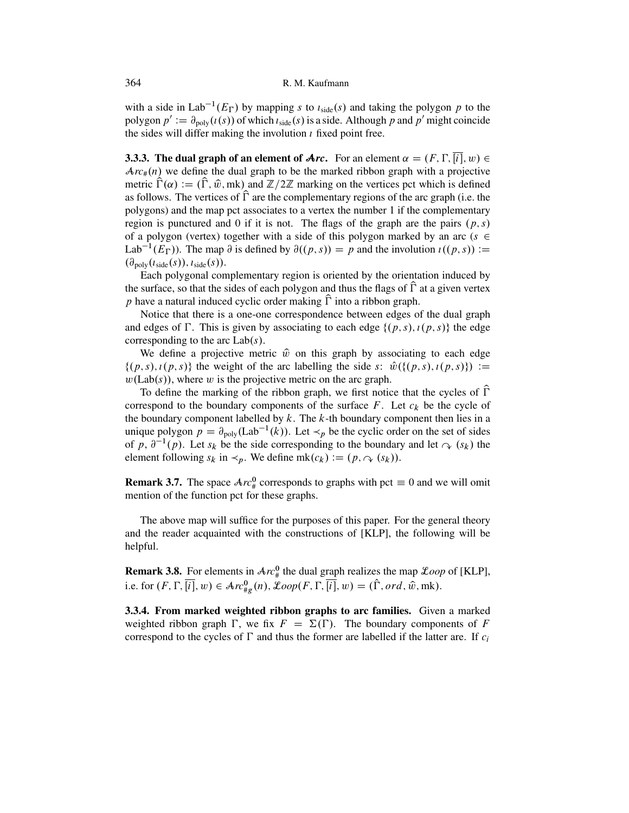with a side in Lab<sup>-1</sup>( $E_{\Gamma}$ ) by mapping s to  $i_{side}(s)$  and taking the polygon p to the polygon  $s' := \frac{3}{2}$  ( $i(s)$ ) of which  $i_{case}(s)$  is a side. Although n and  $n'$  might coincide polygon  $p' := \partial_{poly}(t(s))$  of which  $t_{side}(s)$  is a side. Although p and p' might coincide the sides will differ making the involution  $i$  fixed point free.

**3.3.3. The dual graph of an element of**  $\text{Arc.}$  For an element  $\alpha = (F, \Gamma, [i], w) \in \text{Arc.}(n)$  we define the dual graph to be the marked ribbon graph with a projective  $Arc_{\#}(n)$  we define the dual graph to be the marked ribbon graph with a projective metric  $\hat{\Gamma}(\alpha) := (\hat{\Gamma}, \hat{w}, m\mathbf{k})$  and  $\mathbb{Z}/2\mathbb{Z}$  marking on the vertices pct which is defined metric  $\Gamma(\alpha) := (\Gamma, \hat{w}, m\mathbf{k})$  and  $\mathbb{Z}/2\mathbb{Z}$  marking on the vertices pct which is defined<br>as follows. The vertices of  $\hat{\Gamma}$  are the complementary regions of the arc graph (i.e. the polygons) and the map pct associates to a vertex the number 1 if the complementary region is punctured and 0 if it is not. The flags of the graph are the pairs  $(p, s)$ of a polygon (vertex) together with a side of this polygon marked by an arc ( $s \in$ Lab<sup>-1</sup>(E<sub>F</sub>)). The map  $\partial$  is defined by  $\partial((p, s)) = p$  and the involution  $\iota((p, s)) :=$  $(\partial_{\text{poly}}(i_{\text{side}}(s)), i_{\text{side}}(s)).$ 

Each polygonal complementary region is oriented by the orientation induced by the surface, so that the sides of each polygon and thus the flags of  $\Gamma$  at a given vertex p have a natural induced cyclic order making  $\Gamma$  into a ribbon graph.<br>Native that there is a gas a resonance of the change of the case of

Notice that there is a one-one correspondence between edges of the dual graph and edges of  $\Gamma$ . This is given by associating to each edge  $\{(p, s), i(p, s)\}\$  the edge corresponding to the arc I ab(s) corresponding to the arc  $Lab(s)$ .

We define a projective metric  $\hat{w}$  on this graph by associating to each edge  $\{(p, s), i(p, s)\}\$  the weight of the arc labelling the side s:  $\hat{w}(\{(p, s), i(p, s)\}) :=$  $w(Lab(s))$ , where w is the projective metric on the arc graph.

To define the marking of the ribbon graph, we first notice that the cycles of  $\hat{\Gamma}$ Fo define the marking of the froton graph, we first notice that the cycles of T<br>correspond to the boundary components of the surface F. Let  $c_k$  be the cycle of<br>the boundary component labelled by k. The k th boundary comp the boundary component labelled by  $k$ . The  $k$ -th boundary component then lies in a unique polygon  $p = \partial_{poly}(Lab^{-1}(k))$ . Let  $\prec_p$  be the cyclic order on the set of sides of p,  $\partial^{-1}(p)$ . Let  $s_k$  be the side corresponding to the boundary and let  $\sim (s_k)$  the element following  $s_k$  in  $\prec_p$ . We define mk $(c_k) := (p, \sim (s_k))$ .

**Remark 3.7.** The space  $Arc_{\#}^{0}$  corresponds to graphs with pct  $\equiv 0$  and we will omit mention of the function pct for these graphs mention of the function pct for these graphs.

The above map will suffice for the purposes of this paper. For the general theory and the reader acquainted with the constructions of [\[KLP\]](#page-50-0), the following will be helpful.

**Remark 3.8.** For elements in  $Arc_{\#}^{0}$  the dual graph realizes the map  $\mathcal{L}oop$  of [\[KLP\]](#page-50-0), i.e. for  $(F, \Gamma, [i], w) \in \mathcal{A}rc_{\#g}^{0}(n)$ ,  $\mathcal{L}oop(F, \Gamma, [i], w) = (\Gamma, ord, \hat{w}, mk)$ .

**3.3.4. From marked weighted ribbon graphs to arc families.** Given a marked weighted ribbon graph  $\Gamma$ , we fix  $F = \Sigma(\Gamma)$ . The boundary components of F<br>correspond to the cycles of  $\Gamma$  and thus the former are labelled if the latter are. If c correspond to the cycles of  $\Gamma$  and thus the former are labelled if the latter are. If  $c_i$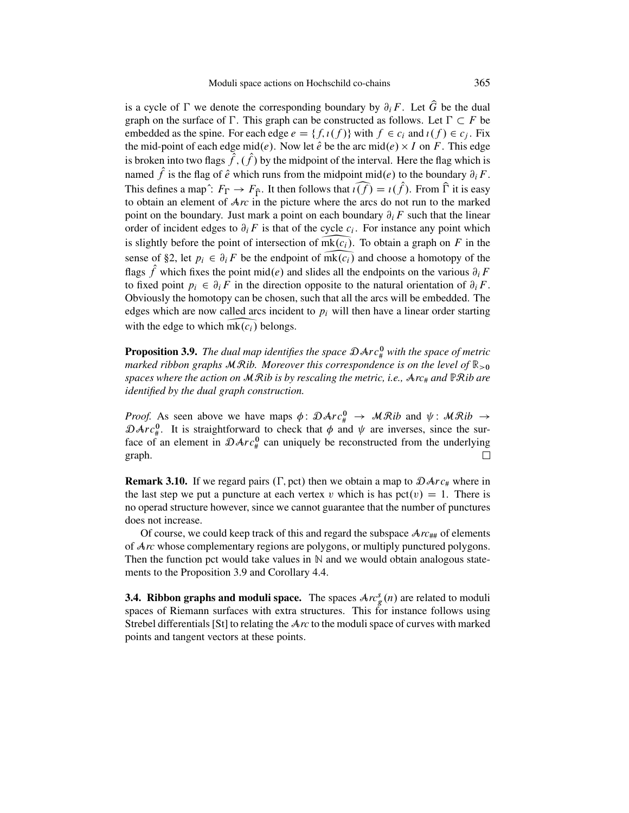is a cycle of  $\Gamma$  we denote the corresponding boundary by  $\partial_i F$ . Let G be the dual<br>graph on the surface of  $\Gamma$ . This graph on he constructed as follows. Let  $\Gamma \subset F$  he graph on the surface of  $\Gamma$ . This graph can be constructed as follows. Let  $\Gamma \subset F$  be embedded as the spine. For each edge  $e = \{f, \iota(f)\}$  with  $f \in c_i$  and  $\iota(f) \in c_j$ . Fix<br>the mid-point of each edge mid(e). Now let  $\hat{e}$  be the arc mid(e)  $\times I$  on  $F$ . This edge the mid-point of each edge mid(e). Now let  $\hat{e}$  be the arc mid(e)  $\times$  I on F. This edge is broken into two flags  $\hat{f}$ ,  $(\hat{f})$  by the midpoint of the interval. Here the flag which is named  $\hat{f}$  is the flag of  $\hat{e}$  which runs from the midpoint mid(e) to the boundary  $\partial_iF$ . graph on the surface of  $\Gamma$ . This graph can be constructed as follows. Let  $\Gamma \subset F$  be<br>embedded as the spine. For each edge  $e = \{f, \iota(f)\}$  with  $f \in c_i$  and  $\iota(f) \in c_j$ . Fix<br>the mid-point of each edge mid(e). Now let  $\hat{e$ to obtain an element of A*rc* in the picture where the arcs do not run to the marked point on the boundary. Just mark a point on each boundary  $\partial_i F$  such that the linear order of incident edges to  $\partial_i F$  is that of the cycle  $c_i$ . For instance any point which is slightly before the point of intersection of  $m\mathbf{k}(c_i)$ . To obtain a graph on F in the named f is the flag of  $\hat{e}$  which runs from the midpoint mid( $e$ ) to the boundary  $\partial_i F$ .<br>This defines a map<sup>2</sup>:  $F_{\Gamma} \to F_{\hat{\Gamma}}$ . It then follows that  $\widehat{i(f)} = i(\hat{f})$ . From  $\hat{\Gamma}$  it is easy to obtain an element of sense of [§2,](#page-12-0) let  $p_i \in \partial_i F$  be the endpoint of mk( $c_i$ ) and choose a homotopy of the flags f which fixes the point mid(e) and slides all the endpoints on the various  $\partial_i F$ <br>to fixed point  $\mathbf{r}_i \in \mathcal{R}$  is the direction opposite to the potunal orientation of  $\mathcal{R}$  F to fixed point  $p_i \in \partial_i F$  in the direction opposite to the natural orientation of  $\partial_i F$ . Obviously the homotopy can be chosen, such that all the arcs will be embedded. The edges which are now called arcs incident to  $p_i$  will then have a linear order starting with the edge to which  $\overline{mk(c_i)}$  belongs. sense of §2, let  $p_i \in \partial_i F$  be the endpo<br>flags  $\hat{f}$  which fixes the point mid(*e*) an<br>to fixed point  $p_i \in \partial_i F$  in the directio<br>Obviously the homotopy can be chosen,<br>edges which are now called arcs incide<br>with the edge

**Proposition 3.9.** The dual map identifies the space  $\mathcal{D}Arc^{\mathbf{0}}_{\#}$  with the space of metric *marked ribbon graphs* MR*ib. Moreover this correspondence is on the level of* <sup>R</sup>>0 *spaces where the action on* MR*ib is by rescaling the metric, i.e.,* A*rc*# *and* PR*ib are identified by the dual graph construction.*

*Proof.* As seen above we have maps  $\phi: \mathcal{D}Arc_{\theta}^{0} \to \mathcal{MR}ib$  and  $\psi: \mathcal{MR}ib \to \mathcal{D}Arc_{\theta}^{0}$ . It is straightforward to check that  $\phi$  and  $\psi$  are inverses since the sur- $\mathcal{D}Arc_{\#}^{0}$ . It is straightforward to check that  $\phi$  and  $\psi$  are inverses, since the surface of an element in  $\mathcal{D}Arc_{\#}^{0}$  can uniquely be reconstructed from the underlying graph.

**Remark 3.10.** If we regard pairs ( $\Gamma$ , pct) then we obtain a map to  $\mathcal{D}Arc_{\#}$  where in the last step we put a puncture at each vertex v which is has  $pct(v) = 1$ . There is no operad structure however, since we cannot guarantee that the number of punctures does not increase.

Of course, we could keep track of this and regard the subspace  $Arc_{\mu\mu}$  of elements of A*rc* whose complementary regions are polygons, or multiply punctured polygons. Then the function pct would take values in  $\mathbb N$  and we would obtain analogous statements to the Proposition 3.9 and Corollary [4.4.](#page-36-0)

**3.4. Ribbon graphs and moduli space.** The spaces  $Arc_g^s(n)$  are related to moduli spaces of Riemann surfaces with extra structures. This for instance follows using spaces of Riemann surfaces with extra structures. This for instance follows using Strebel differentials [\[St\]](#page-51-0) to relating the A*rc* to the moduli space of curves with marked points and tangent vectors at these points.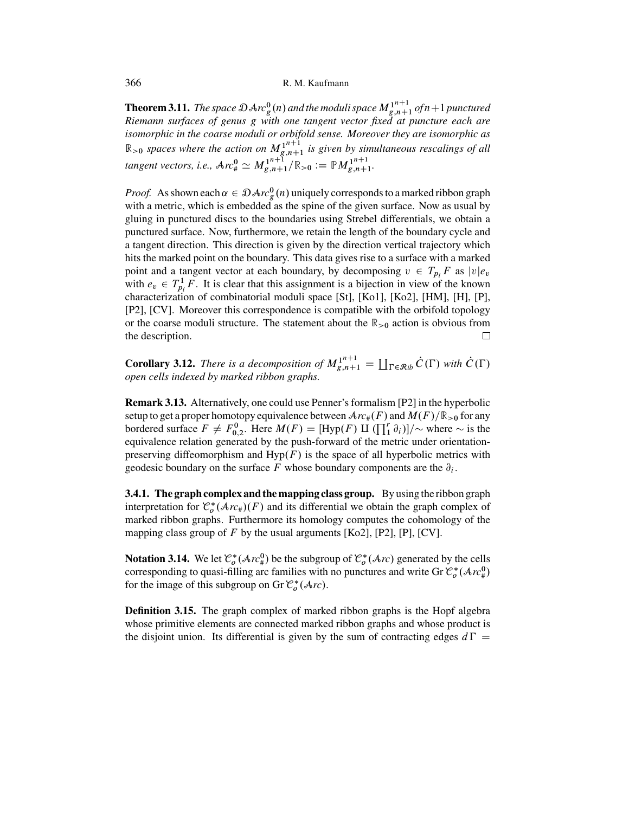**Theorem 3.11.** *The space*  $\mathcal{D}Arc_{g}^{0}(n)$  and the moduli space  $M_{g,n+1}^{1^{n+1}}$  of  $n+1$  punctured<br>Riemann, surfaces, of genus, g, with one, tangent vector, fixed, at puncture, each, are *Riemann surfaces of genus* g *with one tangent vector fixed at puncture each are isomorphic in the coarse moduli or orbifold sense. Moreover they are isomorphic as*  $\mathbb{R}_{>0}$  spaces where the action on  $M_{g,n+1}^{1^{n+1}}$  is given by simultaneous rescalings of all<br> $\mathbb{R}$ *tangent vectors, i.e.,*  $\text{Arc}_{\text{\#}}^0 \simeq M_{g,n+1}^{1^{n+1}}/\mathbb{R}_{>0} := \mathbb{P}M_{g,n+1}^{1^{n+1}}$ .

*Proof.* As shown each  $\alpha \in \mathcal{D}Arc^0_g(n)$  uniquely corresponds to a marked ribbon graph with a metric, which is embedded as the spine of the given surface. Now as usual by with a metric, which is embedded as the spine of the given surface. Now as usual by gluing in punctured discs to the boundaries using Strebel differentials, we obtain a punctured surface. Now, furthermore, we retain the length of the boundary cycle and a tangent direction. This direction is given by the direction vertical trajectory which hits the marked point on the boundary. This data gives rise to a surface with a marked point and a tangent vector at each boundary, by decomposing  $v \in T_{pi}F$  as  $|v|e_v$ <br>with  $e \in T^1F$ . It is clear that this assignment is a bijection in view of the known with  $e_v \in T_{p_i}^1 F$ . It is clear that this assignment is a bijection in view of the known<br>characterization of combinatorial moduli space [St], [Ko]], [Ko?], [HM], [H], [P] characterization of combinatorial moduli space [\[St\]](#page-51-0), [\[Ko1\]](#page-50-0), [\[Ko2\]](#page-50-0), [\[HM\]](#page-49-0), [\[H\]](#page-49-0), [\[P\]](#page-51-0), [\[P2\]](#page-51-0), [\[CV\]](#page-49-0). Moreover this correspondence is compatible with the orbifold topology or the coarse moduli structure. The statement about the  $\mathbb{R}_{>0}$  action is obvious from the description. the description.

**Corollary 3.12.** *There is a decomposition of*  $M_{g,n+1}^{1^{n+1}} = \coprod_{\Gamma \in \mathcal{R}ib} \dot{C}(\Gamma)$  with  $\dot{C}(\Gamma)$  onen cells indexed by marked ribbon graphs. *open cells indexed by marked ribbon graphs.*

**Remark 3.13.** Alternatively, one could use Penner's formalism [\[P2\]](#page-51-0) in the hyperbolic setup to get a proper homotopy equivalence between  $Arc_{#}(F)$  and  $M(F)/\mathbb{R}_{\geq 0}$  for any bordered surface  $F \neq F_{0,2}^0$ . Here  $M(F) = [\text{Hyp}(F) \amalg (\prod_{1}^r \partial_i)]/\sim$  where  $\sim$  is the equivalence relation generated by the push-forward of the metric under orientationequivalence relation generated by the push-forward of the metric under orientationpreserving diffeomorphism and  $Hyp(F)$  is the space of all hyperbolic metrics with geodesic boundary on the surface F whose boundary components are the  $\partial_i$ .

**3.4.1. The graph complex and the mapping class group.** By using the ribbon graph interpretation for  $\mathcal{C}^*_{\sigma}(\mathcal{A}r_{\#})(F)$  and its differential we obtain the graph complex of the marked ribbon graphs. Furthermore its homology computes the cohomology of the marked ribbon graphs. Furthermore its homology computes the cohomology of the mapping class group of F by the usual arguments [\[Ko2\]](#page-50-0), [\[P2\]](#page-51-0), [\[P\]](#page-51-0), [\[CV\]](#page-49-0).

**Notation 3.14.** We let  $\mathcal{C}_o^*(\mathcal{A}r c_\theta^0)$  be the subgroup of  $\mathcal{C}_o^*(\mathcal{A}r c)$  generated by the cells corresponding to quasi-filling arc families with no punctures and write  $Gr \mathcal{C}^*(\mathcal{A}r c^0)$ corresponding to quasi-filling arc families with no punctures and write Gr  $\mathcal{C}_o^*(\mathcal{A}rc^0_{\#})$ <br>for the image of this subgroup on Gr  $\mathcal{C}^*(\mathcal{A}rc)$ for the image of this subgroup on Gr  $\mathcal{C}_o^*(\mathcal{A}_{rc})$ .

**Definition 3.15.** The graph complex of marked ribbon graphs is the Hopf algebra whose primitive elements are connected marked ribbon graphs and whose product is the disjoint union. Its differential is given by the sum of contracting edges  $d\Gamma =$ 

<span id="page-33-0"></span>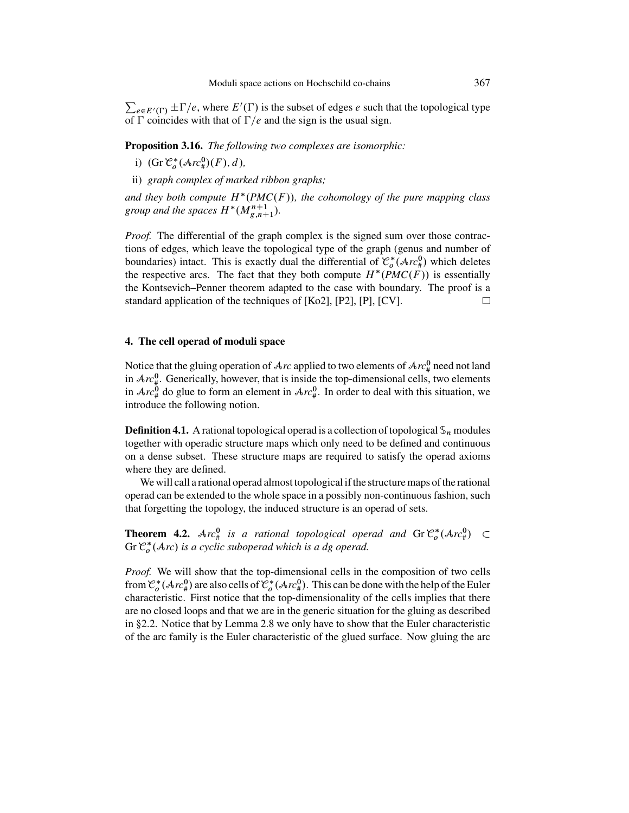<span id="page-34-0"></span> $\sum_{e \in E'(\Gamma)} \pm \Gamma/e$ , where  $E'(\Gamma)$  is the subset of edges e such that the topological type<br>of  $\Gamma$  coincides with that of  $\Gamma/e$  and the sign is the usual sign of  $\Gamma$  coincides with that of  $\Gamma/e$  and the sign is the usual sign.

**Proposition 3.16.** *The following two complexes are isomorphic:*

- i)  $(\text{Gr } \mathcal{C}_o^*(\mathcal{A}rc^0_\#)(F), d),$
- ii) *graph complex of marked ribbon graphs;*

and they both compute  $H^*(PMC(F))$ , the cohomology of the pure mapping class *group and the spaces*  $H^*(M^{n+1}_{g,n+1})$ .

*Proof.* The differential of the graph complex is the signed sum over those contractions of edges, which leave the topological type of the graph (genus and number of boundaries) intact. This is exactly dual the differential of  $\mathcal{C}_o^*(\mathcal{A}rc_s^0)$  which deletes the respective arcs. The fact that they both compute  $H^*(PMC(F))$  is essentially the respective arcs. The fact that they both compute  $H^*(PMC(F))$  is essentially the Kontsevich–Penner theorem adapted to the case with boundary. The proof is a standard application of the techniques of [\[Ko2\]](#page-50-0), [\[P2\]](#page-51-0), [\[P\]](#page-51-0), [\[CV\]](#page-49-0).  $\Box$ 

#### **4. The cell operad of moduli space**

Notice that the gluing operation of  $\mathcal{A}$ *rc* applied to two elements of  $\mathcal{A}$ *rc*<sup>0</sup> need not land in  $Arc_{\#}^0$ . Generically, however, that is inside the top-dimensional cells, two elements in  $Arc_{\#}^{0}$  do glue to form an element in  $Arc_{\#}^{0}$ . In order to deal with this situation, we introduce the following notion.

**Definition 4.1.** A rational topological operad is a collection of topological  $\mathcal{S}_n$  modules together with operadic structure maps which only need to be defined and continuous on a dense subset. These structure maps are required to satisfy the operad axioms where they are defined.

We will call a rational operad almost topological if the structure maps of the rational operad can be extended to the whole space in a possibly non-continuous fashion, such that forgetting the topology, the induced structure is an operad of sets.

**Theorem 4.2.**  $\text{Arc}_{\mu}^{\text{0}}$  is a rational topological operad and  $\text{Gr } \mathcal{C}_{o}^{*}(\text{Arc}_{\mu}^{\text{0}}) \subset \text{Gr } \mathcal{C}^{*}(\text{Arc}_{\mu}^{\text{0}})$  is a cyclic subonerad which is a do operad Gr  $\mathcal{C}^*_{o}(\mathcal{A}r)$  is a cyclic suboperad which is a dg operad.

*Proof.* We will show that the top-dimensional cells in the composition of two cells from  $\mathcal{C}_o^*(\mathcal{A}rc_u^0)$  are also cells of  $\mathcal{C}_o^*(\mathcal{A}rc_u^0)$ . This can be done with the help of the Euler characteristic. First notice that the top-dimensionality of the cells implies that there characteristic. First notice that the top-dimensionality of the cells implies that there are no closed loops and that we are in the generic situation for the gluing as described in [§2.2.](#page-16-0) Notice that by Lemma [2.8](#page-16-0) we only have to show that the Euler characteristic of the arc family is the Euler characteristic of the glued surface. Now gluing the arc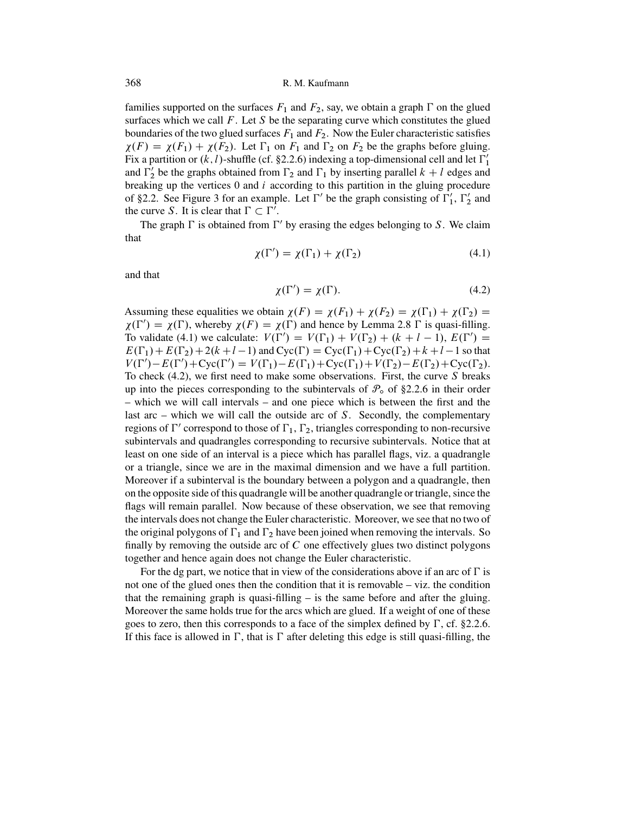<span id="page-35-0"></span>families supported on the surfaces  $F_1$  and  $F_2$ , say, we obtain a graph  $\Gamma$  on the glued<br>surfaces which we call  $F_1$  Let S be the separating surve which constitutes the glued surfaces which we call  $F$ . Let  $S$  be the separating curve which constitutes the glued boundaries of the two glued surfaces  $F_1$  and  $F_2$ . Now the Euler characteristic satisfies  $\chi(F) = \chi(F_1) + \chi(F_2)$ . Let  $\Gamma_1$  on  $F_1$  and  $\Gamma_2$  on  $F_2$  be the graphs before gluing.<br>Fix a partition or  $(k)$ -shuffle (cf. 82.2.6) indexing a top-dimensional cell and let  $\Gamma'$ . Fix a partition or  $(k, l)$ -shuffle (cf. [§2.2.6\)](#page-20-0) indexing a top-dimensional cell and let  $\Gamma'_1$ and  $\Gamma'_2$  be the graphs obtained from  $\Gamma_2$  and  $\Gamma_1$  by inserting parallel  $k + l$  edges and<br>breaking up the vertices 0 and *i* according to this partition in the gluing procedure breaking up the vertices  $0$  and  $i$  according to this partition in the gluing procedure of [§2.2.](#page-16-0) See Figure [3](#page-19-0) for an example. Let  $\Gamma'$  be the graph consisting of  $\Gamma'_1$ ,  $\Gamma'_2$  and the curve S. It is clear that  $\Gamma \subset \Gamma'$ the curve S. It is clear that  $\Gamma \subset \Gamma'$ .

The graph  $\Gamma$  is obtained from  $\Gamma'$  by erasing the edges belonging to S. We claim that

$$
\chi(\Gamma') = \chi(\Gamma_1) + \chi(\Gamma_2) \tag{4.1}
$$

and that

$$
\chi(\Gamma') = \chi(\Gamma). \tag{4.2}
$$

Assuming these equalities we obtain  $\chi(F) = \chi(F_1) + \chi(F_2) = \chi(\Gamma_1) + \chi(\Gamma_2) = \chi(\Gamma') - \chi(\Gamma)$  whereby  $\chi(F) = \chi(\Gamma)$  and hence by Lemma 2.8. E is quasi-filling  $\chi(\Gamma') = \chi(\Gamma)$ , whereby  $\chi(F) = \chi(\Gamma)$  and hence by Lemma [2.8](#page-16-0)  $\Gamma$  is quasi-filling.<br>To validate (4.1) we calculate:  $V(\Gamma') = V(\Gamma_1) + V(\Gamma_2) + (k + l - 1) F(\Gamma')$  – To validate (4.1) we calculate:  $V(\Gamma') = V(\Gamma_1) + V(\Gamma_2) + (k + l - 1), E(\Gamma') =$ <br> $F(\Gamma_1) + F(\Gamma_2) + 2(k + l - 1)$  and  $Cyc(\Gamma) = Cyc(\Gamma_1) + Cyc(\Gamma_2) + k + l - 1$  so that  $E(\Gamma_1) + E(\Gamma_2) + 2(k+l-1)$  and  $Cyc(\Gamma) = Cyc(\Gamma_1) + Cyc(\Gamma_2) + k+l-1$  so that<br> $V(\Gamma') - F(\Gamma') + Cyc(\Gamma') = V(\Gamma_1) - F(\Gamma_1) + Cyc(\Gamma_1) + V(\Gamma_2) - F(\Gamma_2) + Cyc(\Gamma_2)$  $V(\Gamma') - E(\Gamma') + \text{Cyc}(\Gamma') = V(\Gamma_1) - E(\Gamma_1) + \text{Cyc}(\Gamma_1) + V(\Gamma_2) - E(\Gamma_2) + \text{Cyc}(\Gamma_2)$ .<br>To check (4.2), we first need to make some observations. First, the curve S breaks To check  $(4.2)$ , we first need to make some observations. First, the curve S breaks up into the pieces corresponding to the subintervals of  $\mathcal{P}_{o}$  of [§2.2.6](#page-20-0) in their order – which we will call intervals – and one piece which is between the first and the last arc  $-$  which we will call the outside arc of  $S$ . Secondly, the complementary regions of  $\Gamma'$  correspond to those of  $\Gamma_1$ ,  $\Gamma_2$ , triangles corresponding to non-recursive<br>cubintervals and quadrangles corresponding to nonveive subjecturals. Notice that at subintervals and quadrangles corresponding to recursive subintervals. Notice that at least on one side of an interval is a piece which has parallel flags, viz. a quadrangle or a triangle, since we are in the maximal dimension and we have a full partition. Moreover if a subinterval is the boundary between a polygon and a quadrangle, then on the opposite side of this quadrangle will be another quadrangle or triangle, since the flags will remain parallel. Now because of these observation, we see that removing the intervals does not change the Euler characteristic. Moreover, we see that no two of the original polygons of  $\Gamma_1$  and  $\Gamma_2$  have been joined when removing the intervals. So finally by removing the outside are of  $C$  are effectively clues two distinct polygons finally by removing the outside arc of  $C$  one effectively glues two distinct polygons together and hence again does not change the Euler characteristic.

For the dg part, we notice that in view of the considerations above if an arc of  $\Gamma$  is not one of the glued ones then the condition that it is removable – viz. the condition that the remaining graph is quasi-filling – is the same before and after the gluing. Moreover the same holds true for the arcs which are glued. If a weight of one of these goes to zero, then this corresponds to a face of the simplex defined by  $\Gamma$ , cf. [§2.2.6.](#page-20-0) If this face is allowed in  $\Gamma$ , that is  $\Gamma$  after deleting this edge is still quasi-filling, the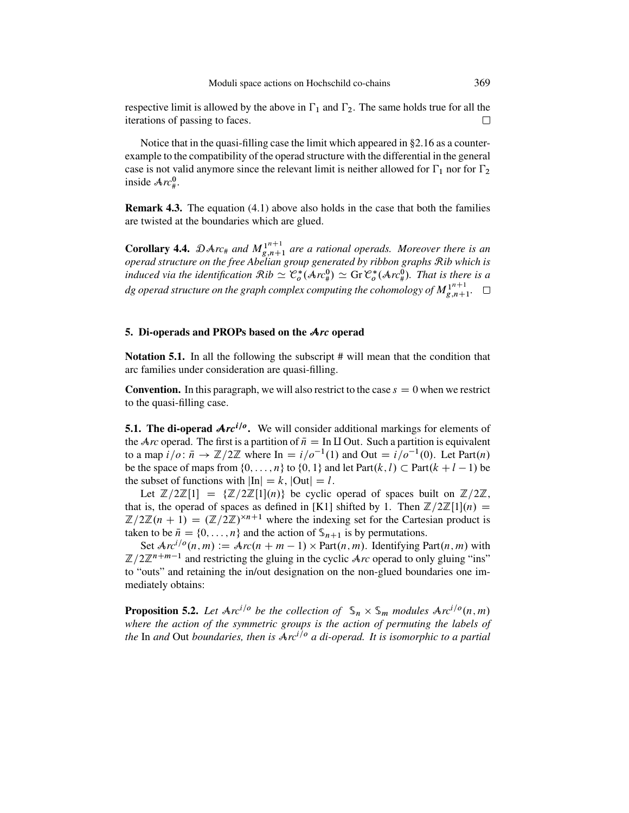<span id="page-36-0"></span>respective limit is allowed by the above in  $\Gamma_1$  and  $\Gamma_2$ . The same holds true for all the iterations of passing to focos iterations of passing to faces.

Notice that in the quasi-filling case the limit which appeared in [§2.16](#page-23-0) as a counterexample to the compatibility of the operad structure with the differential in the general case is not valid anymore since the relevant limit is neither allowed for  $\Gamma_1$  nor for  $\Gamma$ inside  $Arc_{\#}^{0}$ .

**Remark 4.3.** The equation [\(4.1\)](#page-35-0) above also holds in the case that both the families are twisted at the boundaries which are glued.

**Corollary 4.4.**  $\mathcal{D}Arc_{\#}$  and  $M_{g,n+1}^{n+1}$  are a rational operads. Moreover there is an operad structure on the free Abelian group generated by ribbon graphs Rib which is *induced via the identification*  $\mathcal{R}ib \simeq \mathcal{C}_o^*(\mathcal{A}rc_s^0) \simeq \text{Gr } \mathcal{C}_o^*(\mathcal{A}rc_s^0)$ . That is there is a<br>decreed throughout an also send a send a send as senative that the values of  $\mathcal{M}^{n+1}$ . dg operad structure on the graph complex computing the cohomology of  $M^{1^{n+1}}_{g,n+1}$ .  $\Box$ 

## **5. Di-operads and PROPs based on the** A*rc* **operad**

**Notation 5.1.** In all the following the subscript # will mean that the condition that arc families under consideration are quasi-filling.

**Convention.** In this paragraph, we will also restrict to the case  $s = 0$  when we restrict to the quasi-filling case.

**5.1. The di-operad**  $Arc^{i/\theta}$ **.** We will consider additional markings for elements of the A<sub>rc</sub> operad. The first is a partition of  $\bar{n} = \text{In } \Pi$  Out. Such a partition is equivalent to a map  $i/\sigma: \bar{n} \to \mathbb{Z}/2\mathbb{Z}$  where In  $=i/\sigma^{-1}(1)$  and Out  $=i/\sigma^{-1}(0)$ . Let Part $(n)$ . be the space of maps from  $\{0, \ldots, n\}$  to  $\{0, 1\}$  and let Part $(k, l) \subset$  Part $(k + l - 1)$  be the subset of functions with  $|\text{In}| = k$   $|\text{Out}| = l$ the subset of functions with  $\text{In} \leq k$ ,  $\text{Out} \leq l$ .

Let  $\mathbb{Z}/2\mathbb{Z}[1] = {\mathbb{Z}/2\mathbb{Z}[1](n)}$  be cyclic operad of spaces built on  $\mathbb{Z}/2\mathbb{Z}$ ,<br>is the operad of spaces as defined in [K11 shifted by 1. Then  $\mathbb{Z}/2\mathbb{Z}[1](n)$  = that is, the operad of spaces as defined in [\[K1\]](#page-50-0) shifted by 1. Then  $\mathbb{Z}/2\mathbb{Z}[1](n) =$ <br> $\mathbb{Z}/2\mathbb{Z}(n+1) = (\mathbb{Z}/2\mathbb{Z})^{\times n+1}$  where the indexing set for the Cartesian product is  $\mathbb{Z}/2\mathbb{Z}(n + 1) = (\mathbb{Z}/2\mathbb{Z})^{\times n+1}$  where the indexing set for the Cartesian product is taken to be  $\bar{n} = \{0, \ldots, n\}$  and the action of  $\mathcal{S}_{n+1}$  is by permutations.

Set  $Arc^{i/o}(n,m) := Arc(n + m - 1) \times Part(n, m)$ . Identifying Part $(n, m)$  with  $\mathbb{Z}/2\mathbb{Z}^{n+m-1}$  and restricting the gluing in the cyclic  $Arc$  operad to only gluing "ins" to "outs" and retaining the in/out designation on the non-glued boundaries one immediately obtains:

**Proposition 5.2.** Let  $Arc^{i/\circ}$  be the collection of  $\mathcal{S}_n \times \mathcal{S}_m$  modules  $Arc^{i/\circ}(n,m)$ *where the action of the symmetric groups is the action of permuting the labels of the* In and Out *boundaries, then is*  $Arc^{i/o}$  *a di-operad. It is isomorphic to a partial*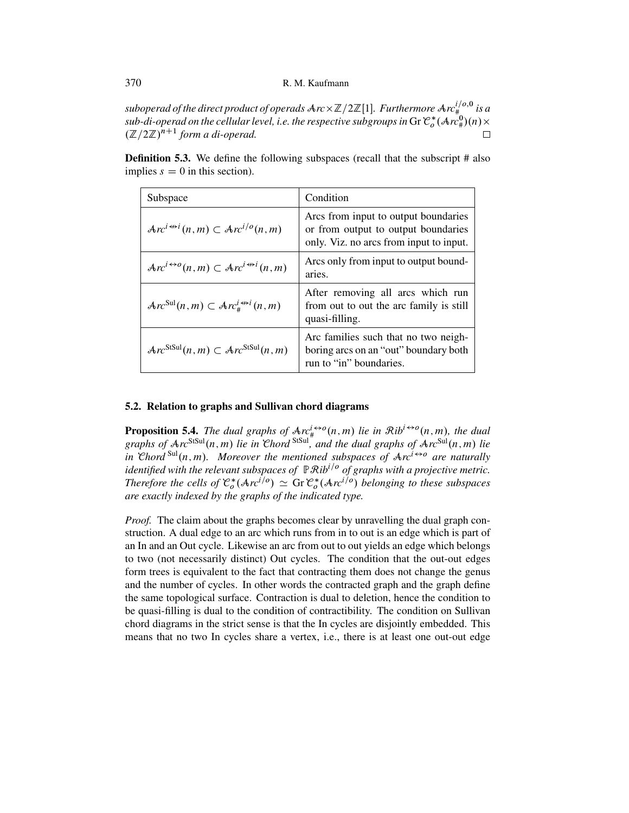$\frac{1}{2}$  *suboperad of the direct product of operads*  $\frac{A}{C}Z$   $\frac{1}{2}\mathbb{Z}$  [1]. *Furthermore*  $\frac{A}{C}r^{(10)}$   $\frac{1}{2}$  *sub-di-operad on the cellular level*  $\frac{1}{2}$  *e-the respective subarouns in Gr \mathcal{C}^\*(\mathcal{A}* sub-di-operad on the cellular level, i.e. the respective subgroups in Gr  $\mathcal{C}_o^*(\mathcal{A}nc^0_\#)(n)\times$ <br> $(\mathbb{Z}/2\mathbb{Z})^{n+1}$  form a di-operad  $(\mathbb{Z}/2\mathbb{Z})^{n+1}$  form a di-operad.

**Definition 5.3.** We define the following subspaces (recall that the subscript # also implies  $s = 0$  in this section).

| Subspace                                                                          | Condition                                                                                                              |
|-----------------------------------------------------------------------------------|------------------------------------------------------------------------------------------------------------------------|
| $\text{Arc}^{i \leftrightarrow i}(n, m) \subset \text{Arc}^{i/o}(n, m)$           | Arcs from input to output boundaries<br>or from output to output boundaries<br>only. Viz. no arcs from input to input. |
| $Arc^{i\leftrightarrow o}(n,m)\subset Arc^{i\leftrightarrow i}(n,m)$              | Arcs only from input to output bound-<br>aries.                                                                        |
| $\text{Arc}^{\text{Sul}}(n,m) \subset \text{Arc}_{\#}^{i \leftrightarrow i}(n,m)$ | After removing all arcs which run<br>from out to out the arc family is still<br>quasi-filling.                         |
| $\mathcal{A}rc^{\text{StSul}}(n,m) \subset \mathcal{A}rc^{\text{StSul}}(n,m)$     | Arc families such that no two neigh-<br>boring arcs on an "out" boundary both<br>run to "in" boundaries.               |

## **5.2. Relation to graphs and Sullivan chord diagrams**

**Proposition 5.4.** *The dual graphs of*  $Ar_{\#}^{1 \leftrightarrow o}(n,m)$  *lie in*  $Rib^{1 \leftrightarrow o}(n,m)$ *, the dual* graphs of  $Arc^{\text{StSul}}(n,m)$  *lie in Chord* <sup>StSul</sup>, and the dual graphs of  $Arc^{\text{Sul}}(n,m)$  lie *in* Chord<sup>Sul</sup>(n, m). Moreover the mentioned subspaces of  $Arc^{i\leftrightarrow o}$  are naturally *identified with the relevant subspaces of*  $\mathbb{P}$ *Rib<sup>i/o</sup> of graphs with a projective metric. Therefore the cells of*  $\mathcal{C}_o^*(\mathcal{A}r c^{1/\theta}) \simeq$  Gr  $\mathcal{C}_o^*(\mathcal{A}r c^{1/\theta})$  belonging to these subspaces *are exactly indexed by the graphs of the indicated type.*

*Proof.* The claim about the graphs becomes clear by unravelling the dual graph construction. A dual edge to an arc which runs from in to out is an edge which is part of an In and an Out cycle. Likewise an arc from out to out yields an edge which belongs to two (not necessarily distinct) Out cycles. The condition that the out-out edges form trees is equivalent to the fact that contracting them does not change the genus and the number of cycles. In other words the contracted graph and the graph define the same topological surface. Contraction is dual to deletion, hence the condition to be quasi-filling is dual to the condition of contractibility. The condition on Sullivan chord diagrams in the strict sense is that the In cycles are disjointly embedded. This means that no two In cycles share a vertex, i.e., there is at least one out-out edge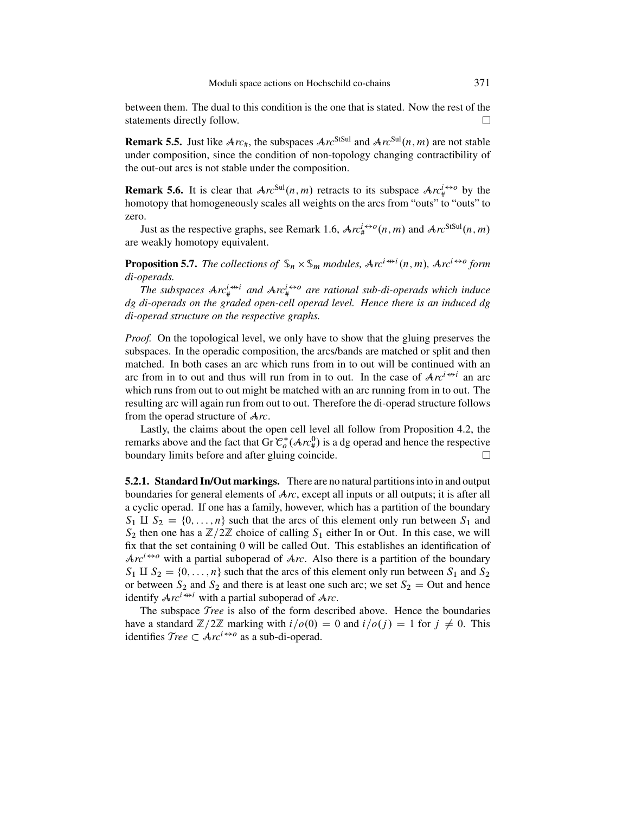<span id="page-38-0"></span>between them. The dual to this condition is the one that is stated. Now the rest of the statements directly follow.  $\Box$ 

**Remark 5.5.** Just like  $Arc_{\#}$ , the subspaces  $Arc^{StSul}$  and  $Arc^{Sul}(n,m)$  are not stable under composition, since the condition of non-topology changing contractibility of the out-out arcs is not stable under the composition.

**Remark 5.6.** It is clear that  $Arc^{Sul}(n,m)$  retracts to its subspace  $Arc^{i\leftrightarrow o}_{\mu}$  by the homotopy that homogeneously scales all weights on the arcs from "outs" to "outs" to zero.

Just as the respective graphs, see Remark [1.6,](#page-11-0)  $Arc_{\mu}^{i\leftrightarrow o}(n,m)$  and  $Arc^{StSul}(n,m)$ are weakly homotopy equivalent.

**Proposition 5.7.** The collections of  $\mathbb{S}_n \times \mathbb{S}_m$  modules,  $\text{Arc}^{i \leftrightarrow i}(n, m)$ ,  $\text{Arc}^{i \leftrightarrow o}$  form di-onerads *di-operads.*

The subspaces  $Arc_{\#}^{i \leftrightarrow i}$  and  $Arc_{\#}^{i \leftrightarrow o}$  are rational sub-di-operads which induce *dg di-operads on the graded open-cell operad level. Hence there is an induced dg di-operad structure on the respective graphs.*

*Proof.* On the topological level, we only have to show that the gluing preserves the subspaces. In the operadic composition, the arcs/bands are matched or split and then matched. In both cases an arc which runs from in to out will be continued with an arc from in to out and thus will run from in to out. In the case of  $Ar^{i\leftrightarrow i}$  an arc which runs from out to out might be matched with an arc running from in to out. The resulting arc will again run from out to out. Therefore the di-operad structure follows from the operad structure of A*rc*.

Lastly, the claims about the open cell level all follow from Proposition [4.2,](#page-34-0) the remarks above and the fact that Gr  $\mathcal{C}_o^*(\mathcal{A}rc_y^0)$  is a dg operad and hence the respective<br>houndary limits before and after gluing coincide boundary limits before and after gluing coincide.

**5.2.1. Standard In/Out markings.** There are no natural partitions into in and output boundaries for general elements of A*rc*, except all inputs or all outputs; it is after all a cyclic operad. If one has a family, however, which has a partition of the boundary  $S_1$  II  $S_2 = \{0, \ldots, n\}$  such that the arcs of this element only run between  $S_1$  and  $S_2$  then one has a  $\mathbb{Z}/2\mathbb{Z}$  choice of calling  $S_1$  either In or Out. In this case, we will fix that the set containing 0 will be called Out. This establishes an identification of  $Arc^{i\leftrightarrow o}$  with a partial suboperad of  $Arc$ . Also there is a partition of the boundary  $S_1 \amalg S_2 = \{0, \ldots, n\}$  such that the arcs of this element only run between  $S_1$  and  $S_2$ or between  $S_2$  and  $S_2$  and there is at least one such arc; we set  $S_2 =$  Out and hence identify  $Ar^{i \leftrightarrow i}$  with a partial suboperad of  $Arc$ .

The subspace T*ree* is also of the form described above. Hence the boundaries have a standard  $\mathbb{Z}/2\mathbb{Z}$  marking with  $i/\rho(0) = 0$  and  $i/\rho(j) = 1$  for  $j \neq 0$ . This identifies  $Tree \subset Arc^{t \leftrightarrow o}$  as a sub-di-operad.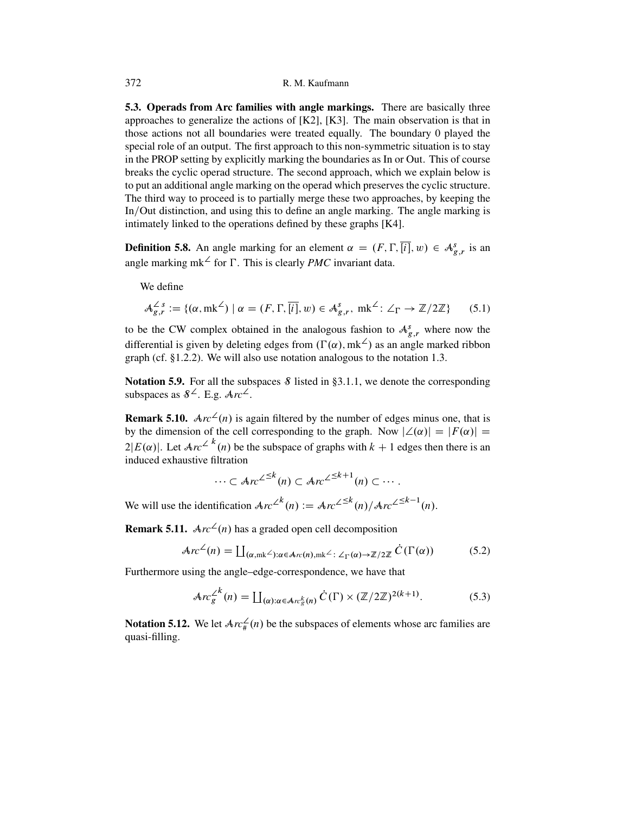**5.3. Operads from Arc families with angle markings.** There are basically three approaches to generalize the actions of  $[K2]$ ,  $[K3]$ . The main observation is that in those actions not all boundaries were treated equally. The boundary 0 played the special role of an output. The first approach to this non-symmetric situation is to stay in the PROP setting by explicitly marking the boundaries as In or Out. This of course breaks the cyclic operad structure. The second approach, which we explain below is to put an additional angle marking on the operad which preserves the cyclic structure. The third way to proceed is to partially merge these two approaches, by keeping the In/Out distinction, and using this to define an angle marking. The angle marking is intimately linked to the operations defined by these graphs [\[K4\]](#page-50-0).

**Definition 5.8.** An angle marking for an element  $\alpha = (F, \Gamma, [i], w) \in \mathcal{A}_{g,r}^s$  is an angle marking  $m \leq \epsilon$  or  $\Gamma$ . This is algority *PMC* invariant data angle marking mk<sup> $\angle$ </sup> for  $\Gamma$ . This is clearly *PMC* invariant data.

We define

$$
\mathcal{A}_{g,r}^{\angle s} := \{ (\alpha, m\mathbf{k}^{\angle}) \mid \alpha = (F, \Gamma, \overline{[i]}, w) \in \mathcal{A}_{g,r}^{s}, m\mathbf{k}^{\angle} : \angle_{\Gamma} \to \mathbb{Z}/2\mathbb{Z} \} \tag{5.1}
$$

to be the CW complex obtained in the analogous fashion to  $A_{g,r}^{s}$  where now the differential is given by deleting adopt from  $(F(x), m! \zeta)$  as an analogous morked ribbon differential is given by deleting edges from ( $\Gamma(\alpha)$ , mk<sup> $\angle$ </sup>) as an angle marked ribbon graph (cf. [§1.2.2\)](#page-9-0). We will also use notation analogous to the notation [1.3.](#page-8-0)

**Notation 5.9.** For all the subspaces  $\delta$  listed in [§3.1.1,](#page-27-0) we denote the corresponding subspaces as  $8^{\angle}$ . E.g.  $Arc^{\angle}$ .

**Remark 5.10.**  $Arc^2(n)$  is again filtered by the number of edges minus one, that is by the dimension of the cell corresponding to the graph. Now  $|\angle(\alpha)| = |F(\alpha)| =$  $2|E(\alpha)|$ . Let  $Arc^2$  <sup>k</sup>(n) be the subspace of graphs with  $k + 1$  edges then there is an induced exhaustive filtration induced exhaustive filtration

$$
\cdots \subset Arc^{\angle\leq k}(n) \subset Arc^{\angle\leq k+1}(n) \subset \cdots.
$$

We will use the identification  $Arc^{\angle^{k}}(n) := Arc^{\angle^{k}}(n)/Arc^{\angle^{k}}(n)$ .

**Remark 5.11.**  $Arc^2(n)$  has a graded open cell decomposition

$$
Arc^{\angle}(n) = \coprod_{(\alpha,mk^{\angle}): \alpha \in Ar(n), mk^{\angle} : \angle_{\Gamma}(\alpha) \to \mathbb{Z}/2\mathbb{Z}} \dot{C}(\Gamma(\alpha))
$$
 (5.2)

Furthermore using the angle–edge-correspondence, we have that

$$
\mathcal{A}rc_{g}^{\angle^{k}}(n) = \coprod_{(\alpha):\alpha \in \mathcal{A}rc_{g}^{k}(n)} \dot{C}(\Gamma) \times (\mathbb{Z}/2\mathbb{Z})^{2(k+1)}.
$$
 (5.3)

**Notation 5.12.** We let  $Arc_{\#}^{\angle}(n)$  be the subspaces of elements whose arc families are quasi-filling.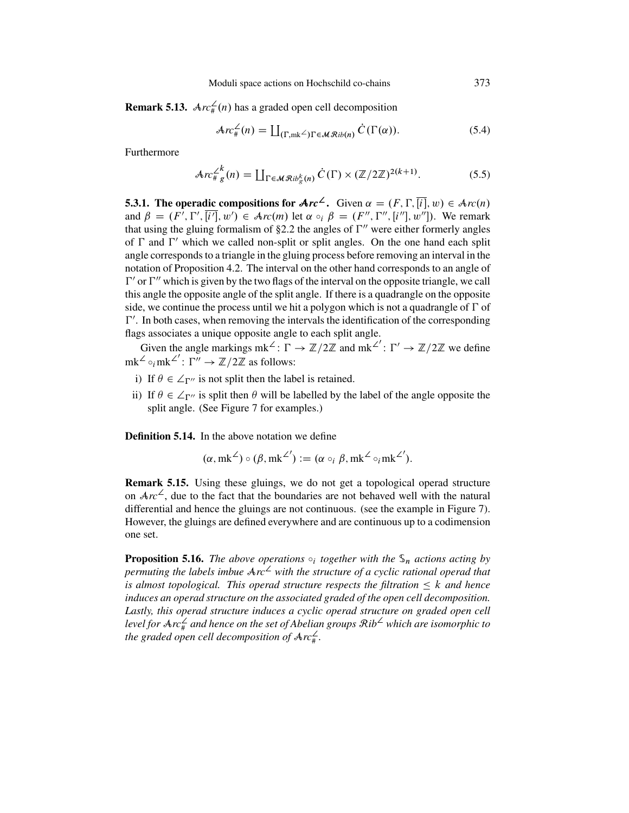**Remark 5.13.**  $Arc_{\#}^{\angle}(n)$  has a graded open cell decomposition

$$
\mathcal{A}rc_{\#}^{\angle}(n) = \coprod_{(\Gamma,\mathrm{mk}^{\angle})\Gamma \in \mathcal{MR}ib(n)} \dot{C}(\Gamma(\alpha)). \tag{5.4}
$$

Furthermore

$$
\mathcal{A}rc_{\#g}^{\angle k}(n) = \coprod_{\Gamma \in \mathcal{M}\mathcal{R}ib_{g}^{k}(n)} \dot{C}(\Gamma) \times (\mathbb{Z}/2\mathbb{Z})^{2(k+1)}.
$$
 (5.5)

**5.3.1. The operadic compositions for**  $Arc^2$ **.** Given  $\alpha = (F, \Gamma, [i], w) \in Arc(n)$ <br>and  $\beta = (F' \Gamma' \overline{[i']} \cdot w') \in Arc(m)$  let  $\alpha \circ \beta = (F'' \Gamma'' \overline{[i'']} \cdot w'')$ . We remark and  $\beta = (F', \Gamma', [i'], w') \in \text{Arc}(m)$  let  $\alpha \circ_i \beta = (F'', \Gamma'', [i''], w''])$ . We remark that using the gluing formalism of  $\S 2.2$  the angles of  $\Gamma''$  were either formerly angles of  $\Gamma$  and  $\Gamma'$  which we called non-split or split angles. On the one hand each split angle corresponds to a triangle in the gluing process before removing an interval in the notation of Proposition [4.2.](#page-34-0) The interval on the other hand corresponds to an angle of  $\Gamma'$  or  $\Gamma''$  which is given by the two flags of the interval on the opposite triangle, we call this angle the opposite angle of the split angle. If there is a quadrangle on the opposite side, we continue the process until we hit a polygon which is not a quadrangle of  $\Gamma$  of  $\Gamma'$ . In both cases, when removing the intervals the identification of the corresponding flags associates a unique opposite angle to each split angle.

Given the angle markings  $mk^2$ :  $\Gamma \to \mathbb{Z}/2\mathbb{Z}$  and  $mk^2$ :  $\Gamma' \to \mathbb{Z}/2\mathbb{Z}$  we define  $mk^2 \circ_i mk^2$ :  $\Gamma'' \to \mathbb{Z}/2\mathbb{Z}$  as follows:

- i) If  $\theta \in \angle_{\Gamma''}$  is not split then the label is retained.
- ii) If  $\theta \in \angle_{\Gamma''}$  is split then  $\theta$  will be labelled by the label of the angle opposite the split angle (See Figure 7 for examples) split angle. (See Figure [7](#page-41-0) for examples.)

**Definition 5.14.** In the above notation we define

$$
(\alpha, mk^{\angle}) \circ (\beta, mk^{\angle'}) := (\alpha \circ_i \beta, mk^{\angle} \circ_i mk^{\angle'}).
$$

**Remark 5.15.** Using these gluings, we do not get a topological operad structure on  $Arc^2$ , due to the fact that the boundaries are not behaved well with the natural differential and hence the gluings are not continuous. (see the example in Figure [7\)](#page-41-0). However, the gluings are defined everywhere and are continuous up to a codimension one set.

**Proposition 5.16.** *The above operations*  $\circ_i$  *together with the*  $\mathcal{S}_n$  *actions acting by permuting the labels imbue*  $Arc^2$  *with the structure of a cyclic rational operad that is almost topological. This operad structure respects the filtration*  $\leq k$  *and hence induces an operad structure on the associated graded of the open cell decomposition. Lastly, this operad structure induces a cyclic operad structure on graded open cell level for* A*rc*† # *and hence on the set of Abelian groups* R*ib*† *which are isomorphic to* the graded open cell decomposition of  $\text{Arc}_{\text{\#}}^{\text{2}}$ .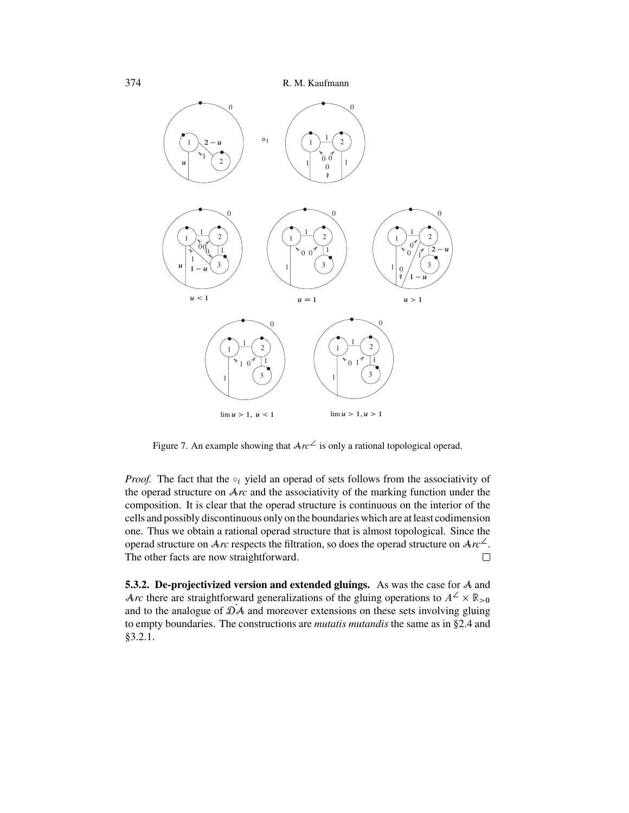<span id="page-41-0"></span>

Figure 7. An example showing that  $Arc^2$  is only a rational topological operad.

*Proof.* The fact that the  $\circ_i$  yield an operad of sets follows from the associativity of the operad structure on A*rc* and the associativity of the marking function under the composition. It is clear that the operad structure is continuous on the interior of the cells and possibly discontinuous only on the boundaries which are at least codimension one. Thus we obtain a rational operad structure that is almost topological. Since the operad structure on  $Arc$  respects the filtration, so does the operad structure on  $Arc^{\perp}$ . The other facts are now straightforward.  $\Box$ 

**5.3.2. De-projectivized version and extended gluings.** As was the case for A and Arc there are straightforward generalizations of the gluing operations to  $A^2 \times \mathbb{R}_{>0}$ and to the analogue of  $\mathcal{D}A$  and moreover extensions on these sets involving gluing to empty boundaries. The constructions are *mutatis mutandis* the same as in [§2.4](#page-24-0) and [§3.2.1.](#page-29-0)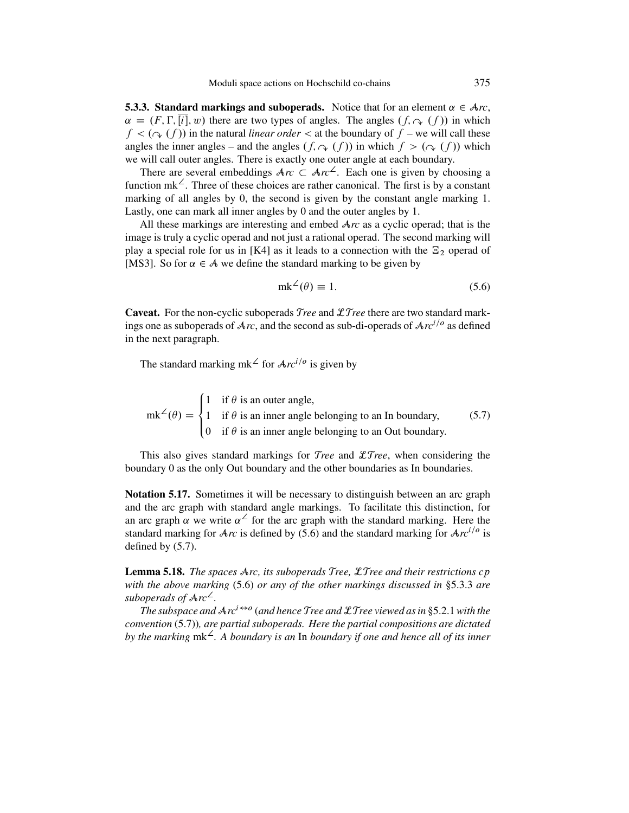<span id="page-42-0"></span>**5.3.3. Standard markings and suboperads.** Notice that for an element  $\alpha \in \mathcal{A}r$ ,  $\alpha = (F, \Gamma, [i], w)$  there are two types of angles. The angles  $(f, \gamma(f))$  in which  $f < (\gamma(f))$  in the natural linear order  $\epsilon$  at the boundary of  $f$  – we will call these  $f < (g(\gamma)(f))$  in the natural *linear order*  $\prec$  at the boundary of  $f$  – we will call these angles the inner angles – and the angles  $(f, \sim f)$  in which  $f > (\sim f)$  which we will call outer angles. There is exactly one outer angle at each boundary.

There are several embeddings  $Arc \,\subset Arc^2$ . Each one is given by choosing a crition  $mk^2$ . Three of these choices are rather canonical. The first is by a constant function mk<sup> $\angle$ </sup>. Three of these choices are rather canonical. The first is by a constant marking of all angles by 0, the second is given by the constant angle marking 1. Lastly, one can mark all inner angles by 0 and the outer angles by 1.

All these markings are interesting and embed A*rc* as a cyclic operad; that is the image is truly a cyclic operad and not just a rational operad. The second marking will play a special role for us in [\[K4\]](#page-50-0) as it leads to a connection with the  $\Xi_2$  operad of [\[MS3\]](#page-50-0). So for  $\alpha \in A$  we define the standard marking to be given by

$$
mk^2(\theta) \equiv 1. \tag{5.6}
$$

**Caveat.** For the non-cyclic suboperads T*ree* and LT*ree* there are two standard markings one as suboperads of  $Arc$ , and the second as sub-di-operads of  $Arc^{i/o}$  as defined in the next paragraph.

The standard marking mk<sup> $\angle$ </sup> for  $Arc^{i/o}$  is given by

 $mk^2(\theta) =$  $\sqrt{2}$  $\int$  $\overline{\mathcal{L}}$ 1 if  $\theta$  is an outer angle, 1 if  $\theta$  is an inner angle belonging to an In boundary, 0 if  $\theta$  is an inner angle belonging to an Out boundary. (5.7)

This also gives standard markings for T*ree* and LT*ree*, when considering the boundary 0 as the only Out boundary and the other boundaries as In boundaries.

**Notation 5.17.** Sometimes it will be necessary to distinguish between an arc graph and the arc graph with standard angle markings. To facilitate this distinction, for an arc graph  $\alpha$  we write  $\alpha^2$  for the arc graph with the standard marking. Here the standard marking for  $Arc$  is defined by (5.6) and the standard marking for  $Arc^{i/o}$  is defined by (5.7).

**Lemma 5.18.** *The spaces* A*rc, its suboperads* T*ree,* LT*ree and their restrictions* cp *with the above marking* (5.6) *or any of the other markings discussed in* §5.3.3 *are suboperads of* A*rc*†*.*

 $\overline{T}$ *The subspace and*  $\overline{Ar^{i\leftrightarrow o}}$  (*and hence* Tree and  $\mathcal{L}$ Tree viewed as in [§5.2.1](#page-38-0) with the *convention* (5.7))*, are partial suboperads. Here the partial compositions are dictated by the marking* mk†*. A boundary is an* In *boundary if one and hence all of its inner*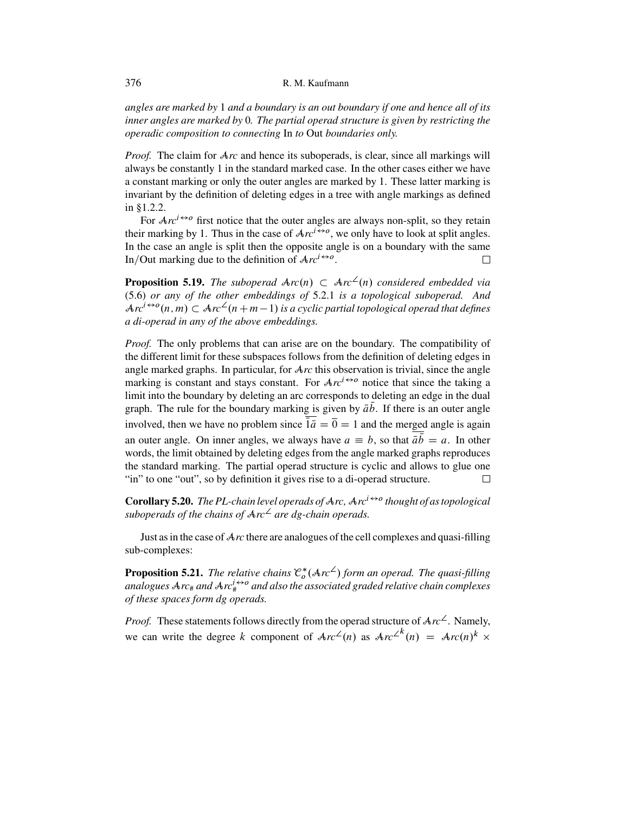*angles are marked by* 1 *and a boundary is an out boundary if one and hence all of its inner angles are marked by* 0*. The partial operad structure is given by restricting the operadic composition to connecting* In *to* Out *boundaries only.*

*Proof.* The claim for  $\mathcal{A}_{rc}$  and hence its suboperads, is clear, since all markings will always be constantly 1 in the standard marked case. In the other cases either we have a constant marking or only the outer angles are marked by 1. These latter marking is invariant by the definition of deleting edges in a tree with angle markings as defined in [§1.2.2.](#page-9-0)

For  $Arc^{i\leftrightarrow o}$  first notice that the outer angles are always non-split, so they retain their marking by 1. Thus in the case of  $Arc^{i\leftrightarrow o}$ , we only have to look at split angles. In the case an angle is split then the opposite angle is on a boundary with the same In/Out marking due to the definition of  $Arc^{i\leftrightarrow o}$ . П

**Proposition 5.19.** *The suboperad*  $Arc(n) \subset Arc^2(n)$  considered embedded via<br>(5.6) *or any of the other embeddings of* 5.2.1 is a topological subonerad. And [\(5.6\)](#page-42-0) *or any of the other embeddings of* [5.2.1](#page-38-0) *is a topological suboperad. And*  $Arc^{t\leftrightarrow o}(n,m) \subset Arc^{\angle}(n+m-1)$  is a cyclic partial topological operad that defines<br>a di-operad in any of the above embeddings *a di-operad in any of the above embeddings.*

*Proof.* The only problems that can arise are on the boundary. The compatibility of the different limit for these subspaces follows from the definition of deleting edges in angle marked graphs. In particular, for A*rc* this observation is trivial, since the angle marking is constant and stays constant. For  $Arc^{i\leftrightarrow o}$  notice that since the taking a limit into the boundary by deleting an arc corresponds to deleting an edge in the dual graph. The rule for the boundary marking is given by  $\bar{a}b$ . If there is an outer angle<br>involved there are house as another since  $\overline{h}$ .  $\overline{b}$  and the magnetic rate is assigned involved, then we have no problem since  $\overline{1}a = \overline{0} = 1$  and the merged angle is again an outer angle. On inner angles, we always have  $a \equiv b$ , so that  $\bar{a}b = a$ . In other words the limit obtained by deleting edges from the angle marked graphs reproduces words, the limit obtained by deleting edges from the angle marked graphs reproduces the standard marking. The partial operad structure is cyclic and allows to glue one "in" to one "out", so by definition it gives rise to a di-operad structure. П

**Corollary 5.20.** *The PL-chain level operads of*  $\text{Arc}, \text{Arc} \rightarrow$  *thought of as topological suboperads of the chains of*  $Arc<sup>2</sup>$  *are dg-chain operads.* 

Just as in the case of A*rc* there are analogues of the cell complexes and quasi-filling sub-complexes:

**Proposition 5.21.** The relative chains  $\mathcal{C}_o^*(\mathcal{A}rc^{\angle})$  form an operad. The quasi-filling<br>analogues  $\mathcal{A}$  rc<sub>\*</sub> and  $\mathcal{A}rc^{i\leftrightarrow o}$  and also the associated graded relative chain complexes *analogues*  $\text{Arc}_{\text{#}}$  *and*  $\text{Arc}_{\text{#}}^{i \leftrightarrow o}$  *and also the associated graded relative chain complexes of these spaces form dg operads.*

*Proof.* These statements follows directly from the operad structure of  $Arc^2$ . Namely, we can write the degree k component of  $Arc^2(n)$  as  $Arc^{2^k}(n) = Arc(n)^k \times$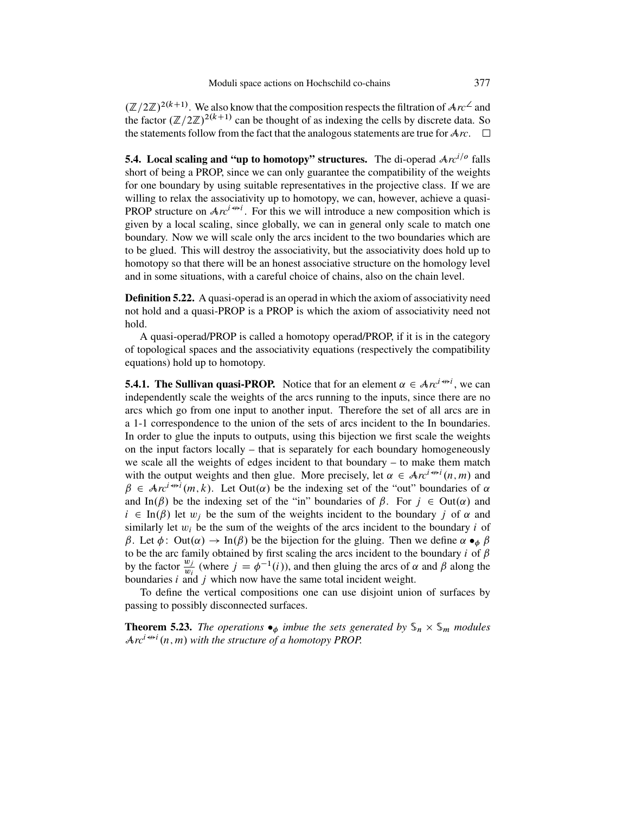<span id="page-44-0"></span> $(\mathbb{Z}/2\mathbb{Z})^{2(k+1)}$ . We also know that the composition respects the filtration of  $Arc^2$  and the factor  $(\mathbb{Z}/2\mathbb{Z})^{2(k+1)}$  can be thought of as indexing the cells by discrete data. So the statements follow from the fact that the analogous statements are true for  $Arc$ .  $\Box$ 

**5.4. Local scaling and "up to homotopy" structures.** The di-operad  $Arc^{i/o}$  falls short of being a PROP, since we can only guarantee the compatibility of the weights for one boundary by using suitable representatives in the projective class. If we are willing to relax the associativity up to homotopy, we can, however, achieve a quasi-**PROP** structure on  $Ar^{i \leftrightarrow i}$ . For this we will introduce a new composition which is given by a local scaling, since globally, we can in general only scale to match one boundary. Now we will scale only the arcs incident to the two boundaries which are to be glued. This will destroy the associativity, but the associativity does hold up to homotopy so that there will be an honest associative structure on the homology level and in some situations, with a careful choice of chains, also on the chain level.

**Definition 5.22.** A quasi-operad is an operad in which the axiom of associativity need not hold and a quasi-PROP is a PROP is which the axiom of associativity need not hold.

A quasi-operad/PROP is called a homotopy operad/PROP, if it is in the category of topological spaces and the associativity equations (respectively the compatibility equations) hold up to homotopy.

**5.4.1. The Sullivan quasi-PROP.** Notice that for an element  $\alpha \in Arc^{i \leftrightarrow i}$ , we can independently scale the weights of the arcs running to the inputs, since there are no independently scale the weights of the arcs running to the inputs, since there are no arcs which go from one input to another input. Therefore the set of all arcs are in a 1-1 correspondence to the union of the sets of arcs incident to the In boundaries. In order to glue the inputs to outputs, using this bijection we first scale the weights on the input factors locally – that is separately for each boundary homogeneously we scale all the weights of edges incident to that boundary – to make them match with the output weights and then glue. More precisely, let  $\alpha \in \mathcal{A}re^{i \nleftrightarrow i}(n, m)$  and  $\beta \in \mathcal{A}re^{i \nleftrightarrow i}(m, k)$ . Let Out( $\alpha$ ) be the indexing set of the "out" boundaries of  $\alpha$  $\beta \in Arc^{i \leftrightarrow i}(m, k)$ . Let Out( $\alpha$ ) be the indexing set of the "out" boundaries of  $\alpha$ <br>and In( $\beta$ ) be the indexing set of the "in" boundaries of  $\beta$ . For  $i \in Out(\alpha)$  and and In( $\beta$ ) be the indexing set of the "in" boundaries of  $\beta$ . For  $j \in Out(\alpha)$  and  $i \in \text{In}(\beta)$  let  $w_i$  be the sum of the weights incident to the boundary j of  $\alpha$  and similarly let  $w_i$  be the sum of the weights of the arcs incident to the boundary *i* of  $\beta$ . Let  $\phi$ : Out( $\alpha$ )  $\rightarrow$  In( $\beta$ ) be the bijection for the gluing. Then we define  $\alpha \bullet_{\phi} \beta$  $\beta$ . Let  $\phi$ : Out( $\alpha$ )  $\rightarrow$  In( $\beta$ ) be the bijection for the gluing. Then we define  $\alpha \bullet_{\phi} \beta$  to be the arc family obtained by first scaling the arcs incident to the boundary *i* of  $\beta$ by the factor  $\frac{w_j}{w_i}$  (where  $j = \phi^{-1}(i)$ ), and then gluing the arcs of  $\alpha$  and  $\beta$  along the boundaries  $i$  and  $i$  which now have the same total incident weight boundaries  $i$  and  $j$  which now have the same total incident weight.

To define the vertical compositions one can use disjoint union of surfaces by passing to possibly disconnected surfaces.

**Theorem 5.23.** *The operations*  $\bullet_{\phi}$  *imbue the sets generated by*  $\mathcal{S}_n \times \mathcal{S}_m$  *modules*  $Arc^{i \nleftrightarrow i}(n, m)$  with the structure of a homotopy PROP.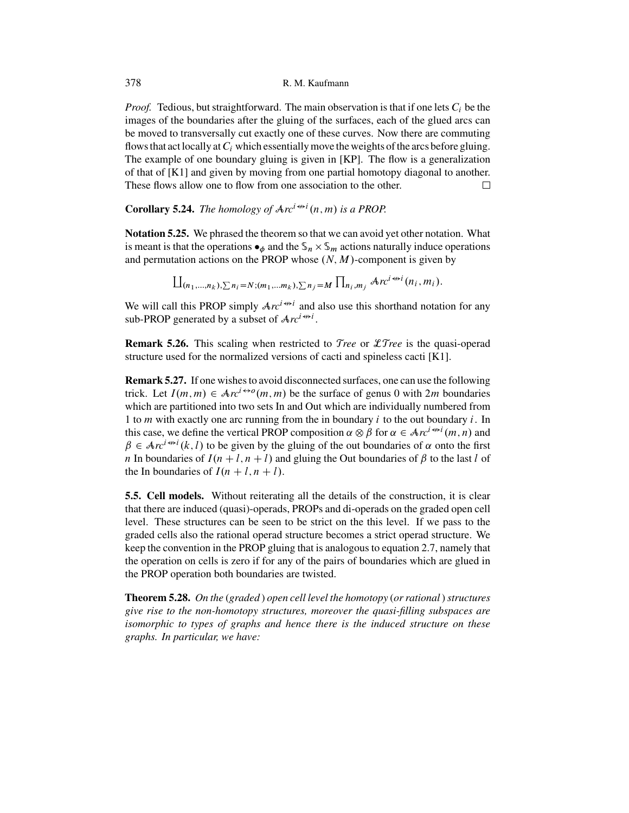*Proof.* Tedious, but straightforward. The main observation is that if one lets  $C_i$  be the images of the boundaries after the gluing of the surfaces, each of the glued arcs can be moved to transversally cut exactly one of these curves. Now there are commuting flows that act locally at  $C_i$  which essentially move the weights of the arcs before gluing. The example of one boundary gluing is given in [\[KP\]](#page-50-0). The flow is a generalization of that of [\[K1\]](#page-50-0) and given by moving from one partial homotopy diagonal to another. These flows allow one to flow from one association to the other. П

# **Corollary 5.24.** *The homology of*  $Arc^{i \nleftrightarrow i}(n, m)$  *is a PROP.*

**Notation 5.25.** We phrased the theorem so that we can avoid yet other notation. What is meant is that the operations  $\bullet_{\phi}$  and the  $\mathcal{S}_n \times \mathcal{S}_m$  actions naturally induce operations and permutation actions on the PROP whose  $(N, M)$ -component is given by

$$
\prod_{(n_1,\ldots,n_k),\sum n_i=N;(m_1,\ldots,m_k),\sum n_j=M}\prod_{n_i,m_j} Ar c^{i\leftrightarrow i}(n_i,m_i).
$$

We will call this PROP simply  $Arc^{i\leftrightarrow i}$  and also use this shorthand notation for any sub-PROP generated by a subset of  $Arc^{i \leftrightarrow i}$ .

**Remark 5.26.** This scaling when restricted to T*ree* or LT*ree* is the quasi-operad structure used for the normalized versions of cacti and spineless cacti [\[K1\]](#page-50-0).

**Remark 5.27.** If one wishes to avoid disconnected surfaces, one can use the following trick. Let  $I(m, m) \in \mathcal{A}r c^{i \leftrightarrow o}(m, m)$  be the surface of genus 0 with 2m boundaries which are partitioned into two sets In and Out which are individually numbered from 1 to *m* with exactly one arc running from the in boundary  $i$  to the out boundary  $i$ . In this case, we define the vertical PROP composition  $\alpha \otimes \beta$  for  $\alpha \in Arc^{i \leftrightarrow i}(m, n)$  and  $\beta \in Arc^{i \leftrightarrow i}(k, l)$  to be given by the gluing of the out boundaries of  $\alpha$  onto the first  $\beta \in Arc^{i \leftrightarrow i}(k, l)$  to be given by the gluing of the out boundaries of  $\alpha$  onto the first  $n \text{ In boundedness of } \beta$  to the last l of n In boundaries of  $I(n+l, n+l)$  and gluing the Out boundaries of  $\beta$  to the last l of the In boundaries of  $I(n+l, n+l)$ .

**5.5. Cell models.** Without reiterating all the details of the construction, it is clear that there are induced (quasi)-operads, PROPs and di-operads on the graded open cell level. These structures can be seen to be strict on the this level. If we pass to the graded cells also the rational operad structure becomes a strict operad structure. We keep the convention in the PROP gluing that is analogous to equation [2.7,](#page-23-0) namely that the operation on cells is zero if for any of the pairs of boundaries which are glued in the PROP operation both boundaries are twisted.

**Theorem 5.28.** *On the* (*graded* ) *open cell level the homotopy* (*or rational*)*structures give rise to the non-homotopy structures, moreover the quasi-filling subspaces are isomorphic to types of graphs and hence there is the induced structure on these graphs. In particular, we have:*

<span id="page-45-0"></span>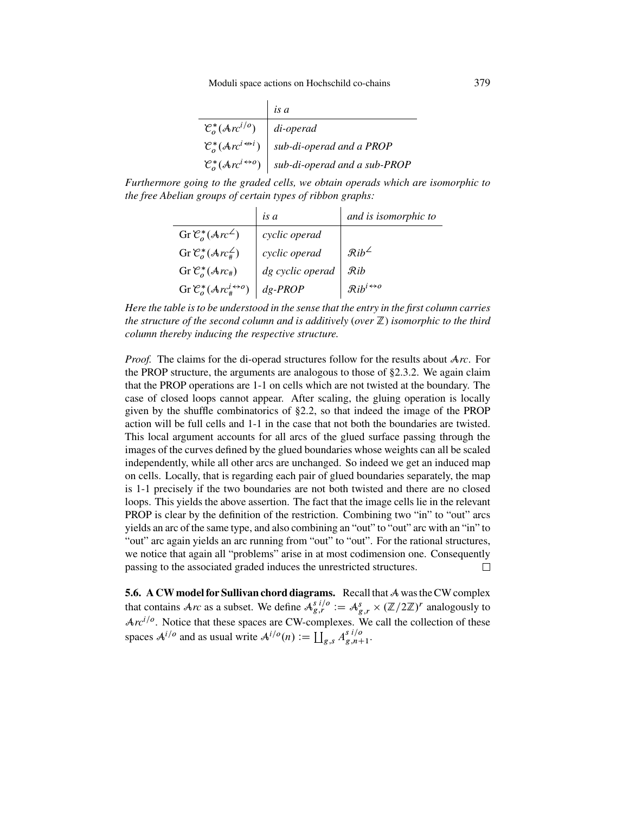|                                                     | is a                                                                                 |
|-----------------------------------------------------|--------------------------------------------------------------------------------------|
| $\mathcal{C}^*_{\alpha}(\mathcal{A}r^{i/o})$        | $di$ -operad                                                                         |
| $\mathcal{C}_{\alpha}^*(\mathcal{A}re^{i\omega i})$ | sub-di-operad and a PROP                                                             |
|                                                     | $\mathcal{C}^*_o(\mathcal{A}r c^{i \leftrightarrow o})$ sub-di-operad and a sub-PROP |
|                                                     |                                                                                      |

*Furthermore going to the graded cells, we obtain operads which are isomorphic to the free Abelian groups of certain types of ribbon graphs:*

|                                                         | is a             | and is isomorphic to                 |
|---------------------------------------------------------|------------------|--------------------------------------|
| Gr $\mathcal{C}_{o}^{*}(Arc^{\angle})$                  | cyclic operad    |                                      |
| Gr $\mathcal{C}_{o}^{*}(Arc_{\#}^{\angle})$             | cyclic operad    | $\mathcal{R}ib^{\angle}$             |
| Gr $\mathcal{C}_{o}^{*}(\mathcal{A}rc_{\#})$            | dg cyclic operad | $\mathcal{R}$ ib                     |
| Gr $\mathcal{C}_{o}^{*}(Arc_{\#}^{i\leftrightarrow o})$ | $dg$ -PROP       | $\mathcal{R}ib^{i\leftrightarrow o}$ |
|                                                         |                  |                                      |

*Here the table is to be understood in the sense that the entry in the first column carries the structure of the second column and is additively* (*over* Z) *isomorphic to the third column thereby inducing the respective structure.*

*Proof.* The claims for the di-operad structures follow for the results about A*rc*. For the PROP structure, the arguments are analogous to those of [§2.3.2.](#page-22-0) We again claim that the PROP operations are 1-1 on cells which are not twisted at the boundary. The case of closed loops cannot appear. After scaling, the gluing operation is locally given by the shuffle combinatorics of [§2.2,](#page-16-0) so that indeed the image of the PROP action will be full cells and 1-1 in the case that not both the boundaries are twisted. This local argument accounts for all arcs of the glued surface passing through the images of the curves defined by the glued boundaries whose weights can all be scaled independently, while all other arcs are unchanged. So indeed we get an induced map on cells. Locally, that is regarding each pair of glued boundaries separately, the map is 1-1 precisely if the two boundaries are not both twisted and there are no closed loops. This yields the above assertion. The fact that the image cells lie in the relevant PROP is clear by the definition of the restriction. Combining two "in" to "out" arcs yields an arc of the same type, and also combining an "out" to "out" arc with an "in" to "out" arc again yields an arc running from "out" to "out". For the rational structures, we notice that again all "problems" arise in at most codimension one. Consequently passing to the associated graded induces the unrestricted structures.  $\Box$ 

**5.6. A CW model for Sullivan chord diagrams.** Recall that A was the CW complex that contains  $\mathcal{A}_{rc}$  as a subset. We define  $\mathcal{A}_{g,r}^{g}$   $:= \mathcal{A}_{g,r}^{g} \times (\mathbb{Z}/2\mathbb{Z})^{r}$  analogously to  $\mathcal{A}_{m}$  and  $\mathcal{A}_{g,r}$  and  $\mathcal{A}_{g,r}$  are  $\mathcal{A}_{g,r}$  and  $\mathcal{A}_{g,r}$  and  $\mathcal{A}_{g,r}$  are  $\mathcal{A}_{g,r}$  an  $Arc^{i/o}$ . Notice that these spaces are CW-complexes. We call the collection of these spaces  $A^{i/o}$  and as usual write  $A^{i/o}(n) := \coprod_{g,s} A^{s' \prime/o}_{g,n+1}.$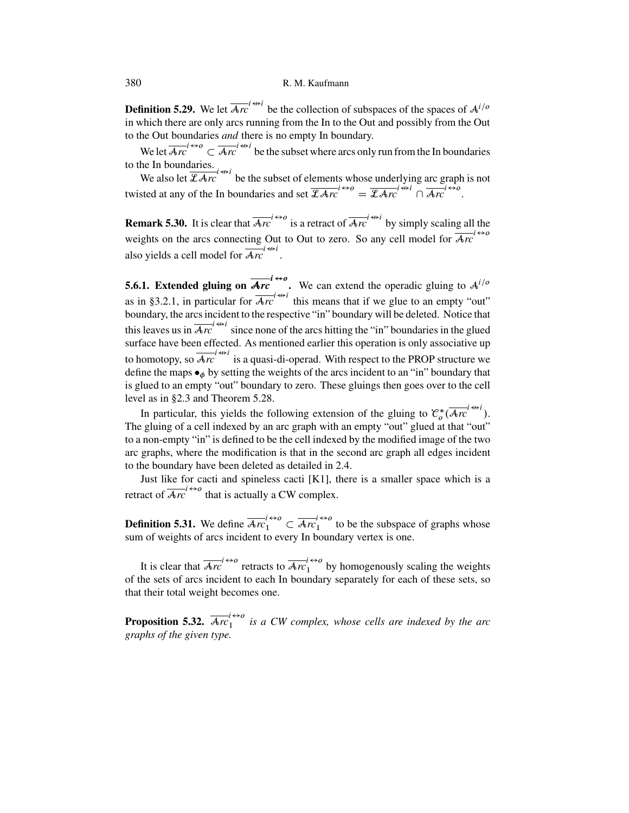<span id="page-47-0"></span>**Definition 5.29.** We let  $\overline{Arc}^{i \leftrightarrow i}$  be the collection of subspaces of the spaces of  $A^{i/o}$ in which there are only arcs running from the In to the Out and possibly from the Out to the Out boundaries *and* there is no empty In boundary.

We let  $\overline{Ar}^{i\leftrightarrow o}_c \subset \overline{Ar}^{i\leftrightarrow i}$  be the subset where arcs only run from the In boundaries<br>he In boundaries to the In boundaries.

We also let  $\overline{\mathcal{Z} \mathcal{A} r c}^{i \leftrightarrow i}$  be the subset of elements whose underlying arc graph is not twisted at any of the In boundaries and set  $\overline{\mathcal{L}Arc}^{i\leftrightarrow o} = \overline{\mathcal{L}Arc}^{i\leftrightarrow i} \cap \overline{Arc}^{i\leftrightarrow o}$ .

**Remark 5.30.** It is clear that  $\overline{Arc}^{i\leftrightarrow o}$  is a retract of  $\overline{Arc}^{i\leftrightarrow i}$  by simply scaling all the weights on the arcs connecting Out to Out to zero. So any cell model for  $\overline{Arc}^{1\leftrightarrow0}$ also yields a cell model for  $\overline{\mathcal{A}rc}^{i\leftrightarrow i}$ .

**5.6.1. Extended gluing on**  $\overline{Arc}$   $\stackrel{def}{=}$  We can extend the operadic gluing to  $A^{i/o}$ as in [§3.2.1,](#page-29-0) in particular for  $\overline{\mathcal{A}r}$  this means that if we glue to an empty "out" boundary, the arcs incident to the respective "in" boundary will be deleted. Notice that this leaves us in  $\overline{Arc}^{i \leftrightarrow i}$  since none of the arcs hitting the "in" boundaries in the glued surface have been effected. As mentioned earlier this operation is only associative up to homotopy, so  $\overline{\mathcal{A}r}$  is a quasi-di-operad. With respect to the PROP structure we define the maps  $\bullet_{\phi}$  by setting the weights of the arcs incident to an "in" boundary that is glued to an empty "out" boundary to zero. These gluings then goes over to the cell level as in [§2.3](#page-21-0) and Theorem [5.28.](#page-45-0)

In particular, this yields the following extension of the gluing to  $\mathcal{C}^*_{\rho}(\overline{\mathcal{A}r}^{i\leftrightarrow i}_{\rho}).$ <br>A gluing of a cell indexed by an arc graph with an empty "out" glued at that "out" The gluing of a cell indexed by an arc graph with an empty "out" glued at that "out" to a non-empty "in" is defined to be the cell indexed by the modified image of the two arc graphs, where the modification is that in the second arc graph all edges incident to the boundary have been deleted as detailed in [2.4.](#page-24-0)

Just like for cacti and spineless cacti [\[K1\]](#page-50-0), there is a smaller space which is a retract of  $\overline{Ar}$ <sup>1</sup><sup> $\leftrightarrow$ 0</sup> that is actually a CW complex.

**Definition 5.31.** We define  $\overline{Arc}_1^{\ell\leftrightarrow0} \subset \overline{Arc}_1^{\ell\leftrightarrow0}$  to be the subspace of graphs whose sum of weights of arcs incident to every In boundary vertex is one.

It is clear that  $\overline{Arc}^{t\leftrightarrow o}$  retracts to  $\overline{Arc}^{t\leftrightarrow o}$  by homogenously scaling the weights<br>he sets of arcs incident to each In boundary separately for each of these sets. so of the sets of arcs incident to each In boundary separately for each of these sets, so that their total weight becomes one.

**Proposition 5.32.**  $\overline{Ar}_1^{c+o}$  *is a CW complex, whose cells are indexed by the arc* graphs of the given type *graphs of the given type.*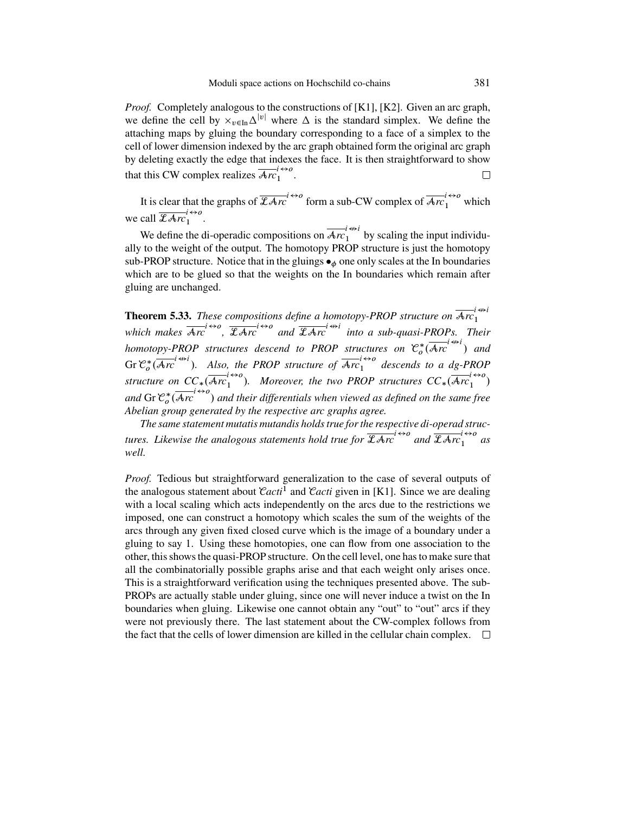*Proof.* Completely analogous to the constructions of [\[K1\]](#page-50-0), [\[K2\]](#page-50-0). Given an arc graph, we define the cell by  $x_{v \in \text{In}} \Delta^{|v|}$  where  $\Delta$  is the standard simplex. We define the attaching maps by gluing the boundary corresponding to a face of a simplex to the cell of lower dimension indexed by the arc graph obtained form the original arc graph by deleting exactly the edge that indexes the face. It is then straightforward to show that this CW complex realizes  $\overline{\mathcal{A}rc}_1^{1\leftrightarrow0}$ .  $\Box$ 

It is clear that the graphs of  $\overline{\mathcal{L}Arc}^{t\leftrightarrow0}$  form a sub-CW complex of  $\overline{\mathcal{A}r_1}^{t\leftrightarrow0}$  which we call  $\overline{\mathcal{L}Arr}_{1}^{l\leftrightarrow o}$  $\begin{bmatrix} 1 \\ 1 \end{bmatrix}$ .

We define the di-operadic compositions on  $\overline{\mathcal{A}rc}_1^{i \leftrightarrow i}$  by scaling the input individu-<br>to the weight of the output. The homotopy PROP structure is just the homotopy ally to the weight of the output. The homotopy PROP structure is just the homotopy sub-PROP structure. Notice that in the gluings  $\bullet_{\phi}$  one only scales at the In boundaries which are to be glued so that the weights on the In boundaries which remain after gluing are unchanged.

**Theorem 5.33.** *These compositions define a homotopy-PROP structure on*  $\overline{A}r_1^{i\leftrightarrow i}$ which makes  $\overline{Arc}^{i\leftrightarrow o}$ ,  $\overline{\mathcal{Z}Arc}^{i\leftrightarrow o}$  and  $\overline{\mathcal{Z}Arc}^{i\leftrightarrow i}$  into a sub-quasi-PROPs. Their *homotopy-PROP structures descend to PROP structures on*  $\mathcal{C}_o^*(\overline{Arc}^{i\leftrightarrow i})$  and Gr  $\mathcal{C}_o^*$  ( $\overline{\mathcal{A}r_c}^{i \leftrightarrow i}$ ). Also, the PROP structure of  $\overline{\mathcal{A}r_c}^{i \leftrightarrow o}$  descends to a dg-PROP structure on  $CC_*\left(\overline{Arc}_1^{l\leftrightarrow o}\right)$ . Moreover, the two PROP structures  $CC_*\left(\overline{Arc}_1^{l\leftrightarrow o}\right)$ and Gr  $\mathcal{C}_\sigma^* (\overline{\mathcal{A}r}^{c\leftrightarrow o})$  and their differentials when viewed as defined on the same free<br>Abelian group generated by the respective arc graphs garee *Abelian group generated by the respective arc graphs agree.*

*The same statement mutatis mutandis holds true for the respective di-operad structures. Likewise the analogous statements hold true for*  $\overline{\mathcal{L} A r c}^{l \leftrightarrow o}$  *and*  $\overline{\mathcal{L} A r c}^{l \leftrightarrow o}$  *as*<br>well *well.*

*Proof.* Tedious but straightforward generalization to the case of several outputs of the analogous statement about  $\mathcal{C}acti^1$  and  $\mathcal{C}acti$  given in [\[K1\]](#page-50-0). Since we are dealing with a local scaling which acts independently on the arcs due to the restrictions we imposed, one can construct a homotopy which scales the sum of the weights of the arcs through any given fixed closed curve which is the image of a boundary under a gluing to say 1. Using these homotopies, one can flow from one association to the other, this shows the quasi-PROP structure. On the cell level, one has to make sure that all the combinatorially possible graphs arise and that each weight only arises once. This is a straightforward verification using the techniques presented above. The sub-PROPs are actually stable under gluing, since one will never induce a twist on the In boundaries when gluing. Likewise one cannot obtain any "out" to "out" arcs if they were not previously there. The last statement about the CW-complex follows from the fact that the cells of lower dimension are killed in the cellular chain complex.  $\Box$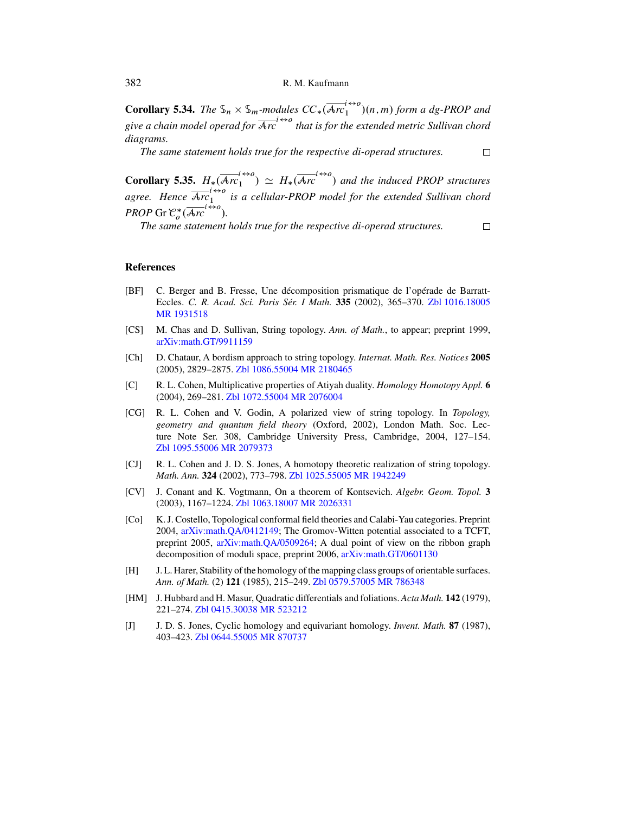<span id="page-49-0"></span>**Corollary 5.34.** *The*  $\mathcal{S}_n \times \mathcal{S}_m$ -modules  $CC_*\left(\overline{\mathcal{A}rC_1}^{1\leftrightarrow o}\right)(n,m)$  form a dg-PROP and give a chain model operad for  $\overline{Arc}^{t\leftrightarrow0}$  that is for the extended metric Sullivan chord *diagrams.*

*The same statement holds true for the respective di-operad structures.*

**Corollary 5.35.**  $H_*(\overline{Arc}_1^{l\leftrightarrow o}) \simeq H_*(\overline{Arc}^{l\leftrightarrow o})$  and the induced PROP structures  $\binom{1}{1} \cong H_*$ *agree. Hence*  $\overline{\text{Arc}}_1^{1\leftrightarrow o}$  is a cellular-PROP model for the extended Sullivan chord *PROP* Gr  $\mathcal{C}_o^*(\overline{Arc}^{t\leftrightarrow o})$ .<br>The same statement

*The same statement holds true for the respective di-operad structures.*

 $\Box$ 

 $\Box$ 

## **References**

- [BF] C. Berger and B. Fresse, Une décomposition prismatique de l'opérade de Barratt-Eccles. *C. R. Acad. Sci. Paris Sér. I Math.* **335** (2002), 365–370. [Zbl 1016.18005](http://www.emis.de/MATH-item?1016.18005) [MR 1931518](http://www.ams.org/mathscinet-getitem?mr=1931518)
- [CS] M. Chas and D. Sullivan, String topology. *Ann. of Math.*, to appear; preprint 1999, [arXiv:math.GT/9911159](http://arxiv.org/abs/math.GT/9911159)
- [Ch] D. Chataur, A bordism approach to string topology. *Internat. Math. Res. Notices* **2005** (2005), 2829–2875. [Zbl 1086.55004](http://www.emis.de/MATH-item?1086.55004) [MR 2180465](http://www.ams.org/mathscinet-getitem?mr=2180465)
- [C] R. L. Cohen, Multiplicative properties of Atiyah duality. *Homology Homotopy Appl.* **6** (2004), 269–281. [Zbl 1072.55004](http://www.emis.de/MATH-item?1072.55004) [MR 2076004](http://www.ams.org/mathscinet-getitem?mr=2076004)
- [CG] R. L. Cohen and V. Godin, A polarized view of string topology. In *Topology, geometry and quantum field theory* (Oxford, 2002), London Math. Soc. Lecture Note Ser. 308, Cambridge University Press, Cambridge, 2004, 127–154. [Zbl 1095.55006](http://www.emis.de/MATH-item?1095.55006) [MR 2079373](http://www.ams.org/mathscinet-getitem?mr=2079373)
- [CJ] R. L. Cohen and J. D. S. Jones, A homotopy theoretic realization of string topology. *Math. Ann.* **324** (2002), 773–798. [Zbl 1025.55005](http://www.emis.de/MATH-item?1025.55005) [MR 1942249](http://www.ams.org/mathscinet-getitem?mr=1942249)
- [CV] J. Conant and K. Vogtmann, On a theorem of Kontsevich. *Algebr. Geom. Topol.* **3** (2003), 1167–1224. [Zbl 1063.18007](http://www.emis.de/MATH-item?1063.18007) [MR 2026331](http://www.ams.org/mathscinet-getitem?mr=2026331)
- [Co] K. J. Costello, Topological conformal field theories and Calabi-Yau categories. Preprint 2004, [arXiv:math.QA/0412149;](http://arxiv.org/abs/math.QA/0412149) The Gromov-Witten potential associated to a TCFT, preprint 2005, [arXiv:math.QA/0509264;](http://arxiv.org/abs/math.QA/0509264) A dual point of view on the ribbon graph decomposition of moduli space, preprint 2006, [arXiv:math.GT/0601130](http://arxiv.org/abs/math.GT/0601130)
- [H] J. L. Harer, Stability of the homology of the mapping class groups of orientable surfaces. *Ann. of Math.* (2) **121** (1985), 215–249. [Zbl 0579.57005](http://www.emis.de/MATH-item?0579.57005) [MR 786348](http://www.ams.org/mathscinet-getitem?mr=786348)
- [HM] J. Hubbard and H. Masur, Quadratic differentials and foliations. *Acta Math.* **142** (1979), 221–274. [Zbl 0415.30038](http://www.emis.de/MATH-item?0415.30038) [MR 523212](http://www.ams.org/mathscinet-getitem?mr=523212)
- [J] J. D. S. Jones, Cyclic homology and equivariant homology. *Invent. Math.* **87** (1987), 403–423. [Zbl 0644.55005](http://www.emis.de/MATH-item?0644.55005) [MR 870737](http://www.ams.org/mathscinet-getitem?mr=870737)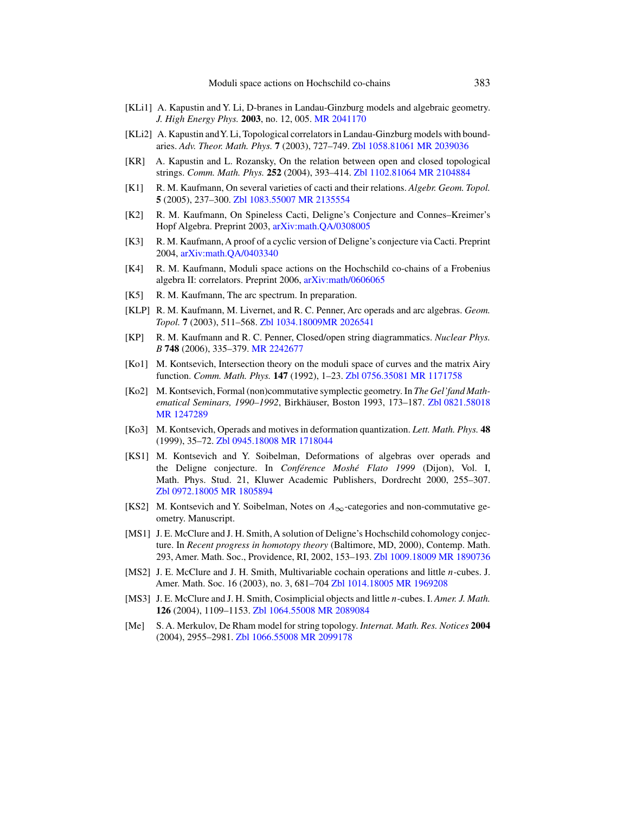- <span id="page-50-0"></span>[KLi1] A. Kapustin and Y. Li, D-branes in Landau-Ginzburg models and algebraic geometry. *J. High Energy Phys.* **2003**, no. 12, 005. [MR 2041170](http://www.ams.org/mathscinet-getitem?mr=2041170)
- [KLi2] A. Kapustin andY. Li, Topological correlators in Landau-Ginzburg models with boundaries. *Adv. Theor. Math. Phys.* **7** (2003), 727–749. [Zbl 1058.81061](http://www.emis.de/MATH-item?1058.81061) [MR 2039036](http://www.ams.org/mathscinet-getitem?mr=2039036)
- [KR] A. Kapustin and L. Rozansky, On the relation between open and closed topological strings. *Comm. Math. Phys.* **252** (2004), 393–414. [Zbl 1102.81064](http://www.emis.de/MATH-item?1102.81064) [MR 2104884](http://www.ams.org/mathscinet-getitem?mr=2104884)
- [K1] R. M. Kaufmann, On several varieties of cacti and their relations. *Algebr. Geom. Topol.* **5** (2005), 237–300. [Zbl 1083.55007](http://www.emis.de/MATH-item?1083.55007) [MR 2135554](http://www.ams.org/mathscinet-getitem?mr=2135554)
- [K2] R. M. Kaufmann, On Spineless Cacti, Deligne's Conjecture and Connes–Kreimer's Hopf Algebra. Preprint 2003, [arXiv:math.QA/0308005](http://arxiv.org/abs/math.QA/0308005)
- [K3] R. M. Kaufmann, A proof of a cyclic version of Deligne's conjecture via Cacti. Preprint 2004, [arXiv:math.QA/0403340](http://arxiv.org/abs/math.QA/0403340)
- [K4] R. M. Kaufmann, Moduli space actions on the Hochschild co-chains of a Frobenius algebra II: correlators. Preprint 2006, [arXiv:math/0606065](http://arxiv.org/abs/math/0606065)
- [K5] R. M. Kaufmann, The arc spectrum. In preparation.
- [KLP] R. M. Kaufmann, M. Livernet, and R. C. Penner, Arc operads and arc algebras. *Geom. Topol.* **7** (2003), 511–568. [Zbl 1034.18009](http://www.emis.de/MATH-item?1034.18009)[MR 2026541](http://www.ams.org/mathscinet-getitem?mr=2026541)
- [KP] R. M. Kaufmann and R. C. Penner, Closed/open string diagrammatics. *Nuclear Phys. B* **748** (2006), 335–379. [MR 2242677](http://www.ams.org/mathscinet-getitem?mr=2242677)
- [Ko1] M. Kontsevich, Intersection theory on the moduli space of curves and the matrix Airy function. *Comm. Math. Phys.* **147** (1992), 1–23. [Zbl 0756.35081](http://www.emis.de/MATH-item?0756.35081) [MR 1171758](http://www.ams.org/mathscinet-getitem?mr=1171758)
- [Ko2] M. Kontsevich, Formal (non)commutative symplectic geometry. In *The Gel'fand Mathematical Seminars, 1990–1992*, Birkhäuser, Boston 1993, 173–187. [Zbl 0821.58018](http://www.emis.de/MATH-item?0821.58018) [MR 1247289](http://www.ams.org/mathscinet-getitem?mr=1247289)
- [Ko3] M. Kontsevich, Operads and motives in deformation quantization. *Lett. Math. Phys.* **48** (1999), 35–72. [Zbl 0945.18008](http://www.emis.de/MATH-item?0945.18008) [MR 1718044](http://www.ams.org/mathscinet-getitem?mr=1718044)
- [KS1] M. Kontsevich and Y. Soibelman, Deformations of algebras over operads and the Deligne conjecture. In *Conférence Moshé Flato 1999* (Dijon), Vol. I, Math. Phys. Stud. 21, Kluwer Academic Publishers, Dordrecht 2000, 255–307. [Zbl 0972.18005](http://www.emis.de/MATH-item?0972.18005) [MR 1805894](http://www.ams.org/mathscinet-getitem?mr=1805894)
- [KS2] M. Kontsevich and Y. Soibelman, Notes on  $A_{\infty}$ -categories and non-commutative geometry. Manuscript.
- [MS1] J. E. McClure and J. H. Smith, A solution of Deligne's Hochschild cohomology conjecture. In *Recent progress in homotopy theory* (Baltimore, MD, 2000), Contemp. Math. 293, Amer. Math. Soc., Providence, RI, 2002, 153–193. [Zbl 1009.18009](http://www.emis.de/MATH-item?1009.18009) [MR 1890736](http://www.ams.org/mathscinet-getitem?mr=1890736)
- [MS2] J. E. McClure and J. H. Smith, Multivariable cochain operations and little *n*-cubes. J. Amer. Math. Soc. 16 (2003), no. 3, 681–704 [Zbl 1014.18005](http://www.emis.de/MATH-item?1014.18005) [MR 1969208](http://www.ams.org/mathscinet-getitem?mr=1969208)
- [MS3] J. E. McClure and J. H. Smith, Cosimplicial objects and little n-cubes. I. *Amer. J. Math.* **126** (2004), 1109–1153. [Zbl 1064.55008](http://www.emis.de/MATH-item?1064.55008) [MR 2089084](http://www.ams.org/mathscinet-getitem?mr=2089084)
- [Me] S. A. Merkulov, De Rham model for string topology. *Internat. Math. Res. Notices* **2004** (2004), 2955–2981. [Zbl 1066.55008](http://www.emis.de/MATH-item?1066.55008) [MR 2099178](http://www.ams.org/mathscinet-getitem?mr=2099178)